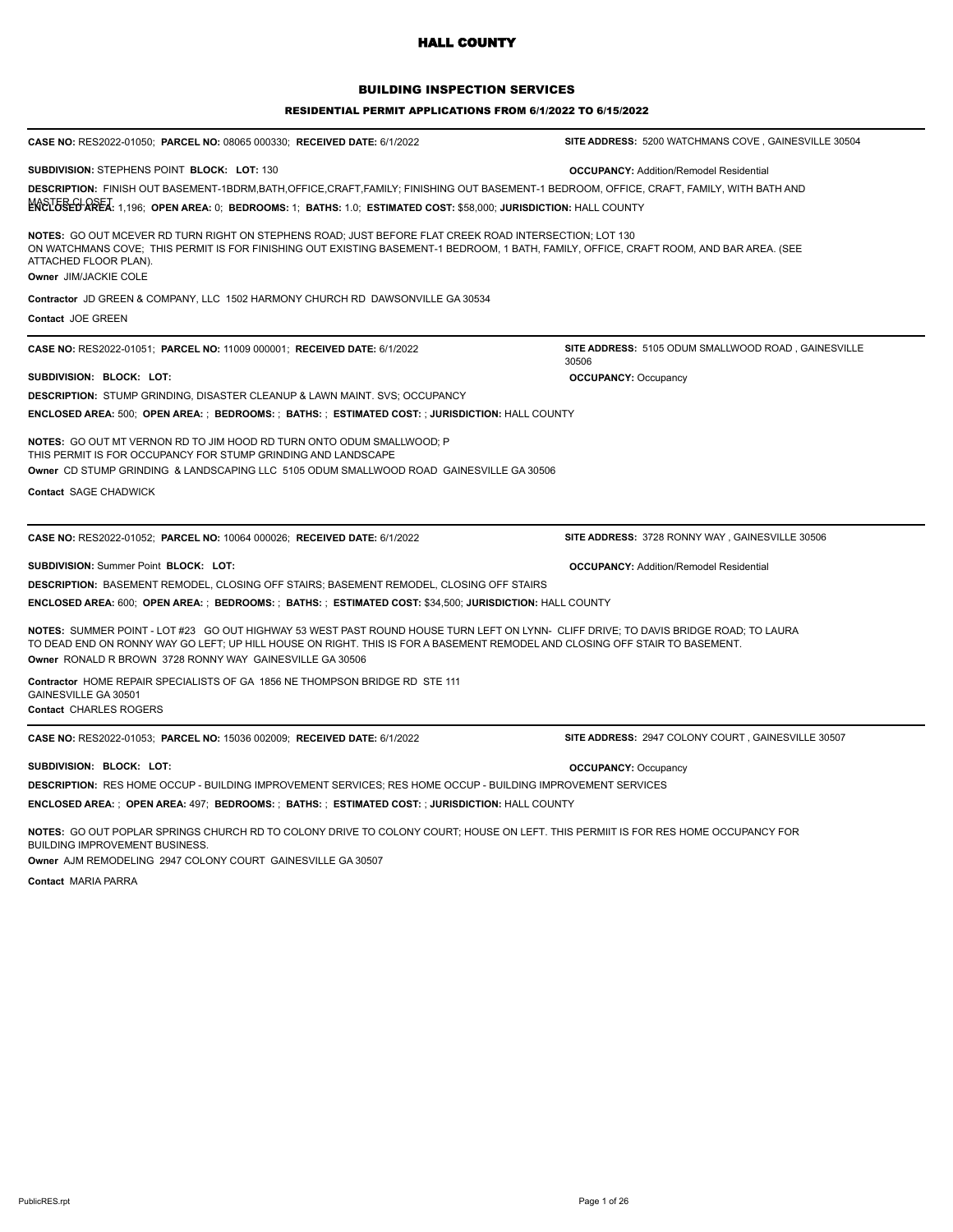## BUILDING INSPECTION SERVICES

#### RESIDENTIAL PERMIT APPLICATIONS FROM 6/1/2022 TO 6/15/2022

| CASE NO: RES2022-01050; PARCEL NO: 08065 000330; RECEIVED DATE: 6/1/2022                                                                                                                                                                                                                                                        | SITE ADDRESS: 5200 WATCHMANS COVE, GAINESVILLE 30504         |
|---------------------------------------------------------------------------------------------------------------------------------------------------------------------------------------------------------------------------------------------------------------------------------------------------------------------------------|--------------------------------------------------------------|
| SUBDIVISION: STEPHENS POINT BLOCK: LOT: 130                                                                                                                                                                                                                                                                                     | <b>OCCUPANCY: Addition/Remodel Residential</b>               |
| <b>DESCRIPTION:</b> FINISH OUT BASEMENT-1BDRM,BATH,OFFICE,CRAFT,FAMILY; FINISHING OUT BASEMENT-1 BEDROOM, OFFICE, CRAFT, FAMILY, WITH BATH AND                                                                                                                                                                                  |                                                              |
| MOSTUSEL AREA: 1,196; OPEN AREA: 0; BEDROOMS: 1; BATHS: 1.0; ESTIMATED COST: \$58,000; JURISDICTION: HALL COUNTY                                                                                                                                                                                                                |                                                              |
| <b>NOTES: GO OUT MCEVER RD TURN RIGHT ON STEPHENS ROAD: JUST BEFORE FLAT CREEK ROAD INTERSECTION: LOT 130</b><br>ON WATCHMANS COVE; THIS PERMIT IS FOR FINISHING OUT EXISTING BASEMENT-1 BEDROOM, 1 BATH, FAMILY, OFFICE, CRAFT ROOM, AND BAR AREA. (SEE<br>ATTACHED FLOOR PLAN).<br>Owner JIM/JACKIE COLE                      |                                                              |
| Contractor JD GREEN & COMPANY, LLC 1502 HARMONY CHURCH RD DAWSONVILLE GA 30534                                                                                                                                                                                                                                                  |                                                              |
| <b>Contact JOE GREEN</b>                                                                                                                                                                                                                                                                                                        |                                                              |
| CASE NO: RES2022-01051; PARCEL NO: 11009 000001; RECEIVED DATE: 6/1/2022                                                                                                                                                                                                                                                        | SITE ADDRESS: 5105 ODUM SMALLWOOD ROAD, GAINESVILLE<br>30506 |
| SUBDIVISION: BLOCK: LOT:                                                                                                                                                                                                                                                                                                        | <b>OCCUPANCY: Occupancy</b>                                  |
| <b>DESCRIPTION: STUMP GRINDING, DISASTER CLEANUP &amp; LAWN MAINT. SVS; OCCUPANCY</b>                                                                                                                                                                                                                                           |                                                              |
| ENCLOSED AREA: 500;  OPEN AREA: ;  BEDROOMS: ;  BATHS: ;  ESTIMATED COST: ; JURISDICTION: HALL COUNTY                                                                                                                                                                                                                           |                                                              |
| NOTES: GO OUT MT VERNON RD TO JIM HOOD RD TURN ONTO ODUM SMALLWOOD; P<br>THIS PERMIT IS FOR OCCUPANCY FOR STUMP GRINDING AND LANDSCAPE                                                                                                                                                                                          |                                                              |
|                                                                                                                                                                                                                                                                                                                                 |                                                              |
| Owner CD STUMP GRINDING & LANDSCAPING LLC 5105 ODUM SMALLWOOD ROAD GAINESVILLE GA 30506                                                                                                                                                                                                                                         |                                                              |
| Contact SAGE CHADWICK                                                                                                                                                                                                                                                                                                           |                                                              |
|                                                                                                                                                                                                                                                                                                                                 |                                                              |
| CASE NO: RES2022-01052; PARCEL NO: 10064 000026; RECEIVED DATE: 6/1/2022                                                                                                                                                                                                                                                        | SITE ADDRESS: 3728 RONNY WAY, GAINESVILLE 30506              |
| SUBDIVISION: Summer Point BLOCK: LOT:                                                                                                                                                                                                                                                                                           | <b>OCCUPANCY: Addition/Remodel Residential</b>               |
| DESCRIPTION: BASEMENT REMODEL, CLOSING OFF STAIRS; BASEMENT REMODEL, CLOSING OFF STAIRS                                                                                                                                                                                                                                         |                                                              |
| ENCLOSED AREA: 600;  OPEN AREA: ;  BEDROOMS: ;  BATHS: ;  ESTIMATED COST: \$34,500; JURISDICTION: HALL COUNTY                                                                                                                                                                                                                   |                                                              |
| NOTES: SUMMER POINT - LOT #23 GO OUT HIGHWAY 53 WEST PAST ROUND HOUSE TURN LEFT ON LYNN- CLIFF DRIVE; TO DAVIS BRIDGE ROAD; TO LAURA<br>TO DEAD END ON RONNY WAY GO LEFT; UP HILL HOUSE ON RIGHT. THIS IS FOR A BASEMENT REMODEL AND CLOSING OFF STAIR TO BASEMENT.<br>Owner RONALD R BROWN 3728 RONNY WAY GAINESVILLE GA 30506 |                                                              |
| Contractor HOME REPAIR SPECIALISTS OF GA 1856 NE THOMPSON BRIDGE RD STE 111<br>GAINESVILLE GA 30501<br>Contact CHARLES ROGERS                                                                                                                                                                                                   |                                                              |
| CASE NO: RES2022-01053; PARCEL NO: 15036 002009; RECEIVED DATE: 6/1/2022                                                                                                                                                                                                                                                        | SITE ADDRESS: 2947 COLONY COURT, GAINESVILLE 30507           |
| SUBDIVISION: BLOCK: LOT:                                                                                                                                                                                                                                                                                                        | <b>OCCUPANCY: Occupancy</b>                                  |
| <b>DESCRIPTION:</b> RES HOME OCCUP - BUILDING IMPROVEMENT SERVICES: RES HOME OCCUP - BUILDING IMPROVEMENT SERVICES                                                                                                                                                                                                              |                                                              |

**NOTES:** GO OUT POPLAR SPRINGS CHURCH RD TO COLONY DRIVE TO COLONY COURT; HOUSE ON LEFT. THIS PERMIIT IS FOR RES HOME OCCUPANCY FOR BUILDING IMPROVEMENT BUSINESS.

**Owner** AJM REMODELING 2947 COLONY COURT GAINESVILLE GA 30507

**Contact** MARIA PARRA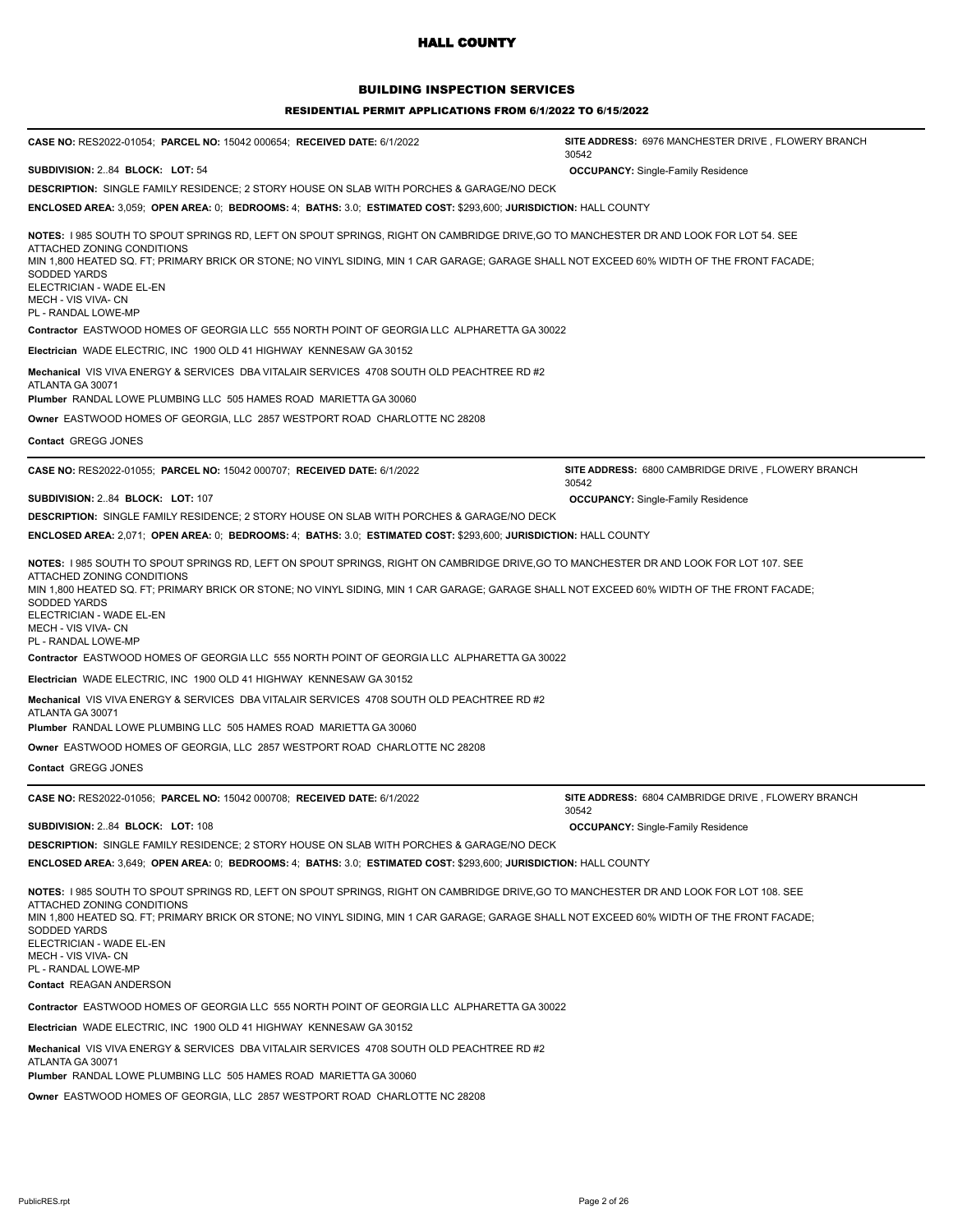## BUILDING INSPECTION SERVICES

#### RESIDENTIAL PERMIT APPLICATIONS FROM 6/1/2022 TO 6/15/2022

| CASE NO: RES2022-01054; PARCEL NO: 15042 000654; RECEIVED DATE: 6/1/2022                                                                                                                                                                                                                                                                                                                                                                                                                                         | SITE ADDRESS: 6976 MANCHESTER DRIVE, FLOWERY BRANCH<br>30542 |  |
|------------------------------------------------------------------------------------------------------------------------------------------------------------------------------------------------------------------------------------------------------------------------------------------------------------------------------------------------------------------------------------------------------------------------------------------------------------------------------------------------------------------|--------------------------------------------------------------|--|
| SUBDIVISION: 284 BLOCK: LOT: 54                                                                                                                                                                                                                                                                                                                                                                                                                                                                                  | <b>OCCUPANCY:</b> Single-Family Residence                    |  |
| <b>DESCRIPTION:</b> SINGLE FAMILY RESIDENCE; 2 STORY HOUSE ON SLAB WITH PORCHES & GARAGE/NO DECK                                                                                                                                                                                                                                                                                                                                                                                                                 |                                                              |  |
| ENCLOSED AREA: 3,059; OPEN AREA: 0; BEDROOMS: 4; BATHS: 3.0; ESTIMATED COST: \$293,600; JURISDICTION: HALL COUNTY                                                                                                                                                                                                                                                                                                                                                                                                |                                                              |  |
| NOTES: 1985 SOUTH TO SPOUT SPRINGS RD, LEFT ON SPOUT SPRINGS, RIGHT ON CAMBRIDGE DRIVE,GO TO MANCHESTER DR AND LOOK FOR LOT 54. SEE<br>ATTACHED ZONING CONDITIONS<br>MIN 1,800 HEATED SQ. FT; PRIMARY BRICK OR STONE; NO VINYL SIDING, MIN 1 CAR GARAGE; GARAGE SHALL NOT EXCEED 60% WIDTH OF THE FRONT FACADE;<br><b>SODDED YARDS</b><br>ELECTRICIAN - WADE EL-EN<br>MECH - VIS VIVA- CN<br>PL - RANDAL LOWE-MP                                                                                                 |                                                              |  |
| Contractor EASTWOOD HOMES OF GEORGIA LLC 555 NORTH POINT OF GEORGIA LLC ALPHARETTA GA 30022                                                                                                                                                                                                                                                                                                                                                                                                                      |                                                              |  |
| Electrician WADE ELECTRIC, INC 1900 OLD 41 HIGHWAY KENNESAW GA 30152                                                                                                                                                                                                                                                                                                                                                                                                                                             |                                                              |  |
| Mechanical VIS VIVA ENERGY & SERVICES DBA VITALAIR SERVICES 4708 SOUTH OLD PEACHTREE RD #2<br>ATLANTA GA 30071<br><b>Plumber RANDAL LOWE PLUMBING LLC 505 HAMES ROAD MARIETTA GA 30060</b>                                                                                                                                                                                                                                                                                                                       |                                                              |  |
| Owner EASTWOOD HOMES OF GEORGIA, LLC 2857 WESTPORT ROAD CHARLOTTE NC 28208                                                                                                                                                                                                                                                                                                                                                                                                                                       |                                                              |  |
| Contact GREGG JONES                                                                                                                                                                                                                                                                                                                                                                                                                                                                                              |                                                              |  |
|                                                                                                                                                                                                                                                                                                                                                                                                                                                                                                                  |                                                              |  |
| CASE NO: RES2022-01055; PARCEL NO: 15042 000707; RECEIVED DATE: 6/1/2022                                                                                                                                                                                                                                                                                                                                                                                                                                         | SITE ADDRESS: 6800 CAMBRIDGE DRIVE, FLOWERY BRANCH<br>30542  |  |
| SUBDIVISION: 2.84 BLOCK: LOT: 107                                                                                                                                                                                                                                                                                                                                                                                                                                                                                | <b>OCCUPANCY: Single-Family Residence</b>                    |  |
| <b>DESCRIPTION: SINGLE FAMILY RESIDENCE; 2 STORY HOUSE ON SLAB WITH PORCHES &amp; GARAGE/NO DECK</b>                                                                                                                                                                                                                                                                                                                                                                                                             |                                                              |  |
| ENCLOSED AREA: 2,071; OPEN AREA: 0; BEDROOMS: 4; BATHS: 3.0; ESTIMATED COST: \$293,600; JURISDICTION: HALL COUNTY                                                                                                                                                                                                                                                                                                                                                                                                |                                                              |  |
| NOTES: 1985 SOUTH TO SPOUT SPRINGS RD, LEFT ON SPOUT SPRINGS, RIGHT ON CAMBRIDGE DRIVE,GO TO MANCHESTER DR AND LOOK FOR LOT 107. SEE<br>ATTACHED ZONING CONDITIONS<br>MIN 1,800 HEATED SQ. FT; PRIMARY BRICK OR STONE; NO VINYL SIDING, MIN 1 CAR GARAGE; GARAGE SHALL NOT EXCEED 60% WIDTH OF THE FRONT FACADE;<br>SODDED YARDS<br>ELECTRICIAN - WADE EL-EN<br>MECH - VIS VIVA- CN<br>PL - RANDAL LOWE-MP<br><b>Contractor EASTWOOD HOMES OF GEORGIA LLC 555 NORTH POINT OF GEORGIA LLC ALPHARETTA GA 30022</b> |                                                              |  |
| Electrician WADE ELECTRIC, INC 1900 OLD 41 HIGHWAY KENNESAW GA 30152                                                                                                                                                                                                                                                                                                                                                                                                                                             |                                                              |  |
| Mechanical VIS VIVA ENERGY & SERVICES DBA VITALAIR SERVICES 4708 SOUTH OLD PEACHTREE RD #2<br>ATLANTA GA 30071<br><b>Plumber RANDAL LOWE PLUMBING LLC 505 HAMES ROAD MARIETTA GA 30060</b>                                                                                                                                                                                                                                                                                                                       |                                                              |  |
| Owner EASTWOOD HOMES OF GEORGIA, LLC 2857 WESTPORT ROAD CHARLOTTE NC 28208                                                                                                                                                                                                                                                                                                                                                                                                                                       |                                                              |  |
| Contact GREGG JONES                                                                                                                                                                                                                                                                                                                                                                                                                                                                                              |                                                              |  |
| <b>CASE NO: RES2022-01056; PARCEL NO: 15042 000708; RECEIVED DATE: 6/1/2022</b>                                                                                                                                                                                                                                                                                                                                                                                                                                  | SITE ADDRESS: 6804 CAMBRIDGE DRIVE, FLOWERY BRANCH<br>30542  |  |
| SUBDIVISION: 2.84 BLOCK: LOT: 108                                                                                                                                                                                                                                                                                                                                                                                                                                                                                | <b>OCCUPANCY: Single-Family Residence</b>                    |  |
| <b>DESCRIPTION:</b> SINGLE FAMILY RESIDENCE; 2 STORY HOUSE ON SLAB WITH PORCHES & GARAGE/NO DECK                                                                                                                                                                                                                                                                                                                                                                                                                 |                                                              |  |
| ENCLOSED AREA: 3,649; OPEN AREA: 0; BEDROOMS: 4; BATHS: 3.0; ESTIMATED COST: \$293,600; JURISDICTION: HALL COUNTY                                                                                                                                                                                                                                                                                                                                                                                                |                                                              |  |
| NOTES: I 985 SOUTH TO SPOUT SPRINGS RD, LEFT ON SPOUT SPRINGS, RIGHT ON CAMBRIDGE DRIVE, GO TO MANCHESTER DR AND LOOK FOR LOT 108. SEE<br>ATTACHED ZONING CONDITIONS<br>MIN 1,800 HEATED SQ. FT; PRIMARY BRICK OR STONE; NO VINYL SIDING, MIN 1 CAR GARAGE; GARAGE SHALL NOT EXCEED 60% WIDTH OF THE FRONT FACADE;<br><b>SODDED YARDS</b><br>ELECTRICIAN - WADE EL-EN<br>MECH - VIS VIVA- CN<br>PL - RANDAL LOWE-MP                                                                                              |                                                              |  |
| Contact REAGAN ANDERSON                                                                                                                                                                                                                                                                                                                                                                                                                                                                                          |                                                              |  |
| Contractor EASTWOOD HOMES OF GEORGIA LLC 555 NORTH POINT OF GEORGIA LLC ALPHARETTA GA 30022                                                                                                                                                                                                                                                                                                                                                                                                                      |                                                              |  |
| Electrician WADE ELECTRIC, INC 1900 OLD 41 HIGHWAY KENNESAW GA 30152                                                                                                                                                                                                                                                                                                                                                                                                                                             |                                                              |  |
| Mechanical VIS VIVA ENERGY & SERVICES DBA VITALAIR SERVICES 4708 SOUTH OLD PEACHTREE RD #2<br>ATLANTA GA 30071                                                                                                                                                                                                                                                                                                                                                                                                   |                                                              |  |

**Plumber** RANDAL LOWE PLUMBING LLC 505 HAMES ROAD MARIETTA GA 30060

**Owner** EASTWOOD HOMES OF GEORGIA, LLC 2857 WESTPORT ROAD CHARLOTTE NC 28208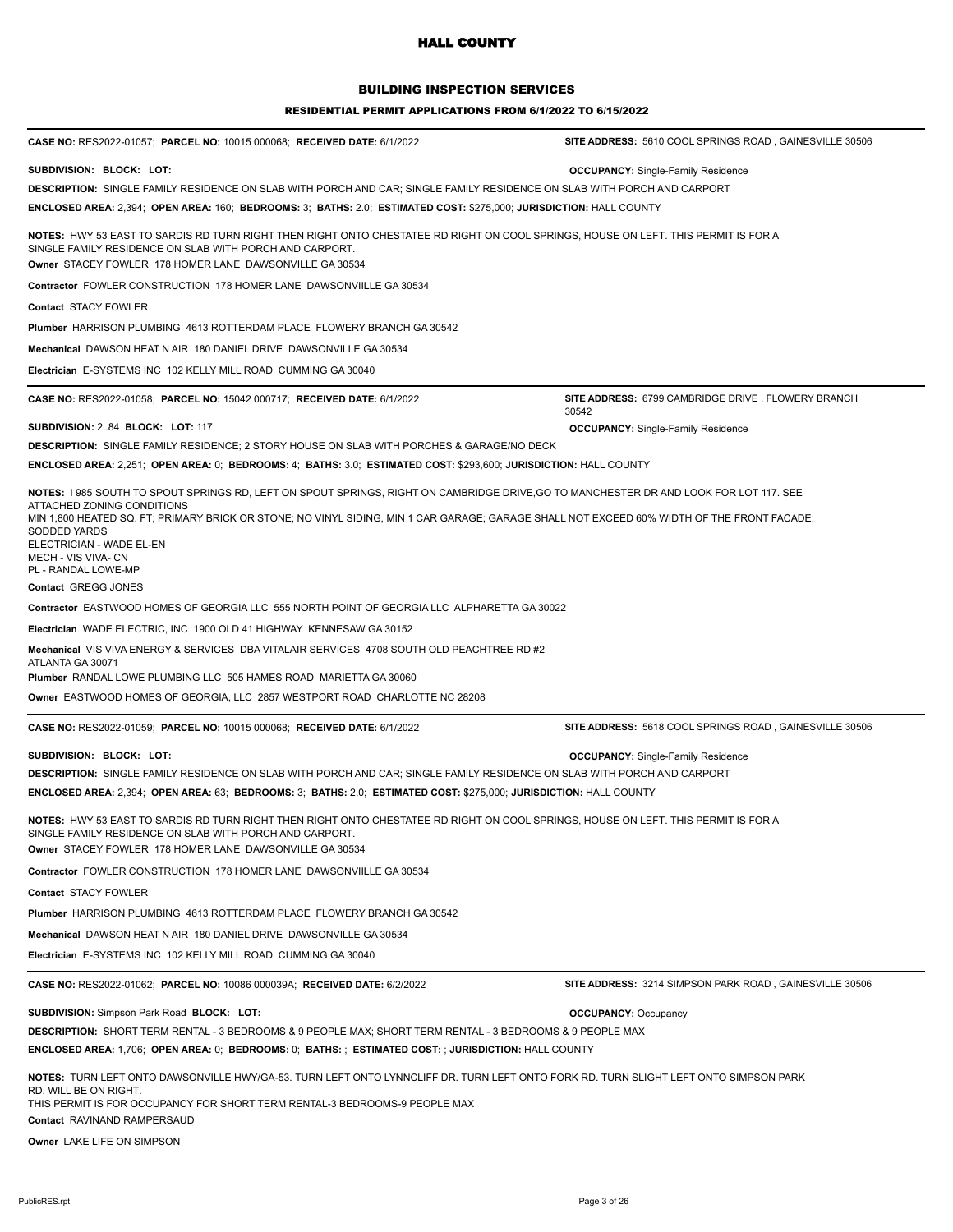## BUILDING INSPECTION SERVICES

#### RESIDENTIAL PERMIT APPLICATIONS FROM 6/1/2022 TO 6/15/2022

| CASE NO: RES2022-01057; PARCEL NO: 10015 000068; RECEIVED DATE: 6/1/2022                                                                                                                                                                                                   | SITE ADDRESS: 5610 COOL SPRINGS ROAD, GAINESVILLE 30506     |
|----------------------------------------------------------------------------------------------------------------------------------------------------------------------------------------------------------------------------------------------------------------------------|-------------------------------------------------------------|
| SUBDIVISION: BLOCK: LOT:                                                                                                                                                                                                                                                   | <b>OCCUPANCY:</b> Single-Family Residence                   |
| DESCRIPTION: SINGLE FAMILY RESIDENCE ON SLAB WITH PORCH AND CAR; SINGLE FAMILY RESIDENCE ON SLAB WITH PORCH AND CARPORT                                                                                                                                                    |                                                             |
| ENCLOSED AREA: 2,394; OPEN AREA: 160; BEDROOMS: 3; BATHS: 2.0; ESTIMATED COST: \$275,000; JURISDICTION: HALL COUNTY                                                                                                                                                        |                                                             |
| NOTES: HWY 53 EAST TO SARDIS RD TURN RIGHT THEN RIGHT ONTO CHESTATEE RD RIGHT ON COOL SPRINGS, HOUSE ON LEFT. THIS PERMIT IS FOR A<br>SINGLE FAMILY RESIDENCE ON SLAB WITH PORCH AND CARPORT.<br>Owner STACEY FOWLER 178 HOMER LANE DAWSONVILLE GA 30534                   |                                                             |
| Contractor FOWLER CONSTRUCTION 178 HOMER LANE DAWSONVIILLE GA 30534                                                                                                                                                                                                        |                                                             |
| <b>Contact STACY FOWLER</b>                                                                                                                                                                                                                                                |                                                             |
| <b>Plumber HARRISON PLUMBING 4613 ROTTERDAM PLACE FLOWERY BRANCH GA 30542</b>                                                                                                                                                                                              |                                                             |
| Mechanical DAWSON HEAT N AIR 180 DANIEL DRIVE DAWSONVILLE GA 30534                                                                                                                                                                                                         |                                                             |
|                                                                                                                                                                                                                                                                            |                                                             |
| <b>Electrician E-SYSTEMS INC 102 KELLY MILL ROAD CUMMING GA 30040</b>                                                                                                                                                                                                      |                                                             |
| CASE NO: RES2022-01058; PARCEL NO: 15042 000717; RECEIVED DATE: 6/1/2022                                                                                                                                                                                                   | SITE ADDRESS: 6799 CAMBRIDGE DRIVE, FLOWERY BRANCH<br>30542 |
| SUBDIVISION: 284 BLOCK: LOT: 117                                                                                                                                                                                                                                           | <b>OCCUPANCY:</b> Single-Family Residence                   |
| <b>DESCRIPTION:</b> SINGLE FAMILY RESIDENCE; 2 STORY HOUSE ON SLAB WITH PORCHES & GARAGE/NO DECK                                                                                                                                                                           |                                                             |
| ENCLOSED AREA: 2,251; OPEN AREA: 0; BEDROOMS: 4; BATHS: 3.0; ESTIMATED COST: \$293,600; JURISDICTION: HALL COUNTY                                                                                                                                                          |                                                             |
| NOTES: 1985 SOUTH TO SPOUT SPRINGS RD, LEFT ON SPOUT SPRINGS, RIGHT ON CAMBRIDGE DRIVE, GO TO MANCHESTER DR AND LOOK FOR LOT 117. SEE                                                                                                                                      |                                                             |
| ATTACHED ZONING CONDITIONS<br>MIN 1,800 HEATED SQ. FT; PRIMARY BRICK OR STONE; NO VINYL SIDING, MIN 1 CAR GARAGE; GARAGE SHALL NOT EXCEED 60% WIDTH OF THE FRONT FACADE;<br>SODDED YARDS<br>ELECTRICIAN - WADE EL-EN<br>MECH - VIS VIVA- CN<br>PL - RANDAL LOWE-MP         |                                                             |
| Contact GREGG JONES                                                                                                                                                                                                                                                        |                                                             |
| Contractor EASTWOOD HOMES OF GEORGIA LLC 555 NORTH POINT OF GEORGIA LLC ALPHARETTA GA 30022                                                                                                                                                                                |                                                             |
| Electrician WADE ELECTRIC, INC 1900 OLD 41 HIGHWAY KENNESAW GA 30152                                                                                                                                                                                                       |                                                             |
| Mechanical VIS VIVA ENERGY & SERVICES DBA VITALAIR SERVICES 4708 SOUTH OLD PEACHTREE RD #2<br>ATLANTA GA 30071                                                                                                                                                             |                                                             |
| Plumber RANDAL LOWE PLUMBING LLC 505 HAMES ROAD MARIETTA GA 30060                                                                                                                                                                                                          |                                                             |
| Owner EASTWOOD HOMES OF GEORGIA, LLC 2857 WESTPORT ROAD CHARLOTTE NC 28208                                                                                                                                                                                                 |                                                             |
| CASE NO: RES2022-01059; PARCEL NO: 10015 000068; RECEIVED DATE: 6/1/2022                                                                                                                                                                                                   | SITE ADDRESS: 5618 COOL SPRINGS ROAD, GAINESVILLE 30506     |
| SUBDIVISION: BLOCK: LOT:                                                                                                                                                                                                                                                   | <b>OCCUPANCY:</b> Single-Family Residence                   |
| DESCRIPTION: SINGLE FAMILY RESIDENCE ON SLAB WITH PORCH AND CAR; SINGLE FAMILY RESIDENCE ON SLAB WITH PORCH AND CARPORT                                                                                                                                                    |                                                             |
| ENCLOSED AREA: 2,394; OPEN AREA: 63; BEDROOMS: 3; BATHS: 2.0; ESTIMATED COST: \$275,000; JURISDICTION: HALL COUNTY                                                                                                                                                         |                                                             |
| NOTES: HWY 53 EAST TO SARDIS RD TURN RIGHT THEN RIGHT ONTO CHESTATEE RD RIGHT ON COOL SPRINGS, HOUSE ON LEFT. THIS PERMIT IS FOR A<br>SINGLE FAMILY RESIDENCE ON SLAB WITH PORCH AND CARPORT.<br>Owner STACEY FOWLER 178 HOMER LANE DAWSONVILLE GA 30534                   |                                                             |
| Contractor FOWLER CONSTRUCTION 178 HOMER LANE DAWSONVIILLE GA 30534                                                                                                                                                                                                        |                                                             |
| Contact STACY FOWLER                                                                                                                                                                                                                                                       |                                                             |
| Plumber HARRISON PLUMBING 4613 ROTTERDAM PLACE FLOWERY BRANCH GA 30542                                                                                                                                                                                                     |                                                             |
| Mechanical DAWSON HEAT N AIR 180 DANIEL DRIVE DAWSONVILLE GA 30534                                                                                                                                                                                                         |                                                             |
| Electrician E-SYSTEMS INC 102 KELLY MILL ROAD CUMMING GA 30040                                                                                                                                                                                                             |                                                             |
|                                                                                                                                                                                                                                                                            |                                                             |
| CASE NO: RES2022-01062; PARCEL NO: 10086 000039A; RECEIVED DATE: 6/2/2022                                                                                                                                                                                                  | SITE ADDRESS: 3214 SIMPSON PARK ROAD, GAINESVILLE 30506     |
| SUBDIVISION: Simpson Park Road BLOCK: LOT:                                                                                                                                                                                                                                 | <b>OCCUPANCY: Occupancy</b>                                 |
| DESCRIPTION: SHORT TERM RENTAL - 3 BEDROOMS & 9 PEOPLE MAX; SHORT TERM RENTAL - 3 BEDROOMS & 9 PEOPLE MAX                                                                                                                                                                  |                                                             |
| ENCLOSED AREA: 1,706; OPEN AREA: 0; BEDROOMS: 0; BATHS: ; ESTIMATED COST: ; JURISDICTION: HALL COUNTY                                                                                                                                                                      |                                                             |
| NOTES: TURN LEFT ONTO DAWSONVILLE HWY/GA-53. TURN LEFT ONTO LYNNCLIFF DR. TURN LEFT ONTO FORK RD. TURN SLIGHT LEFT ONTO SIMPSON PARK<br>RD. WILL BE ON RIGHT.<br>THIS PERMIT IS FOR OCCUPANCY FOR SHORT TERM RENTAL-3 BEDROOMS-9 PEOPLE MAX<br>Contact RAVINAND RAMPERSAUD |                                                             |

**Owner** LAKE LIFE ON SIMPSON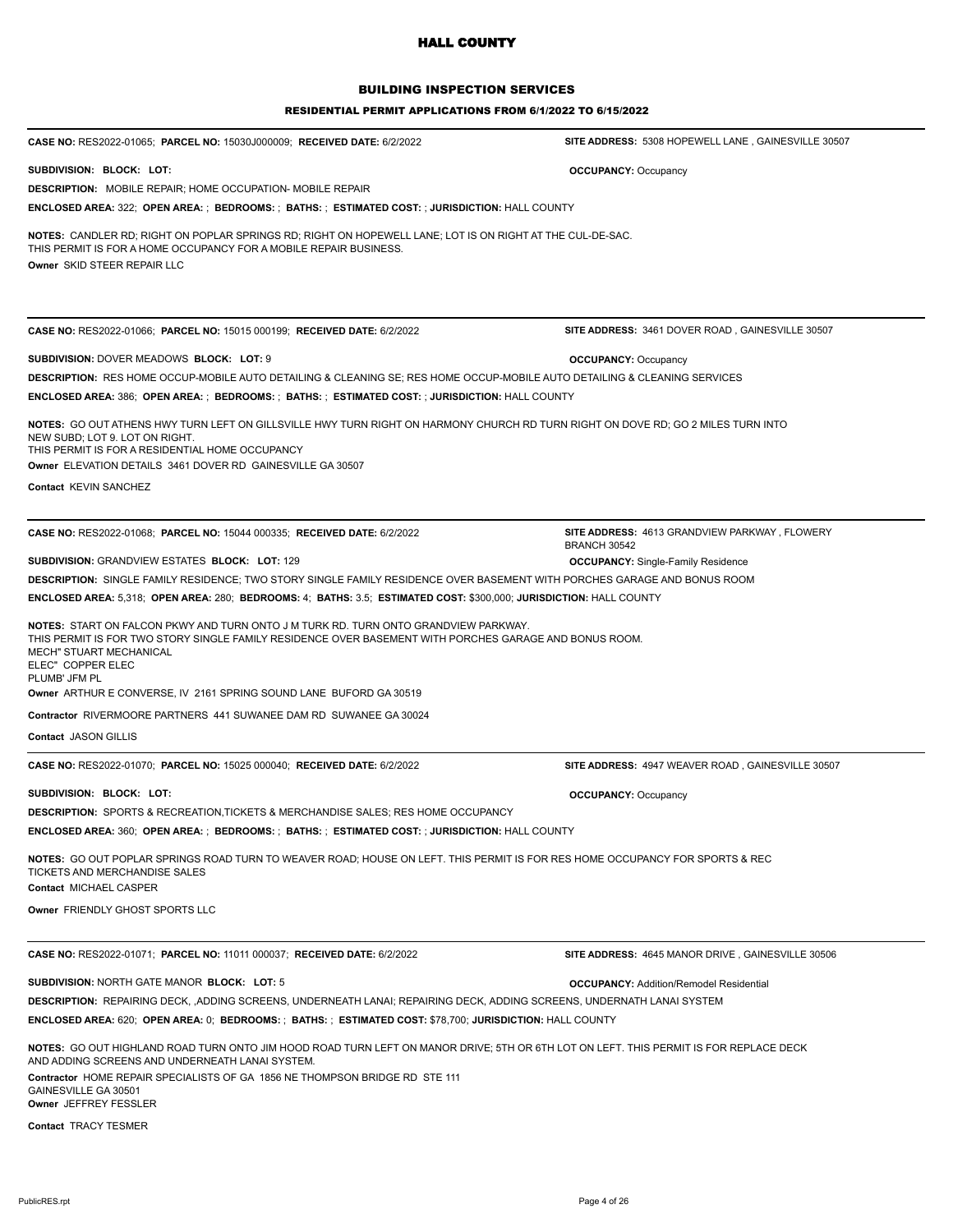### BUILDING INSPECTION SERVICES

| CASE NO: RES2022-01065; PARCEL NO: 15030J000009; RECEIVED DATE: 6/2/2022                                                                                                                                                                                                                                                                                                                                                 | SITE ADDRESS: 5308 HOPEWELL LANE, GAINESVILLE 30507           |  |
|--------------------------------------------------------------------------------------------------------------------------------------------------------------------------------------------------------------------------------------------------------------------------------------------------------------------------------------------------------------------------------------------------------------------------|---------------------------------------------------------------|--|
| SUBDIVISION: BLOCK: LOT:                                                                                                                                                                                                                                                                                                                                                                                                 | <b>OCCUPANCY: Occupancy</b>                                   |  |
| <b>DESCRIPTION:</b> MOBILE REPAIR; HOME OCCUPATION- MOBILE REPAIR                                                                                                                                                                                                                                                                                                                                                        |                                                               |  |
| <b>ENCLOSED AREA: 322; OPEN AREA: ; BEDROOMS: ; BATHS: ; ESTIMATED COST: ; JURISDICTION: HALL COUNTY</b>                                                                                                                                                                                                                                                                                                                 |                                                               |  |
| NOTES: CANDLER RD; RIGHT ON POPLAR SPRINGS RD; RIGHT ON HOPEWELL LANE; LOT IS ON RIGHT AT THE CUL-DE-SAC.<br>THIS PERMIT IS FOR A HOME OCCUPANCY FOR A MOBILE REPAIR BUSINESS.<br>Owner SKID STEER REPAIR LLC                                                                                                                                                                                                            |                                                               |  |
| CASE NO: RES2022-01066; PARCEL NO: 15015 000199; RECEIVED DATE: 6/2/2022                                                                                                                                                                                                                                                                                                                                                 | SITE ADDRESS: 3461 DOVER ROAD, GAINESVILLE 30507              |  |
|                                                                                                                                                                                                                                                                                                                                                                                                                          |                                                               |  |
| SUBDIVISION: DOVER MEADOWS BLOCK: LOT: 9                                                                                                                                                                                                                                                                                                                                                                                 | <b>OCCUPANCY: Occupancy</b>                                   |  |
| DESCRIPTION: RES HOME OCCUP-MOBILE AUTO DETAILING & CLEANING SE; RES HOME OCCUP-MOBILE AUTO DETAILING & CLEANING SERVICES<br><b>ENCLOSED AREA: 386; OPEN AREA: ; BEDROOMS: ; BATHS: ; ESTIMATED COST: ; JURISDICTION: HALL COUNTY</b>                                                                                                                                                                                    |                                                               |  |
|                                                                                                                                                                                                                                                                                                                                                                                                                          |                                                               |  |
| NOTES: GO OUT ATHENS HWY TURN LEFT ON GILLSVILLE HWY TURN RIGHT ON HARMONY CHURCH RD TURN RIGHT ON DOVE RD; GO 2 MILES TURN INTO<br>NEW SUBD; LOT 9. LOT ON RIGHT.<br>THIS PERMIT IS FOR A RESIDENTIAL HOME OCCUPANCY<br>Owner ELEVATION DETAILS 3461 DOVER RD GAINESVILLE GA 30507<br><b>Contact KEVIN SANCHEZ</b>                                                                                                      |                                                               |  |
| CASE NO: RES2022-01068; PARCEL NO: 15044 000335; RECEIVED DATE: 6/2/2022                                                                                                                                                                                                                                                                                                                                                 | SITE ADDRESS: 4613 GRANDVIEW PARKWAY, FLOWERY<br>BRANCH 30542 |  |
| <b>SUBDIVISION: GRANDVIEW ESTATES BLOCK: LOT: 129</b>                                                                                                                                                                                                                                                                                                                                                                    | <b>OCCUPANCY:</b> Single-Family Residence                     |  |
| DESCRIPTION: SINGLE FAMILY RESIDENCE; TWO STORY SINGLE FAMILY RESIDENCE OVER BASEMENT WITH PORCHES GARAGE AND BONUS ROOM                                                                                                                                                                                                                                                                                                 |                                                               |  |
| ENCLOSED AREA: 5,318; OPEN AREA: 280; BEDROOMS: 4; BATHS: 3.5; ESTIMATED COST: \$300,000; JURISDICTION: HALL COUNTY                                                                                                                                                                                                                                                                                                      |                                                               |  |
| <b>NOTES: START ON FALCON PKWY AND TURN ONTO J M TURK RD. TURN ONTO GRANDVIEW PARKWAY.</b><br>THIS PERMIT IS FOR TWO STORY SINGLE FAMILY RESIDENCE OVER BASEMENT WITH PORCHES GARAGE AND BONUS ROOM.<br>MECH" STUART MECHANICAL<br>ELEC" COPPER ELEC<br>PLUMB' JFM PL<br>Owner ARTHUR E CONVERSE, IV 2161 SPRING SOUND LANE BUFORD GA 30519<br><b>Contractor RIVERMOORE PARTNERS 441 SUWANEE DAM RD SUWANEE GA 30024</b> |                                                               |  |
| Contact JASON GILLIS                                                                                                                                                                                                                                                                                                                                                                                                     |                                                               |  |
|                                                                                                                                                                                                                                                                                                                                                                                                                          |                                                               |  |
| CASE NO: RES2022-01070; PARCEL NO: 15025 000040; RECEIVED DATE: 6/2/2022                                                                                                                                                                                                                                                                                                                                                 | SITE ADDRESS: 4947 WEAVER ROAD, GAINESVILLE 30507             |  |
| SUBDIVISION: BLOCK: LOT:                                                                                                                                                                                                                                                                                                                                                                                                 | <b>OCCUPANCY: Occupancy</b>                                   |  |
| <b>DESCRIPTION: SPORTS &amp; RECREATION, TICKETS &amp; MERCHANDISE SALES; RES HOME OCCUPANCY</b>                                                                                                                                                                                                                                                                                                                         |                                                               |  |
| ENCLOSED AREA: 360; OPEN AREA: ; BEDROOMS: ; BATHS: ; ESTIMATED COST: ; JURISDICTION: HALL COUNTY                                                                                                                                                                                                                                                                                                                        |                                                               |  |
| NOTES: GO OUT POPLAR SPRINGS ROAD TURN TO WEAVER ROAD; HOUSE ON LEFT. THIS PERMIT IS FOR RES HOME OCCUPANCY FOR SPORTS & REC<br>TICKETS AND MERCHANDISE SALES                                                                                                                                                                                                                                                            |                                                               |  |
| Contact MICHAEL CASPER                                                                                                                                                                                                                                                                                                                                                                                                   |                                                               |  |
| Owner FRIENDLY GHOST SPORTS LLC                                                                                                                                                                                                                                                                                                                                                                                          |                                                               |  |
| CASE NO: RES2022-01071; PARCEL NO: 11011 000037; RECEIVED DATE: 6/2/2022                                                                                                                                                                                                                                                                                                                                                 | SITE ADDRESS: 4645 MANOR DRIVE, GAINESVILLE 30506             |  |
| SUBDIVISION: NORTH GATE MANOR BLOCK: LOT: 5                                                                                                                                                                                                                                                                                                                                                                              | <b>OCCUPANCY: Addition/Remodel Residential</b>                |  |
| DESCRIPTION: REPAIRING DECK, ,ADDING SCREENS, UNDERNEATH LANAI; REPAIRING DECK, ADDING SCREENS, UNDERNATH LANAI SYSTEM                                                                                                                                                                                                                                                                                                   |                                                               |  |
| ENCLOSED AREA: 620; OPEN AREA: 0; BEDROOMS: ; BATHS: ; ESTIMATED COST: \$78,700; JURISDICTION: HALL COUNTY                                                                                                                                                                                                                                                                                                               |                                                               |  |
| NOTES: GO OUT HIGHLAND ROAD TURN ONTO JIM HOOD ROAD TURN LEFT ON MANOR DRIVE; 5TH OR 6TH LOT ON LEFT. THIS PERMIT IS FOR REPLACE DECK<br>AND ADDING SCREENS AND UNDERNEATH LANAI SYSTEM.<br>Contractor HOME REPAIR SPECIALISTS OF GA 1856 NE THOMPSON BRIDGE RD STE 111                                                                                                                                                  |                                                               |  |
| GAINESVILLE GA 30501<br>Owner JEFFREY FESSLER                                                                                                                                                                                                                                                                                                                                                                            |                                                               |  |
| <b>Contact TRACY TESMER</b>                                                                                                                                                                                                                                                                                                                                                                                              |                                                               |  |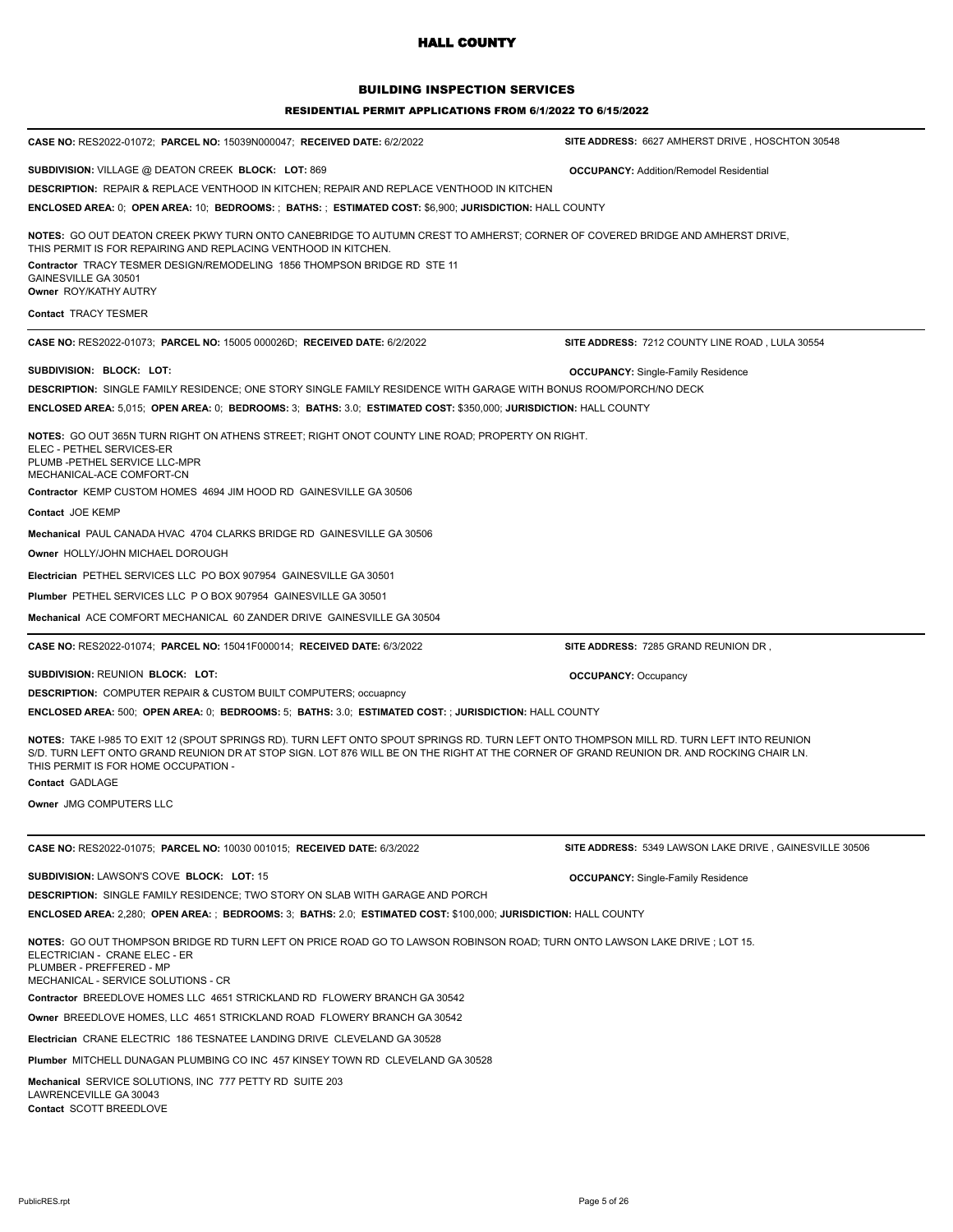## BUILDING INSPECTION SERVICES

#### RESIDENTIAL PERMIT APPLICATIONS FROM 6/1/2022 TO 6/15/2022

| CASE NO: RES2022-01072; PARCEL NO: 15039N000047; RECEIVED DATE: 6/2/2022                                                                                                                                                                                                                                                                         | SITE ADDRESS: 6627 AMHERST DRIVE, HOSCHTON 30548        |
|--------------------------------------------------------------------------------------------------------------------------------------------------------------------------------------------------------------------------------------------------------------------------------------------------------------------------------------------------|---------------------------------------------------------|
| <b>SUBDIVISION:</b> VILLAGE @ DEATON CREEK BLOCK: LOT: 869                                                                                                                                                                                                                                                                                       | <b>OCCUPANCY: Addition/Remodel Residential</b>          |
| <b>DESCRIPTION: REPAIR &amp; REPLACE VENTHOOD IN KITCHEN; REPAIR AND REPLACE VENTHOOD IN KITCHEN</b>                                                                                                                                                                                                                                             |                                                         |
| ENCLOSED AREA: 0; OPEN AREA: 10; BEDROOMS: ; BATHS: ; ESTIMATED COST: \$6,900; JURISDICTION: HALL COUNTY                                                                                                                                                                                                                                         |                                                         |
| NOTES: GO OUT DEATON CREEK PKWY TURN ONTO CANEBRIDGE TO AUTUMN CREST TO AMHERST; CORNER OF COVERED BRIDGE AND AMHERST DRIVE,<br>THIS PERMIT IS FOR REPAIRING AND REPLACING VENTHOOD IN KITCHEN.<br>Contractor TRACY TESMER DESIGN/REMODELING 1856 THOMPSON BRIDGE RD STE 11<br>GAINESVILLE GA 30501<br>Owner ROY/KATHY AUTRY                     |                                                         |
|                                                                                                                                                                                                                                                                                                                                                  |                                                         |
| <b>Contact TRACY TESMER</b>                                                                                                                                                                                                                                                                                                                      |                                                         |
| CASE NO: RES2022-01073; PARCEL NO: 15005 000026D; RECEIVED DATE: 6/2/2022                                                                                                                                                                                                                                                                        | SITE ADDRESS: 7212 COUNTY LINE ROAD, LULA 30554         |
| SUBDIVISION: BLOCK: LOT:                                                                                                                                                                                                                                                                                                                         | <b>OCCUPANCY:</b> Single-Family Residence               |
| <b>DESCRIPTION:</b> SINGLE FAMILY RESIDENCE; ONE STORY SINGLE FAMILY RESIDENCE WITH GARAGE WITH BONUS ROOM/PORCH/NO DECK                                                                                                                                                                                                                         |                                                         |
| ENCLOSED AREA: 5,015; OPEN AREA: 0; BEDROOMS: 3; BATHS: 3.0; ESTIMATED COST: \$350,000; JURISDICTION: HALL COUNTY                                                                                                                                                                                                                                |                                                         |
| NOTES: GO OUT 365N TURN RIGHT ON ATHENS STREET; RIGHT ONOT COUNTY LINE ROAD; PROPERTY ON RIGHT.<br>ELEC - PETHEL SERVICES-ER<br>PLUMB -PETHEL SERVICE LLC-MPR<br>MECHANICAL-ACE COMFORT-CN<br>Contractor KEMP CUSTOM HOMES 4694 JIM HOOD RD GAINESVILLE GA 30506                                                                                 |                                                         |
| Contact JOE KEMP                                                                                                                                                                                                                                                                                                                                 |                                                         |
| Mechanical PAUL CANADA HVAC 4704 CLARKS BRIDGE RD GAINESVILLE GA 30506                                                                                                                                                                                                                                                                           |                                                         |
| Owner HOLLY/JOHN MICHAEL DOROUGH                                                                                                                                                                                                                                                                                                                 |                                                         |
| Electrician PETHEL SERVICES LLC PO BOX 907954 GAINESVILLE GA 30501                                                                                                                                                                                                                                                                               |                                                         |
| Plumber PETHEL SERVICES LLC P O BOX 907954 GAINESVILLE GA 30501                                                                                                                                                                                                                                                                                  |                                                         |
| Mechanical ACE COMFORT MECHANICAL 60 ZANDER DRIVE GAINESVILLE GA 30504                                                                                                                                                                                                                                                                           |                                                         |
| CASE NO: RES2022-01074; PARCEL NO: 15041F000014; RECEIVED DATE: 6/3/2022                                                                                                                                                                                                                                                                         | SITE ADDRESS: 7285 GRAND REUNION DR,                    |
| SUBDIVISION: REUNION BLOCK: LOT:                                                                                                                                                                                                                                                                                                                 | <b>OCCUPANCY: Occupancy</b>                             |
| <b>DESCRIPTION: COMPUTER REPAIR &amp; CUSTOM BUILT COMPUTERS; occuapncy</b>                                                                                                                                                                                                                                                                      |                                                         |
| ENCLOSED AREA: 500; OPEN AREA: 0; BEDROOMS: 5; BATHS: 3.0; ESTIMATED COST: ; JURISDICTION: HALL COUNTY                                                                                                                                                                                                                                           |                                                         |
| NOTES: TAKE I-985 TO EXIT 12 (SPOUT SPRINGS RD). TURN LEFT ONTO SPOUT SPRINGS RD. TURN LEFT ONTO THOMPSON MILL RD. TURN LEFT INTO REUNION<br>S/D. TURN LEFT ONTO GRAND REUNION DR AT STOP SIGN. LOT 876 WILL BE ON THE RIGHT AT THE CORNER OF GRAND REUNION DR. AND ROCKING CHAIR LN.<br>THIS PERMIT IS FOR HOME OCCUPATION -<br>Contact GADLAGE |                                                         |
| Owner JMG COMPUTERS LLC                                                                                                                                                                                                                                                                                                                          |                                                         |
| CASE NO: RES2022-01075; PARCEL NO: 10030 001015; RECEIVED DATE: 6/3/2022                                                                                                                                                                                                                                                                         | SITE ADDRESS: 5349 LAWSON LAKE DRIVE, GAINESVILLE 30506 |
|                                                                                                                                                                                                                                                                                                                                                  |                                                         |
| <b>SUBDIVISION: LAWSON'S COVE BLOCK: LOT: 15</b>                                                                                                                                                                                                                                                                                                 | <b>OCCUPANCY:</b> Single-Family Residence               |
| <b>DESCRIPTION: SINGLE FAMILY RESIDENCE; TWO STORY ON SLAB WITH GARAGE AND PORCH</b><br>ENCLOSED AREA: 2,280; OPEN AREA: ; BEDROOMS: 3; BATHS: 2.0; ESTIMATED COST: \$100,000; JURISDICTION: HALL COUNTY                                                                                                                                         |                                                         |
| NOTES: GO OUT THOMPSON BRIDGE RD TURN LEFT ON PRICE ROAD GO TO LAWSON ROBINSON ROAD; TURN ONTO LAWSON LAKE DRIVE; LOT 15.<br>ELECTRICIAN - CRANE ELEC - ER<br>PLUMBER - PREFFERED - MP<br>MECHANICAL - SERVICE SOLUTIONS - CR<br>Contractor BREEDLOVE HOMES LLC 4651 STRICKLAND RD FLOWERY BRANCH GA 30542                                       |                                                         |
| Owner BREEDLOVE HOMES, LLC 4651 STRICKLAND ROAD FLOWERY BRANCH GA 30542                                                                                                                                                                                                                                                                          |                                                         |
| <b>Electrician</b> CRANE ELECTRIC 186 TESNATEE LANDING DRIVE CLEVELAND GA 30528                                                                                                                                                                                                                                                                  |                                                         |
| Plumber MITCHELL DUNAGAN PLUMBING CO INC 457 KINSEY TOWN RD CLEVELAND GA 30528                                                                                                                                                                                                                                                                   |                                                         |
| Mechanical SERVICE SOLUTIONS, INC 777 PETTY RD SUITE 203<br>LAWRENCEVILLE GA 30043                                                                                                                                                                                                                                                               |                                                         |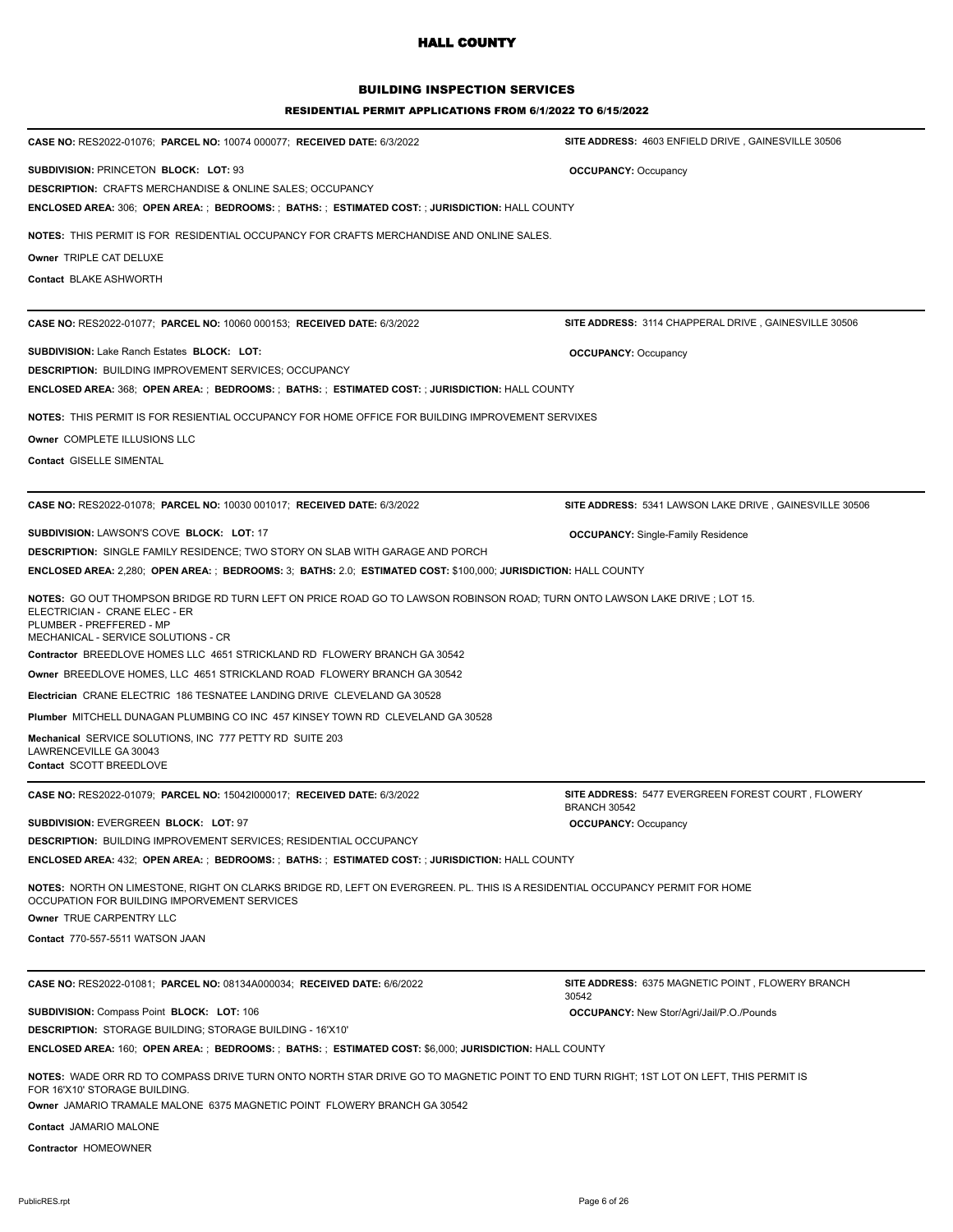## BUILDING INSPECTION SERVICES

#### RESIDENTIAL PERMIT APPLICATIONS FROM 6/1/2022 TO 6/15/2022

| CASE NO: RES2022-01076; PARCEL NO: 10074 000077; RECEIVED DATE: 6/3/2022                                                                                                                                                       | SITE ADDRESS: 4603 ENFIELD DRIVE, GAINESVILLE 30506                              |
|--------------------------------------------------------------------------------------------------------------------------------------------------------------------------------------------------------------------------------|----------------------------------------------------------------------------------|
| SUBDIVISION: PRINCETON BLOCK: LOT: 93                                                                                                                                                                                          | <b>OCCUPANCY: Occupancy</b>                                                      |
| <b>DESCRIPTION: CRAFTS MERCHANDISE &amp; ONLINE SALES; OCCUPANCY</b>                                                                                                                                                           |                                                                                  |
| <b>ENCLOSED AREA: 306; OPEN AREA: ; BEDROOMS: ; BATHS: ; ESTIMATED COST: ; JURISDICTION: HALL COUNTY</b>                                                                                                                       |                                                                                  |
| NOTES: THIS PERMIT IS FOR RESIDENTIAL OCCUPANCY FOR CRAFTS MERCHANDISE AND ONLINE SALES.                                                                                                                                       |                                                                                  |
| Owner TRIPLE CAT DELUXE                                                                                                                                                                                                        |                                                                                  |
| Contact BLAKE ASHWORTH                                                                                                                                                                                                         |                                                                                  |
|                                                                                                                                                                                                                                |                                                                                  |
| CASE NO: RES2022-01077; PARCEL NO: 10060 000153; RECEIVED DATE: 6/3/2022                                                                                                                                                       | SITE ADDRESS: 3114 CHAPPERAL DRIVE, GAINESVILLE 30506                            |
| <b>SUBDIVISION: Lake Ranch Estates BLOCK: LOT:</b>                                                                                                                                                                             | <b>OCCUPANCY: Occupancy</b>                                                      |
| <b>DESCRIPTION: BUILDING IMPROVEMENT SERVICES; OCCUPANCY</b>                                                                                                                                                                   |                                                                                  |
| <b>ENCLOSED AREA: 368; OPEN AREA: ; BEDROOMS: ; BATHS: ; ESTIMATED COST: ; JURISDICTION: HALL COUNTY</b>                                                                                                                       |                                                                                  |
| NOTES: THIS PERMIT IS FOR RESIENTIAL OCCUPANCY FOR HOME OFFICE FOR BUILDING IMPROVEMENT SERVIXES                                                                                                                               |                                                                                  |
| Owner COMPLETE ILLUSIONS LLC                                                                                                                                                                                                   |                                                                                  |
| <b>Contact GISELLE SIMENTAL</b>                                                                                                                                                                                                |                                                                                  |
|                                                                                                                                                                                                                                |                                                                                  |
| CASE NO: RES2022-01078; PARCEL NO: 10030 001017; RECEIVED DATE: 6/3/2022                                                                                                                                                       | SITE ADDRESS: 5341 LAWSON LAKE DRIVE, GAINESVILLE 30506                          |
| <b>SUBDIVISION: LAWSON'S COVE BLOCK: LOT: 17</b>                                                                                                                                                                               | <b>OCCUPANCY:</b> Single-Family Residence                                        |
| <b>DESCRIPTION: SINGLE FAMILY RESIDENCE; TWO STORY ON SLAB WITH GARAGE AND PORCH</b>                                                                                                                                           |                                                                                  |
| ENCLOSED AREA: 2,280; OPEN AREA: ; BEDROOMS: 3; BATHS: 2.0; ESTIMATED COST: \$100,000; JURISDICTION: HALL COUNTY                                                                                                               |                                                                                  |
| NOTES: GO OUT THOMPSON BRIDGE RD TURN LEFT ON PRICE ROAD GO TO LAWSON ROBINSON ROAD; TURN ONTO LAWSON LAKE DRIVE ; LOT 15.<br>ELECTRICIAN - CRANE ELEC - ER<br>PLUMBER - PREFFERED - MP<br>MECHANICAL - SERVICE SOLUTIONS - CR |                                                                                  |
| Contractor BREEDLOVE HOMES LLC 4651 STRICKLAND RD FLOWERY BRANCH GA 30542                                                                                                                                                      |                                                                                  |
| <b>Owner BREEDLOVE HOMES, LLC 4651 STRICKLAND ROAD FLOWERY BRANCH GA 30542</b>                                                                                                                                                 |                                                                                  |
| Electrician CRANE ELECTRIC 186 TESNATEE LANDING DRIVE CLEVELAND GA 30528                                                                                                                                                       |                                                                                  |
| <b>Plumber MITCHELL DUNAGAN PLUMBING CO INC 457 KINSEY TOWN RD CLEVELAND GA 30528</b>                                                                                                                                          |                                                                                  |
| Mechanical SERVICE SOLUTIONS, INC 777 PETTY RD SUITE 203                                                                                                                                                                       |                                                                                  |
| LAWRENCEVILLE GA 30043<br>Contact SCOTT BREEDLOVE                                                                                                                                                                              |                                                                                  |
|                                                                                                                                                                                                                                |                                                                                  |
| CASE NO: RES2022-01079; PARCEL NO: 150421000017; RECEIVED DATE: 6/3/2022                                                                                                                                                       | <b>SITE ADDRESS: 5477 EVERGREEN FOREST COURT, FLOWERY</b><br><b>BRANCH 30542</b> |
| SUBDIVISION: EVERGREEN BLOCK: LOT: 97                                                                                                                                                                                          | <b>OCCUPANCY: Occupancy</b>                                                      |
| <b>DESCRIPTION: BUILDING IMPROVEMENT SERVICES; RESIDENTIAL OCCUPANCY</b>                                                                                                                                                       |                                                                                  |
| ENCLOSED AREA: 432; OPEN AREA: ; BEDROOMS: ; BATHS: ; ESTIMATED COST: ; JURISDICTION: HALL COUNTY                                                                                                                              |                                                                                  |
| NOTES: NORTH ON LIMESTONE, RIGHT ON CLARKS BRIDGE RD, LEFT ON EVERGREEN. PL. THIS IS A RESIDENTIAL OCCUPANCY PERMIT FOR HOME<br>OCCUPATION FOR BUILDING IMPORVEMENT SERVICES                                                   |                                                                                  |
| Owner TRUE CARPENTRY LLC                                                                                                                                                                                                       |                                                                                  |
| Contact 770-557-5511 WATSON JAAN                                                                                                                                                                                               |                                                                                  |
|                                                                                                                                                                                                                                |                                                                                  |
| CASE NO: RES2022-01081; PARCEL NO: 08134A000034; RECEIVED DATE: 6/6/2022                                                                                                                                                       | SITE ADDRESS: 6375 MAGNETIC POINT, FLOWERY BRANCH<br>30542                       |
| <b>SUBDIVISION: Compass Point BLOCK: LOT: 106</b>                                                                                                                                                                              | <b>OCCUPANCY:</b> New Stor/Agri/Jail/P.O./Pounds                                 |
| <b>DESCRIPTION: STORAGE BUILDING; STORAGE BUILDING - 16'X10'</b>                                                                                                                                                               |                                                                                  |
| ENCLOSED AREA: 160; OPEN AREA: ; BEDROOMS: ; BATHS: ; ESTIMATED COST: \$6,000; JURISDICTION: HALL COUNTY                                                                                                                       |                                                                                  |
| NOTES: WADE ORR RD TO COMPASS DRIVE TURN ONTO NORTH STAR DRIVE GO TO MAGNETIC POINT TO END TURN RIGHT; 1ST LOT ON LEFT, THIS PERMIT IS<br>FOR 16'X10' STORAGE BUILDING.                                                        |                                                                                  |
| Owner JAMARIO TRAMALE MALONE 6375 MAGNETIC POINT FLOWERY BRANCH GA 30542                                                                                                                                                       |                                                                                  |
| Contact JAMARIO MALONE                                                                                                                                                                                                         |                                                                                  |

**Contractor** HOMEOWNER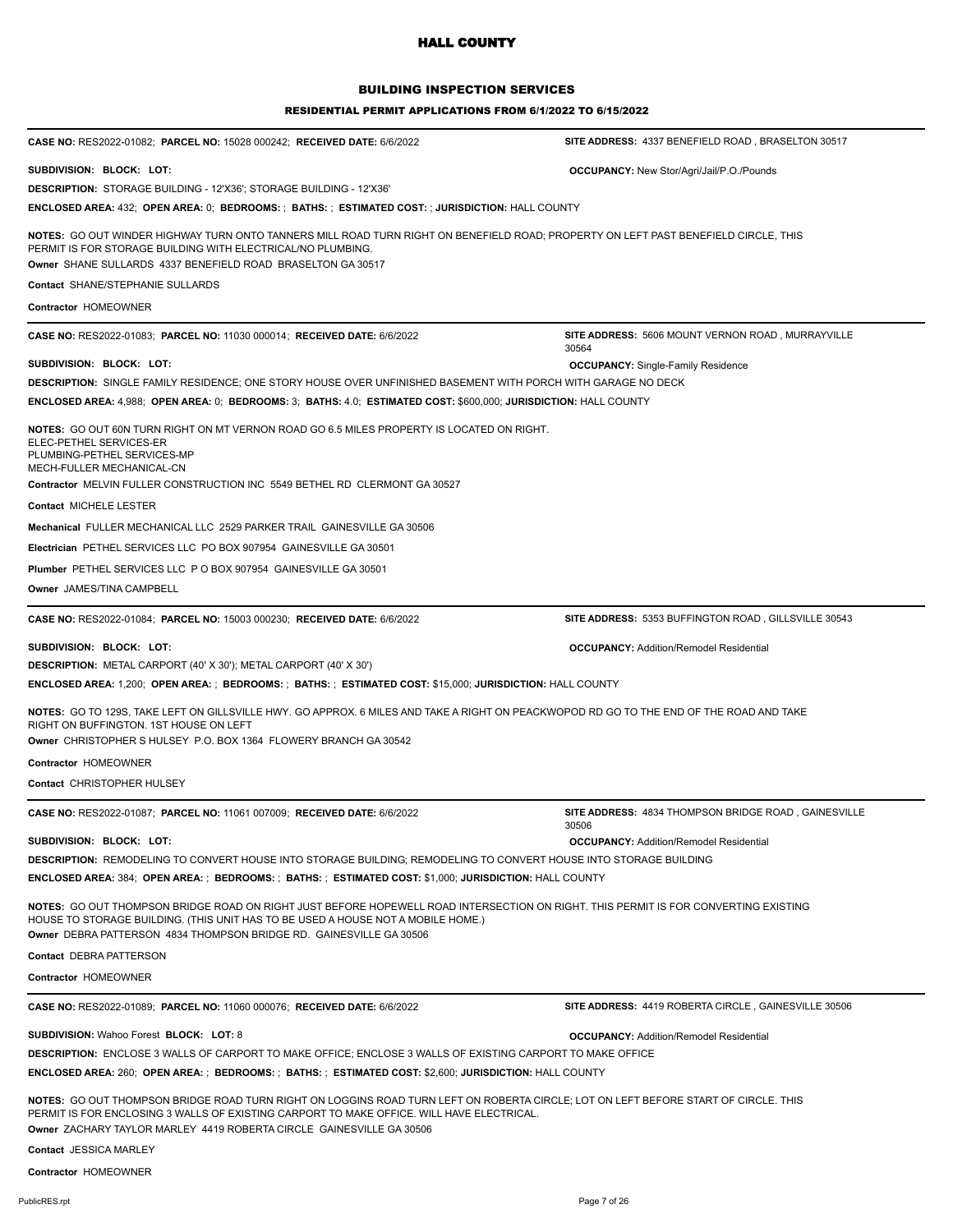| <b>BUILDING INSPECTION SERVICES</b><br><b>RESIDENTIAL PERMIT APPLICATIONS FROM 6/1/2022 TO 6/15/2022</b>                                                                                                                                                          |                                                            |  |
|-------------------------------------------------------------------------------------------------------------------------------------------------------------------------------------------------------------------------------------------------------------------|------------------------------------------------------------|--|
| CASE NO: RES2022-01082; PARCEL NO: 15028 000242; RECEIVED DATE: 6/6/2022                                                                                                                                                                                          | SITE ADDRESS: 4337 BENEFIELD ROAD, BRASELTON 30517         |  |
| SUBDIVISION: BLOCK: LOT:                                                                                                                                                                                                                                          | <b>OCCUPANCY:</b> New Stor/Agri/Jail/P.O./Pounds           |  |
| <b>DESCRIPTION: STORAGE BUILDING - 12'X36'; STORAGE BUILDING - 12'X36'</b>                                                                                                                                                                                        |                                                            |  |
| ENCLOSED AREA: 432; OPEN AREA: 0; BEDROOMS: ; BATHS: ; ESTIMATED COST: ; JURISDICTION: HALL COUNTY                                                                                                                                                                |                                                            |  |
| NOTES: GO OUT WINDER HIGHWAY TURN ONTO TANNERS MILL ROAD TURN RIGHT ON BENEFIELD ROAD; PROPERTY ON LEFT PAST BENEFIELD CIRCLE, THIS<br>PERMIT IS FOR STORAGE BUILDING WITH ELECTRICAL/NO PLUMBING.<br>Owner SHANE SULLARDS 4337 BENEFIELD ROAD BRASELTON GA 30517 |                                                            |  |
| <b>Contact SHANE/STEPHANIE SULLARDS</b>                                                                                                                                                                                                                           |                                                            |  |
| <b>Contractor HOMEOWNER</b>                                                                                                                                                                                                                                       |                                                            |  |
| CASE NO: RES2022-01083; PARCEL NO: 11030 000014; RECEIVED DATE: 6/6/2022                                                                                                                                                                                          | SITE ADDRESS: 5606 MOUNT VERNON ROAD, MURRAYVILLE<br>30564 |  |
| SUBDIVISION: BLOCK: LOT:                                                                                                                                                                                                                                          | <b>OCCUPANCY:</b> Single-Family Residence                  |  |
| DESCRIPTION: SINGLE FAMILY RESIDENCE; ONE STORY HOUSE OVER UNFINISHED BASEMENT WITH PORCH WITH GARAGE NO DECK                                                                                                                                                     |                                                            |  |
| ENCLOSED AREA: 4,988; OPEN AREA: 0; BEDROOMS: 3; BATHS: 4.0; ESTIMATED COST: \$600,000; JURISDICTION: HALL COUNTY                                                                                                                                                 |                                                            |  |
| NOTES: GO OUT 60N TURN RIGHT ON MT VERNON ROAD GO 6.5 MILES PROPERTY IS LOCATED ON RIGHT.<br>ELEC-PETHEL SERVICES-ER<br>PLUMBING-PETHEL SERVICES-MP<br>MECH-FULLER MECHANICAL-CN<br>Contractor MELVIN FULLER CONSTRUCTION INC 5549 BETHEL RD CLERMONT GA 30527    |                                                            |  |

**Contact** MICHELE LESTER

**Mechanical** FULLER MECHANICAL LLC 2529 PARKER TRAIL GAINESVILLE GA 30506

**Electrician** PETHEL SERVICES LLC PO BOX 907954 GAINESVILLE GA 30501

**Plumber** PETHEL SERVICES LLC P O BOX 907954 GAINESVILLE GA 30501

**Owner** JAMES/TINA CAMPBELL

**CASE NO:** RES2022-01084; **PARCEL NO:** 15003 000230; **RECEIVED DATE:** 6/6/2022

**SUBDIVISION: BLOCK: LOT: OCCUPANCY:** Addition/Remodel Residential

**DESCRIPTION:** METAL CARPORT (40' X 30'); METAL CARPORT (40' X 30')

**ENCLOSED AREA:** 1,200; **OPEN AREA:** ; **BEDROOMS:** ; **BATHS:** ; **ESTIMATED COST:** \$15,000; **JURISDICTION:** HALL COUNTY

**NOTES:** GO TO 129S, TAKE LEFT ON GILLSVILLE HWY. GO APPROX. 6 MILES AND TAKE A RIGHT ON PEACKWOPOD RD GO TO THE END OF THE ROAD AND TAKE

RIGHT ON BUFFINGTON. 1ST HOUSE ON LEFT **Owner** CHRISTOPHER S HULSEY P.O. BOX 1364 FLOWERY BRANCH GA 30542

**Contractor** HOMEOWNER

**Contact** CHRISTOPHER HULSEY

**CASE NO:** RES2022-01087; **PARCEL NO:** 11061 007009; **RECEIVED DATE:** 6/6/2022

**SITE ADDRESS:** 4834 THOMPSON BRIDGE ROAD , GAINESVILLE 30506

**SITE ADDRESS:** 5353 BUFFINGTON ROAD , GILLSVILLE 30543

**SUBDIVISION: BLOCK: LOT: OCCUPANCY:** Addition/Remodel Residential

**DESCRIPTION:** REMODELING TO CONVERT HOUSE INTO STORAGE BUILDING; REMODELING TO CONVERT HOUSE INTO STORAGE BUILDING

**ENCLOSED AREA:** 384; **OPEN AREA:** ; **BEDROOMS:** ; **BATHS:** ; **ESTIMATED COST:** \$1,000; **JURISDICTION:** HALL COUNTY

**NOTES:** GO OUT THOMPSON BRIDGE ROAD ON RIGHT JUST BEFORE HOPEWELL ROAD INTERSECTION ON RIGHT. THIS PERMIT IS FOR CONVERTING EXISTING HOUSE TO STORAGE BUILDING. (THIS UNIT HAS TO BE USED A HOUSE NOT A MOBILE HOME.) **Owner** DEBRA PATTERSON 4834 THOMPSON BRIDGE RD. GAINESVILLE GA 30506

**Contact** DEBRA PATTERSON

**Contractor** HOMEOWNER

**CASE NO:** RES2022-01089; **PARCEL NO:** 11060 000076; **RECEIVED DATE:** 6/6/2022

**SUBDIVISION:** Wahoo Forest **BLOCK: LOT:** 8 **OCCUPANCY:** Addition/Remodel Residential

**SITE ADDRESS:** 4419 ROBERTA CIRCLE , GAINESVILLE 30506

**DESCRIPTION:** ENCLOSE 3 WALLS OF CARPORT TO MAKE OFFICE; ENCLOSE 3 WALLS OF EXISTING CARPORT TO MAKE OFFICE

**ENCLOSED AREA:** 260; **OPEN AREA:** ; **BEDROOMS:** ; **BATHS:** ; **ESTIMATED COST:** \$2,600; **JURISDICTION:** HALL COUNTY

**NOTES:** GO OUT THOMPSON BRIDGE ROAD TURN RIGHT ON LOGGINS ROAD TURN LEFT ON ROBERTA CIRCLE; LOT ON LEFT BEFORE START OF CIRCLE. THIS PERMIT IS FOR ENCLOSING 3 WALLS OF EXISTING CARPORT TO MAKE OFFICE. WILL HAVE ELECTRICAL.

**Owner** ZACHARY TAYLOR MARLEY 4419 ROBERTA CIRCLE GAINESVILLE GA 30506

**Contact** JESSICA MARLEY

**Contractor** HOMEOWNER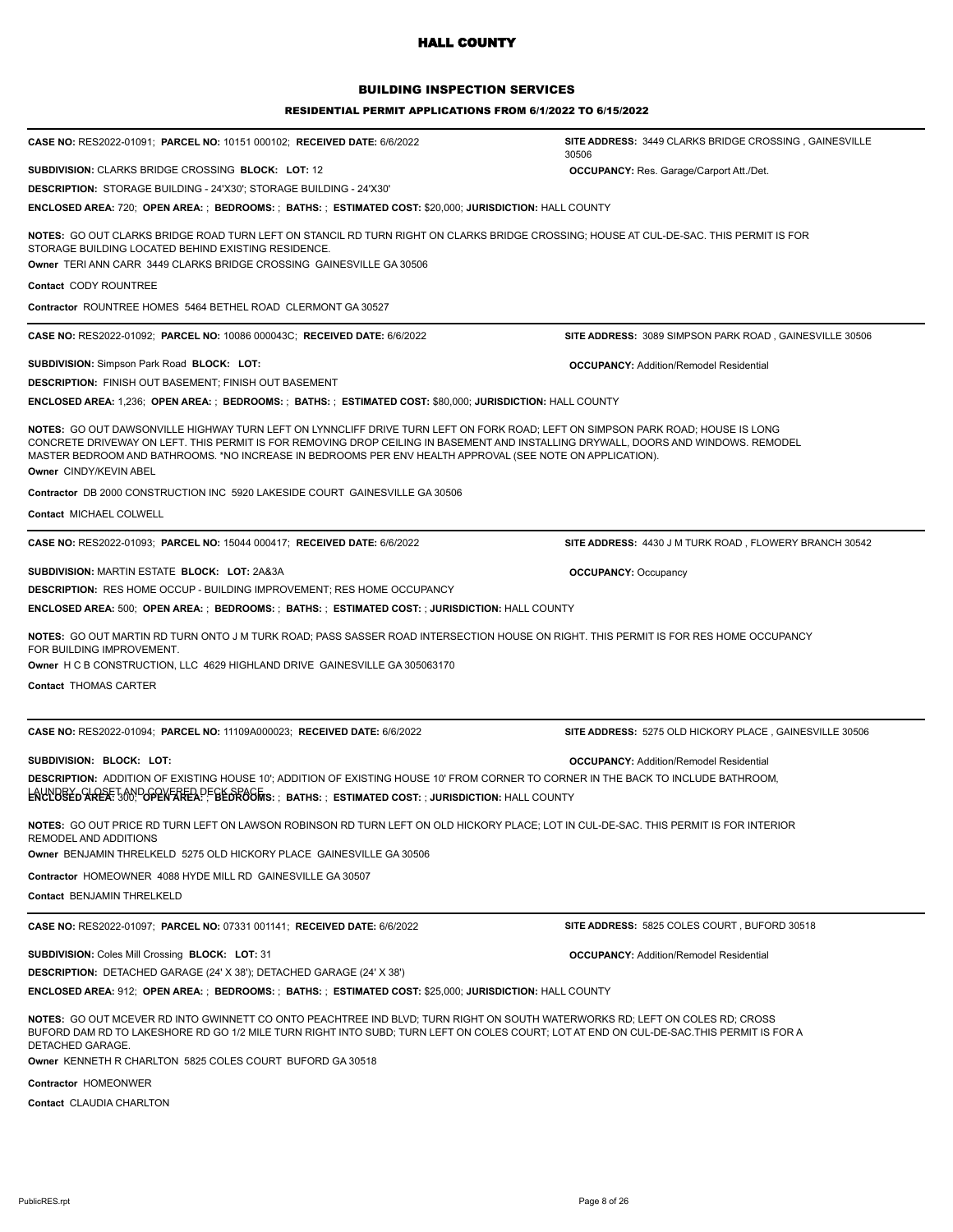### BUILDING INSPECTION SERVICES

#### RESIDENTIAL PERMIT APPLICATIONS FROM 6/1/2022 TO 6/15/2022

| <b>CASE NO: RES2022-01091; PARCEL NO: 10151 000102; RECEIVED DATE: 6/6/2022</b>                                                                                                                                                                                                                                                                                                                              | <b>SITE ADDRESS: 3449 CLARKS BRIDGE CROSSING, GAINESVILLE</b><br>30506 |  |
|--------------------------------------------------------------------------------------------------------------------------------------------------------------------------------------------------------------------------------------------------------------------------------------------------------------------------------------------------------------------------------------------------------------|------------------------------------------------------------------------|--|
| SUBDIVISION: CLARKS BRIDGE CROSSING BLOCK: LOT: 12                                                                                                                                                                                                                                                                                                                                                           | <b>OCCUPANCY:</b> Res. Garage/Carport Att./Det.                        |  |
| DESCRIPTION: STORAGE BUILDING - 24'X30'; STORAGE BUILDING - 24'X30'                                                                                                                                                                                                                                                                                                                                          |                                                                        |  |
| ENCLOSED AREA: 720;  OPEN AREA: ;  BEDROOMS: ;  BATHS: ;  ESTIMATED COST: \$20,000; JURISDICTION: HALL COUNTY                                                                                                                                                                                                                                                                                                |                                                                        |  |
| NOTES: GO OUT CLARKS BRIDGE ROAD TURN LEFT ON STANCIL RD TURN RIGHT ON CLARKS BRIDGE CROSSING; HOUSE AT CUL-DE-SAC. THIS PERMIT IS FOR<br>STORAGE BUILDING LOCATED BEHIND EXISTING RESIDENCE.<br>Owner TERI ANN CARR 3449 CLARKS BRIDGE CROSSING GAINESVILLE GA 30506                                                                                                                                        |                                                                        |  |
| Contact CODY ROUNTREE                                                                                                                                                                                                                                                                                                                                                                                        |                                                                        |  |
| Contractor ROUNTREE HOMES 5464 BETHEL ROAD CLERMONT GA 30527                                                                                                                                                                                                                                                                                                                                                 |                                                                        |  |
|                                                                                                                                                                                                                                                                                                                                                                                                              |                                                                        |  |
| <b>CASE NO: RES2022-01092; PARCEL NO: 10086 000043C; RECEIVED DATE: 6/6/2022</b>                                                                                                                                                                                                                                                                                                                             | SITE ADDRESS: 3089 SIMPSON PARK ROAD, GAINESVILLE 30506                |  |
| <b>SUBDIVISION: Simpson Park Road BLOCK: LOT:</b>                                                                                                                                                                                                                                                                                                                                                            | <b>OCCUPANCY: Addition/Remodel Residential</b>                         |  |
| DESCRIPTION: FINISH OUT BASEMENT; FINISH OUT BASEMENT                                                                                                                                                                                                                                                                                                                                                        |                                                                        |  |
| ENCLOSED AREA: 1,236;  OPEN AREA: ;  BEDROOMS: ;  BATHS: ;  ESTIMATED COST: \$80,000; JURISDICTION: HALL COUNTY                                                                                                                                                                                                                                                                                              |                                                                        |  |
| NOTES: GO OUT DAWSONVILLE HIGHWAY TURN LEFT ON LYNNCLIFF DRIVE TURN LEFT ON FORK ROAD; LEFT ON SIMPSON PARK ROAD; HOUSE IS LONG<br>CONCRETE DRIVEWAY ON LEFT. THIS PERMIT IS FOR REMOVING DROP CEILING IN BASEMENT AND INSTALLING DRYWALL, DOORS AND WINDOWS. REMODEL<br>MASTER BEDROOM AND BATHROOMS. *NO INCREASE IN BEDROOMS PER ENV HEALTH APPROVAL (SEE NOTE ON APPLICATION).<br>Owner CINDY/KEVIN ABEL |                                                                        |  |
| Contractor DB 2000 CONSTRUCTION INC 5920 LAKESIDE COURT GAINESVILLE GA 30506                                                                                                                                                                                                                                                                                                                                 |                                                                        |  |
| <b>Contact MICHAEL COLWELL</b>                                                                                                                                                                                                                                                                                                                                                                               |                                                                        |  |
|                                                                                                                                                                                                                                                                                                                                                                                                              |                                                                        |  |
| CASE NO: RES2022-01093; PARCEL NO: 15044 000417; RECEIVED DATE: 6/6/2022                                                                                                                                                                                                                                                                                                                                     | SITE ADDRESS: 4430 J M TURK ROAD, FLOWERY BRANCH 30542                 |  |
| SUBDIVISION: MARTIN ESTATE BLOCK: LOT: 2A&3A                                                                                                                                                                                                                                                                                                                                                                 | <b>OCCUPANCY: Occupancy</b>                                            |  |
| <b>DESCRIPTION: RES HOME OCCUP - BUILDING IMPROVEMENT; RES HOME OCCUPANCY</b>                                                                                                                                                                                                                                                                                                                                |                                                                        |  |
| ENCLOSED AREA: 500;  OPEN AREA: ;  BEDROOMS: ;  BATHS: ;  ESTIMATED COST: ; JURISDICTION: HALL COUNTY                                                                                                                                                                                                                                                                                                        |                                                                        |  |
| NOTES: GO OUT MARTIN RD TURN ONTO J M TURK ROAD; PASS SASSER ROAD INTERSECTION HOUSE ON RIGHT. THIS PERMIT IS FOR RES HOME OCCUPANCY<br>FOR BUILDING IMPROVEMENT.                                                                                                                                                                                                                                            |                                                                        |  |
| Owner H C B CONSTRUCTION, LLC 4629 HIGHLAND DRIVE GAINESVILLE GA 305063170                                                                                                                                                                                                                                                                                                                                   |                                                                        |  |
| Contact THOMAS CARTER                                                                                                                                                                                                                                                                                                                                                                                        |                                                                        |  |
| CASE NO: RES2022-01094; PARCEL NO: 11109A000023; RECEIVED DATE: 6/6/2022                                                                                                                                                                                                                                                                                                                                     | SITE ADDRESS: 5275 OLD HICKORY PLACE, GAINESVILLE 30506                |  |
| SUBDIVISION: BLOCK: LOT:                                                                                                                                                                                                                                                                                                                                                                                     |                                                                        |  |
| DESCRIPTION: ADDITION OF EXISTING HOUSE 10'; ADDITION OF EXISTING HOUSE 10' FROM CORNER TO CORNER IN THE BACK TO INCLUDE BATHROOM,                                                                                                                                                                                                                                                                           | <b>OCCUPANCY: Addition/Remodel Residential</b>                         |  |
| ENCLOBED STREST JON DGPEN FREA PF BE DROGINS: ; BATHS: ; ESTIMATED COST: ; JURISDICTION: HALL COUNTY                                                                                                                                                                                                                                                                                                         |                                                                        |  |
|                                                                                                                                                                                                                                                                                                                                                                                                              |                                                                        |  |
| <b>NOTES:</b> GO OUT PRICE RD TURN LEFT ON LAWSON ROBINSON RD TURN LEFT ON OLD HICKORY PLACE; LOT IN CUL-DE-SAC. THIS PERMIT IS FOR INTERIOR<br>REMODEL AND ADDITIONS                                                                                                                                                                                                                                        |                                                                        |  |
| Owner BENJAMIN THRELKELD 5275 OLD HICKORY PLACE GAINESVILLE GA 30506                                                                                                                                                                                                                                                                                                                                         |                                                                        |  |
| Contractor HOMEOWNER 4088 HYDE MILL RD GAINESVILLE GA 30507                                                                                                                                                                                                                                                                                                                                                  |                                                                        |  |
| Contact BENJAMIN THRELKELD                                                                                                                                                                                                                                                                                                                                                                                   |                                                                        |  |
| CASE NO: RES2022-01097; PARCEL NO: 07331 001141; RECEIVED DATE: 6/6/2022                                                                                                                                                                                                                                                                                                                                     | SITE ADDRESS: 5825 COLES COURT, BUFORD 30518                           |  |
| SUBDIVISION: Coles Mill Crossing BLOCK: LOT: 31                                                                                                                                                                                                                                                                                                                                                              |                                                                        |  |
| DESCRIPTION: DETACHED GARAGE (24' X 38'); DETACHED GARAGE (24' X 38')                                                                                                                                                                                                                                                                                                                                        | <b>OCCUPANCY: Addition/Remodel Residential</b>                         |  |
| ENCLOSED AREA: 912;  OPEN AREA: ;  BEDROOMS: ;  BATHS: ;  ESTIMATED COST: \$25,000; JURISDICTION: HALL COUNTY                                                                                                                                                                                                                                                                                                |                                                                        |  |
|                                                                                                                                                                                                                                                                                                                                                                                                              |                                                                        |  |
| NOTES: GO OUT MCEVER RD INTO GWINNETT CO ONTO PEACHTREE IND BLVD; TURN RIGHT ON SOUTH WATERWORKS RD; LEFT ON COLES RD; CROSS<br>BUFORD DAM RD TO LAKESHORE RD GO 1/2 MILE TURN RIGHT INTO SUBD; TURN LEFT ON COLES COURT; LOT AT END ON CUL-DE-SAC.THIS PERMIT IS FOR A<br>DETACHED GARAGE.                                                                                                                  |                                                                        |  |
| Owner KENNETH R CHARLTON 5825 COLES COURT BUFORD GA 30518                                                                                                                                                                                                                                                                                                                                                    |                                                                        |  |
| Contractor HOMEONWER                                                                                                                                                                                                                                                                                                                                                                                         |                                                                        |  |

**Contact** CLAUDIA CHARLTON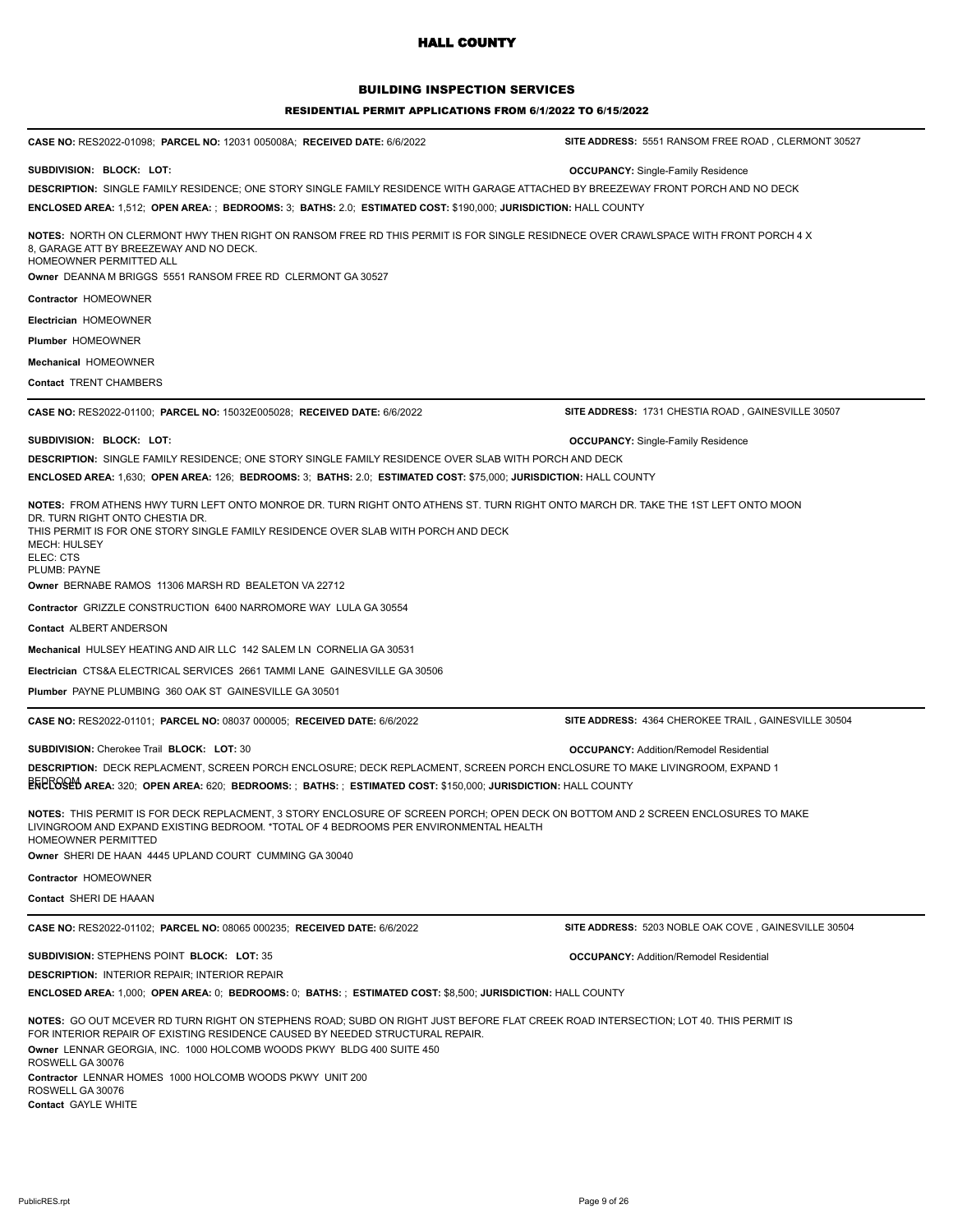## BUILDING INSPECTION SERVICES

#### RESIDENTIAL PERMIT APPLICATIONS FROM 6/1/2022 TO 6/15/2022

| CASE NO: RES2022-01098; PARCEL NO: 12031 005008A; RECEIVED DATE: 6/6/2022                                                                                                                                                                                                                                                                                                                                                       | SITE ADDRESS: 5551 RANSOM FREE ROAD, CLERMONT 30527  |
|---------------------------------------------------------------------------------------------------------------------------------------------------------------------------------------------------------------------------------------------------------------------------------------------------------------------------------------------------------------------------------------------------------------------------------|------------------------------------------------------|
| SUBDIVISION: BLOCK: LOT:                                                                                                                                                                                                                                                                                                                                                                                                        | <b>OCCUPANCY:</b> Single-Family Residence            |
| DESCRIPTION: SINGLE FAMILY RESIDENCE; ONE STORY SINGLE FAMILY RESIDENCE WITH GARAGE ATTACHED BY BREEZEWAY FRONT PORCH AND NO DECK<br>ENCLOSED AREA: 1,512;  OPEN AREA: ;  BEDROOMS: 3;  BATHS: 2.0;  ESTIMATED COST: \$190,000; JURISDICTION: HALL COUNTY                                                                                                                                                                       |                                                      |
| NOTES: NORTH ON CLERMONT HWY THEN RIGHT ON RANSOM FREE RD THIS PERMIT IS FOR SINGLE RESIDNECE OVER CRAWLSPACE WITH FRONT PORCH 4 X<br>8. GARAGE ATT BY BREEZEWAY AND NO DECK.<br>HOMEOWNER PERMITTED ALL<br>Owner DEANNA M BRIGGS 5551 RANSOM FREE RD CLERMONT GA 30527                                                                                                                                                         |                                                      |
| Contractor HOMEOWNER                                                                                                                                                                                                                                                                                                                                                                                                            |                                                      |
| Electrician HOMEOWNER                                                                                                                                                                                                                                                                                                                                                                                                           |                                                      |
| <b>Plumber HOMEOWNER</b>                                                                                                                                                                                                                                                                                                                                                                                                        |                                                      |
| Mechanical HOMEOWNER                                                                                                                                                                                                                                                                                                                                                                                                            |                                                      |
| <b>Contact TRENT CHAMBERS</b>                                                                                                                                                                                                                                                                                                                                                                                                   |                                                      |
|                                                                                                                                                                                                                                                                                                                                                                                                                                 |                                                      |
| CASE NO: RES2022-01100; PARCEL NO: 15032E005028; RECEIVED DATE: 6/6/2022                                                                                                                                                                                                                                                                                                                                                        | SITE ADDRESS: 1731 CHESTIA ROAD, GAINESVILLE 30507   |
| SUBDIVISION: BLOCK: LOT:                                                                                                                                                                                                                                                                                                                                                                                                        | <b>OCCUPANCY:</b> Single-Family Residence            |
| DESCRIPTION: SINGLE FAMILY RESIDENCE; ONE STORY SINGLE FAMILY RESIDENCE OVER SLAB WITH PORCH AND DECK                                                                                                                                                                                                                                                                                                                           |                                                      |
| ENCLOSED AREA: 1,630;  OPEN AREA: 126;  BEDROOMS: 3;  BATHS: 2.0;  ESTIMATED COST: \$75,000; JURISDICTION: HALL COUNTY                                                                                                                                                                                                                                                                                                          |                                                      |
| <b>NOTES:</b> FROM ATHENS HWY TURN LEFT ONTO MONROE DR. TURN RIGHT ONTO ATHENS ST. TURN RIGHT ONTO MARCH DR. TAKE THE 1ST LEFT ONTO MOON<br>DR. TURN RIGHT ONTO CHESTIA DR.<br>THIS PERMIT IS FOR ONE STORY SINGLE FAMILY RESIDENCE OVER SLAB WITH PORCH AND DECK<br>MECH: HULSEY<br>ELEC: CTS<br>PLUMB: PAYNE                                                                                                                  |                                                      |
| Owner BERNABE RAMOS 11306 MARSH RD BEALETON VA 22712                                                                                                                                                                                                                                                                                                                                                                            |                                                      |
| Contractor GRIZZLE CONSTRUCTION 6400 NARROMORE WAY LULA GA 30554                                                                                                                                                                                                                                                                                                                                                                |                                                      |
| Contact ALBERT ANDERSON                                                                                                                                                                                                                                                                                                                                                                                                         |                                                      |
| Mechanical HULSEY HEATING AND AIR LLC 142 SALEM LN CORNELIA GA 30531                                                                                                                                                                                                                                                                                                                                                            |                                                      |
| Electrician CTS&A ELECTRICAL SERVICES 2661 TAMMI LANE GAINESVILLE GA 30506                                                                                                                                                                                                                                                                                                                                                      |                                                      |
| <b>Plumber</b> PAYNE PLUMBING 360 OAK ST GAINESVILLE GA 30501                                                                                                                                                                                                                                                                                                                                                                   |                                                      |
| <b>CASE NO: RES2022-01101; PARCEL NO: 08037 000005; RECEIVED DATE: 6/6/2022</b>                                                                                                                                                                                                                                                                                                                                                 | SITE ADDRESS: 4364 CHEROKEE TRAIL, GAINESVILLE 30504 |
| <b>SUBDIVISION: Cherokee Trail BLOCK: LOT: 30</b>                                                                                                                                                                                                                                                                                                                                                                               | <b>OCCUPANCY: Addition/Remodel Residential</b>       |
| DESCRIPTION: DECK REPLACMENT, SCREEN PORCH ENCLOSURE; DECK REPLACMENT, SCREEN PORCH ENCLOSURE TO MAKE LIVINGROOM, EXPAND 1                                                                                                                                                                                                                                                                                                      |                                                      |
| $\mathsf{ERERSH}$ area: 320; Open area: 620; Bedrooms: ; Baths: ; Estimated Cost: \$150,000; Jurisdiction: <code>HALL</code> COUNTY                                                                                                                                                                                                                                                                                             |                                                      |
| NOTES: THIS PERMIT IS FOR DECK REPLACMENT, 3 STORY ENCLOSURE OF SCREEN PORCH; OPEN DECK ON BOTTOM AND 2 SCREEN ENCLOSURES TO MAKE<br>LIVINGROOM AND EXPAND EXISTING BEDROOM. *TOTAL OF 4 BEDROOMS PER ENVIRONMENTAL HEALTH<br>HOMEOWNER PERMITTED<br>Owner SHERI DE HAAN 4445 UPLAND COURT CUMMING GA 30040                                                                                                                     |                                                      |
| Contractor HOMEOWNER                                                                                                                                                                                                                                                                                                                                                                                                            |                                                      |
| Contact SHERI DE HAAAN                                                                                                                                                                                                                                                                                                                                                                                                          |                                                      |
| CASE NO: RES2022-01102; PARCEL NO: 08065 000235; RECEIVED DATE: 6/6/2022                                                                                                                                                                                                                                                                                                                                                        | SITE ADDRESS: 5203 NOBLE OAK COVE, GAINESVILLE 30504 |
| SUBDIVISION: STEPHENS POINT BLOCK: LOT: 35                                                                                                                                                                                                                                                                                                                                                                                      | <b>OCCUPANCY: Addition/Remodel Residential</b>       |
| <b>DESCRIPTION: INTERIOR REPAIR: INTERIOR REPAIR</b>                                                                                                                                                                                                                                                                                                                                                                            |                                                      |
| ENCLOSED AREA: 1,000;  OPEN AREA: 0;  BEDROOMS: 0;  BATHS: ;  ESTIMATED COST: \$8,500; JURISDICTION: HALL COUNTY                                                                                                                                                                                                                                                                                                                |                                                      |
| <b>NOTES:</b> GO OUT MCEVER RD TURN RIGHT ON STEPHENS ROAD; SUBD ON RIGHT JUST BEFORE FLAT CREEK ROAD INTERSECTION; LOT 40. THIS PERMIT IS<br>FOR INTERIOR REPAIR OF EXISTING RESIDENCE CAUSED BY NEEDED STRUCTURAL REPAIR.<br>Owner LENNAR GEORGIA, INC. 1000 HOLCOMB WOODS PKWY BLDG 400 SUITE 450<br>ROSWELL GA 30076<br>Contractor LENNAR HOMES 1000 HOLCOMB WOODS PKWY UNIT 200<br>ROSWELL GA 30076<br>Contact GAYLE WHITE |                                                      |
|                                                                                                                                                                                                                                                                                                                                                                                                                                 |                                                      |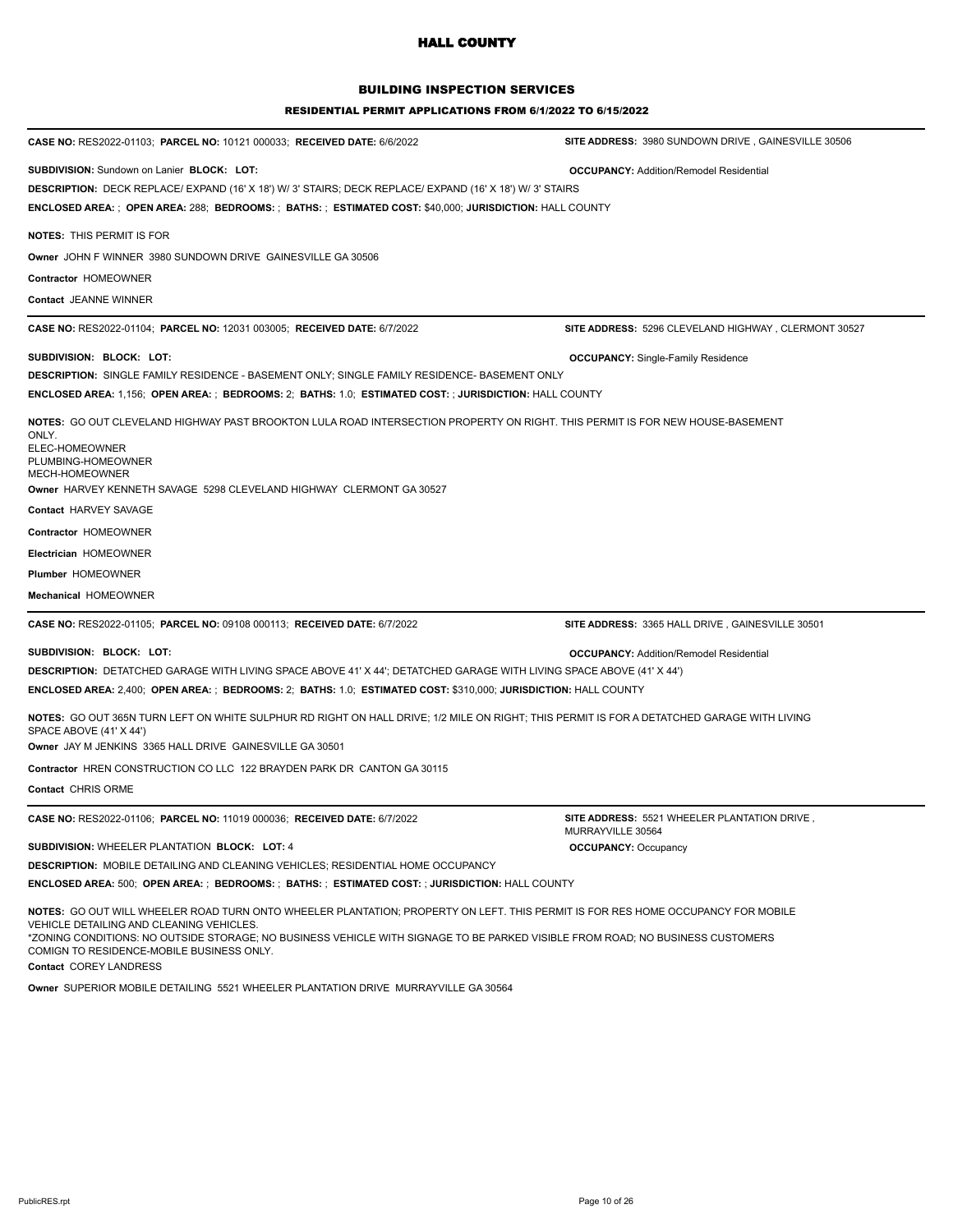## BUILDING INSPECTION SERVICES

#### RESIDENTIAL PERMIT APPLICATIONS FROM 6/1/2022 TO 6/15/2022

| CASE NO: RES2022-01103; PARCEL NO: 10121 000033; RECEIVED DATE: 6/6/2022                                                                                                                                                                                                                                                                                                              | SITE ADDRESS: 3980 SUNDOWN DRIVE, GAINESVILLE 30506                     |
|---------------------------------------------------------------------------------------------------------------------------------------------------------------------------------------------------------------------------------------------------------------------------------------------------------------------------------------------------------------------------------------|-------------------------------------------------------------------------|
| <b>SUBDIVISION:</b> Sundown on Lanier BLOCK: LOT:<br>DESCRIPTION: DECK REPLACE/ EXPAND (16' X 18') W/ 3' STAIRS; DECK REPLACE/ EXPAND (16' X 18') W/ 3' STAIRS<br>ENCLOSED AREA: ; OPEN AREA: 288; BEDROOMS: ; BATHS: ; ESTIMATED COST: \$40,000; JURISDICTION: HALL COUNTY                                                                                                           | <b>OCCUPANCY: Addition/Remodel Residential</b>                          |
| <b>NOTES: THIS PERMIT IS FOR</b>                                                                                                                                                                                                                                                                                                                                                      |                                                                         |
| Owner JOHN F WINNER 3980 SUNDOWN DRIVE GAINESVILLE GA 30506                                                                                                                                                                                                                                                                                                                           |                                                                         |
| Contractor HOMEOWNER                                                                                                                                                                                                                                                                                                                                                                  |                                                                         |
| Contact JEANNE WINNER                                                                                                                                                                                                                                                                                                                                                                 |                                                                         |
| <b>CASE NO: RES2022-01104; PARCEL NO: 12031 003005; RECEIVED DATE: 6/7/2022</b>                                                                                                                                                                                                                                                                                                       | SITE ADDRESS: 5296 CLEVELAND HIGHWAY, CLERMONT 30527                    |
| SUBDIVISION: BLOCK: LOT:                                                                                                                                                                                                                                                                                                                                                              | <b>OCCUPANCY:</b> Single-Family Residence                               |
| <b>DESCRIPTION:</b> SINGLE FAMILY RESIDENCE - BASEMENT ONLY; SINGLE FAMILY RESIDENCE- BASEMENT ONLY                                                                                                                                                                                                                                                                                   |                                                                         |
| ENCLOSED AREA: 1,156;  OPEN AREA: ;  BEDROOMS: 2;  BATHS: 1.0;  ESTIMATED COST: ; JURISDICTION: HALL COUNTY                                                                                                                                                                                                                                                                           |                                                                         |
| <b>NOTES:</b> GO OUT CLEVELAND HIGHWAY PAST BROOKTON LULA ROAD INTERSECTION PROPERTY ON RIGHT. THIS PERMIT IS FOR NEW HOUSE-BASEMENT<br>ONLY.<br>ELEC-HOMEOWNER<br>PLUMBING-HOMEOWNER<br>MECH-HOMEOWNER<br>Owner HARVEY KENNETH SAVAGE 5298 CLEVELAND HIGHWAY CLERMONT GA 30527                                                                                                       |                                                                         |
| <b>Contact HARVEY SAVAGE</b>                                                                                                                                                                                                                                                                                                                                                          |                                                                         |
| Contractor HOMEOWNER                                                                                                                                                                                                                                                                                                                                                                  |                                                                         |
| Electrician HOMEOWNER                                                                                                                                                                                                                                                                                                                                                                 |                                                                         |
| <b>Plumber HOMEOWNER</b>                                                                                                                                                                                                                                                                                                                                                              |                                                                         |
| Mechanical HOMEOWNER                                                                                                                                                                                                                                                                                                                                                                  |                                                                         |
| CASE NO: RES2022-01105; PARCEL NO: 09108 000113; RECEIVED DATE: 6/7/2022                                                                                                                                                                                                                                                                                                              | SITE ADDRESS: 3365 HALL DRIVE, GAINESVILLE 30501                        |
| SUBDIVISION: BLOCK: LOT:                                                                                                                                                                                                                                                                                                                                                              | <b>OCCUPANCY: Addition/Remodel Residential</b>                          |
| DESCRIPTION: DETATCHED GARAGE WITH LIVING SPACE ABOVE 41' X 44'; DETATCHED GARAGE WITH LIVING SPACE ABOVE (41' X 44')                                                                                                                                                                                                                                                                 |                                                                         |
| ENCLOSED AREA: 2,400;  OPEN AREA: ;  BEDROOMS: 2;  BATHS: 1.0;  ESTIMATED COST: \$310,000; JURISDICTION: HALL COUNTY                                                                                                                                                                                                                                                                  |                                                                         |
| NOTES: GO OUT 365N TURN LEFT ON WHITE SULPHUR RD RIGHT ON HALL DRIVE; 1/2 MILE ON RIGHT; THIS PERMIT IS FOR A DETATCHED GARAGE WITH LIVING<br>SPACE ABOVE (41' X 44')<br>Owner JAY M JENKINS 3365 HALL DRIVE GAINESVILLE GA 30501                                                                                                                                                     |                                                                         |
| Contractor HREN CONSTRUCTION CO LLC 122 BRAYDEN PARK DR CANTON GA 30115                                                                                                                                                                                                                                                                                                               |                                                                         |
| Contact CHRIS ORME                                                                                                                                                                                                                                                                                                                                                                    |                                                                         |
| CASE NO: RES2022-01106; PARCEL NO: 11019 000036; RECEIVED DATE: 6/7/2022                                                                                                                                                                                                                                                                                                              | <b>SITE ADDRESS: 5521 WHEELER PLANTATION DRIVE</b><br>MURRAYVILLE 30564 |
| SUBDIVISION: WHEELER PLANTATION BLOCK: LOT: 4                                                                                                                                                                                                                                                                                                                                         | <b>OCCUPANCY: Occupancy</b>                                             |
| <b>DESCRIPTION: MOBILE DETAILING AND CLEANING VEHICLES: RESIDENTIAL HOME OCCUPANCY</b>                                                                                                                                                                                                                                                                                                |                                                                         |
| ENCLOSED AREA: 500; OPEN AREA: ; BEDROOMS: ; BATHS: ; ESTIMATED COST: ; JURISDICTION: HALL COUNTY                                                                                                                                                                                                                                                                                     |                                                                         |
| NOTES: GO OUT WILL WHEELER ROAD TURN ONTO WHEELER PLANTATION; PROPERTY ON LEFT. THIS PERMIT IS FOR RES HOME OCCUPANCY FOR MOBILE<br>VEHICLE DETAILING AND CLEANING VEHICLES.<br>*ZONING CONDITIONS: NO OUTSIDE STORAGE; NO BUSINESS VEHICLE WITH SIGNAGE TO BE PARKED VISIBLE FROM ROAD; NO BUSINESS CUSTOMERS<br>COMIGN TO RESIDENCE-MOBILE BUSINESS ONLY.<br>Contact COREY LANDRESS |                                                                         |

**Owner** SUPERIOR MOBILE DETAILING 5521 WHEELER PLANTATION DRIVE MURRAYVILLE GA 30564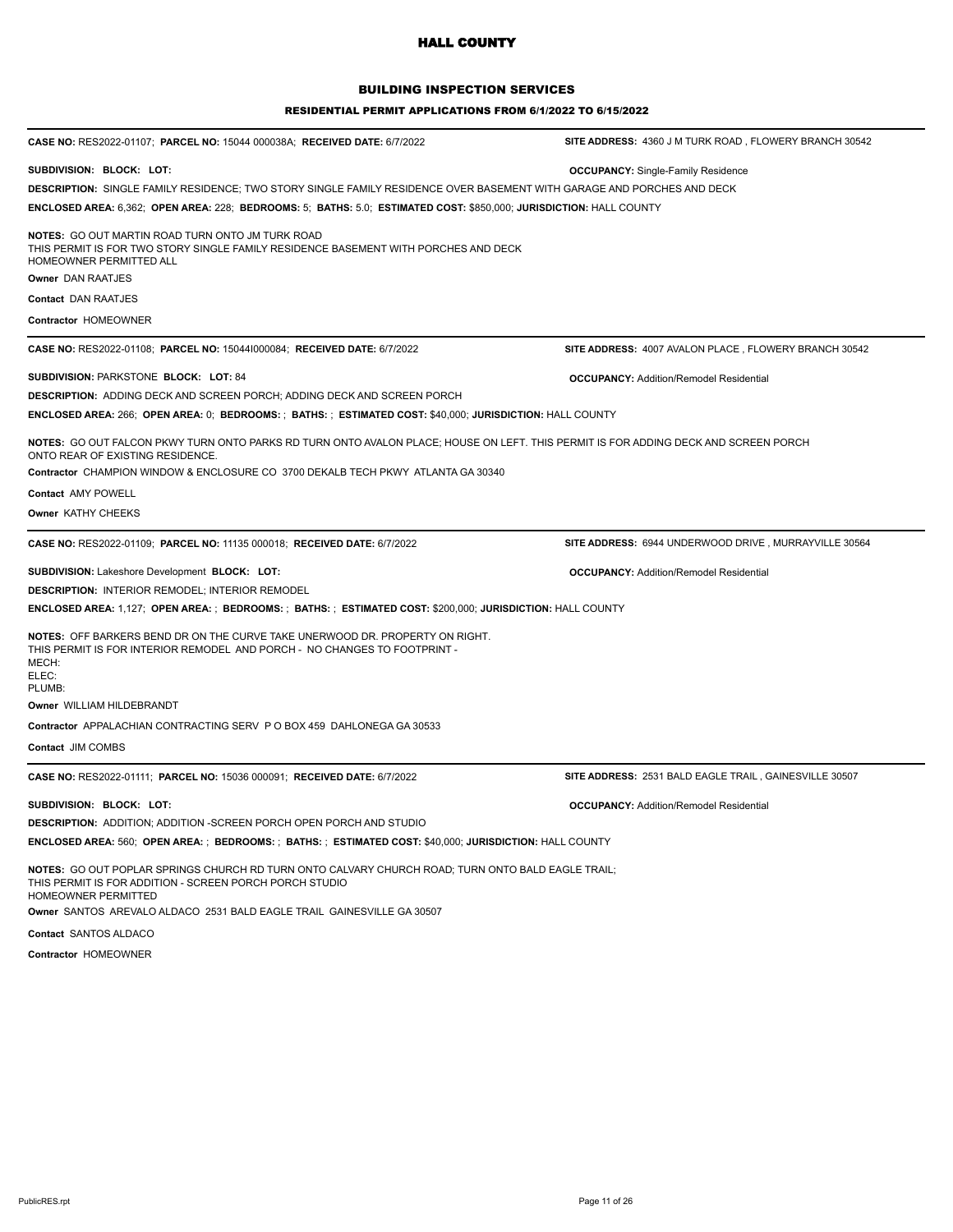## BUILDING INSPECTION SERVICES

| SITE ADDRESS: 4360 J M TURK ROAD, FLOWERY BRANCH 30542                                                                                                                                                                                                      |  |
|-------------------------------------------------------------------------------------------------------------------------------------------------------------------------------------------------------------------------------------------------------------|--|
|                                                                                                                                                                                                                                                             |  |
| <b>OCCUPANCY:</b> Single-Family Residence                                                                                                                                                                                                                   |  |
| DESCRIPTION: SINGLE FAMILY RESIDENCE; TWO STORY SINGLE FAMILY RESIDENCE OVER BASEMENT WITH GARAGE AND PORCHES AND DECK                                                                                                                                      |  |
| ENCLOSED AREA: 6,362; OPEN AREA: 228; BEDROOMS: 5; BATHS: 5.0; ESTIMATED COST: \$850,000; JURISDICTION: HALL COUNTY                                                                                                                                         |  |
|                                                                                                                                                                                                                                                             |  |
|                                                                                                                                                                                                                                                             |  |
|                                                                                                                                                                                                                                                             |  |
|                                                                                                                                                                                                                                                             |  |
| SITE ADDRESS: 4007 AVALON PLACE, FLOWERY BRANCH 30542                                                                                                                                                                                                       |  |
| <b>OCCUPANCY: Addition/Remodel Residential</b>                                                                                                                                                                                                              |  |
|                                                                                                                                                                                                                                                             |  |
| ENCLOSED AREA: 266; OPEN AREA: 0; BEDROOMS: ; BATHS: ; ESTIMATED COST: \$40,000; JURISDICTION: HALL COUNTY                                                                                                                                                  |  |
| NOTES: GO OUT FALCON PKWY TURN ONTO PARKS RD TURN ONTO AVALON PLACE; HOUSE ON LEFT. THIS PERMIT IS FOR ADDING DECK AND SCREEN PORCH<br>ONTO REAR OF EXISTING RESIDENCE.<br>Contractor CHAMPION WINDOW & ENCLOSURE CO 3700 DEKALB TECH PKWY ATLANTA GA 30340 |  |
|                                                                                                                                                                                                                                                             |  |
|                                                                                                                                                                                                                                                             |  |
| SITE ADDRESS: 6944 UNDERWOOD DRIVE, MURRAYVILLE 30564                                                                                                                                                                                                       |  |
| <b>OCCUPANCY: Addition/Remodel Residential</b>                                                                                                                                                                                                              |  |
|                                                                                                                                                                                                                                                             |  |
| ENCLOSED AREA: 1,127; OPEN AREA: ; BEDROOMS: ; BATHS: ; ESTIMATED COST: \$200,000; JURISDICTION: HALL COUNTY                                                                                                                                                |  |
|                                                                                                                                                                                                                                                             |  |
|                                                                                                                                                                                                                                                             |  |
|                                                                                                                                                                                                                                                             |  |
|                                                                                                                                                                                                                                                             |  |
| SITE ADDRESS: 2531 BALD EAGLE TRAIL, GAINESVILLE 30507                                                                                                                                                                                                      |  |
|                                                                                                                                                                                                                                                             |  |
| <b>OCCUPANCY: Addition/Remodel Residential</b>                                                                                                                                                                                                              |  |
|                                                                                                                                                                                                                                                             |  |
| ENCLOSED AREA: 560;  OPEN AREA: ;  BEDROOMS: ;  BATHS: ;  ESTIMATED COST: \$40,000; JURISDICTION: HALL COUNTY                                                                                                                                               |  |
| NOTES: GO OUT POPLAR SPRINGS CHURCH RD TURN ONTO CALVARY CHURCH ROAD; TURN ONTO BALD EAGLE TRAIL;                                                                                                                                                           |  |
|                                                                                                                                                                                                                                                             |  |
|                                                                                                                                                                                                                                                             |  |
|                                                                                                                                                                                                                                                             |  |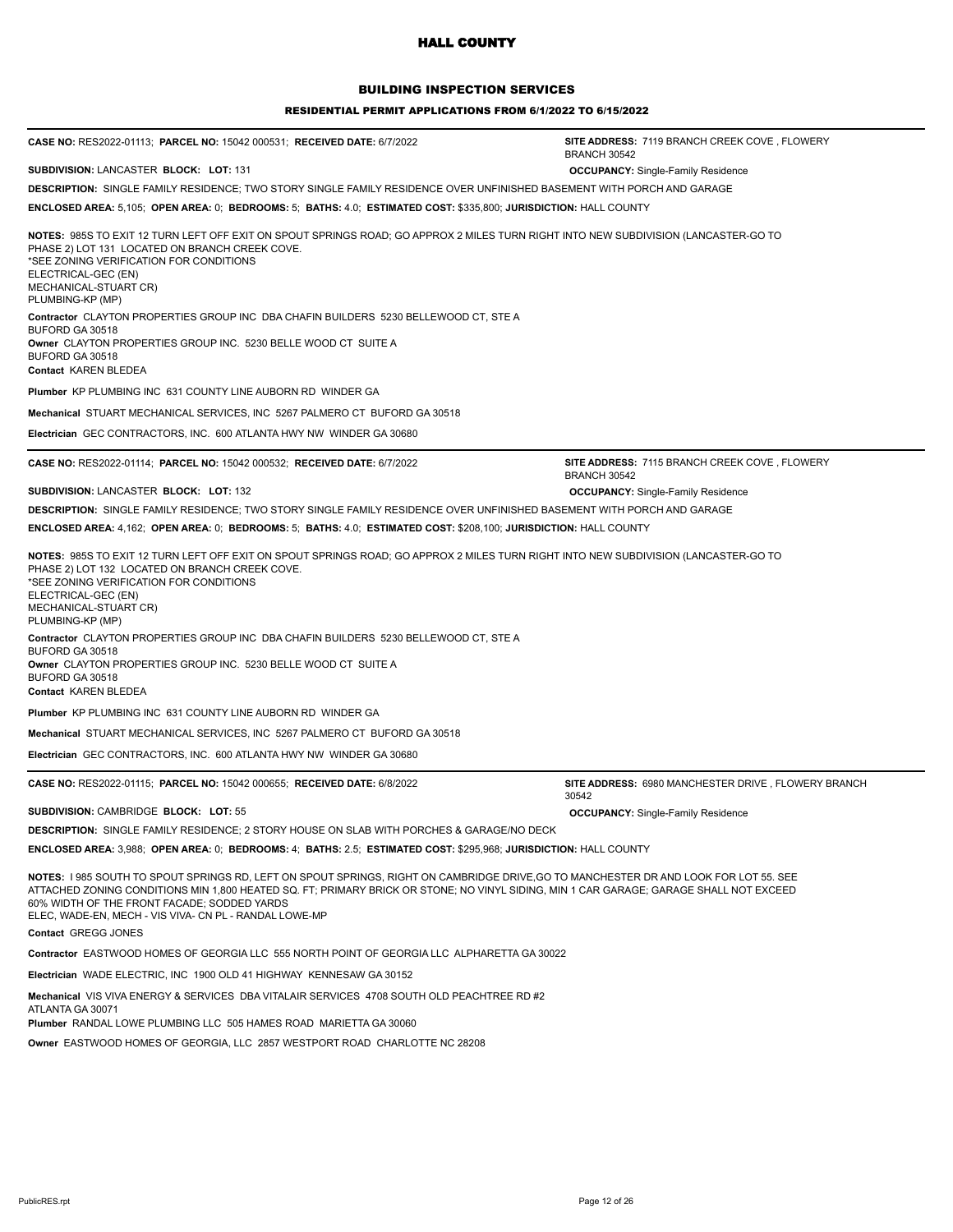### BUILDING INSPECTION SERVICES

| <b>CASE NO: RES2022-01113; PARCEL NO: 15042 000531; RECEIVED DATE: 6/7/2022</b>                                                                                                                                                                                                                                                                                                        | SITE ADDRESS: 7119 BRANCH CREEK COVE, FLOWERY<br><b>BRANCH 30542</b> |
|----------------------------------------------------------------------------------------------------------------------------------------------------------------------------------------------------------------------------------------------------------------------------------------------------------------------------------------------------------------------------------------|----------------------------------------------------------------------|
| SUBDIVISION: LANCASTER BLOCK: LOT: 131                                                                                                                                                                                                                                                                                                                                                 | <b>OCCUPANCY:</b> Single-Family Residence                            |
| DESCRIPTION: SINGLE FAMILY RESIDENCE; TWO STORY SINGLE FAMILY RESIDENCE OVER UNFINISHED BASEMENT WITH PORCH AND GARAGE                                                                                                                                                                                                                                                                 |                                                                      |
| ENCLOSED AREA: 5,105; OPEN AREA: 0; BEDROOMS: 5; BATHS: 4.0; ESTIMATED COST: \$335,800; JURISDICTION: HALL COUNTY                                                                                                                                                                                                                                                                      |                                                                      |
| NOTES: 985S TO EXIT 12 TURN LEFT OFF EXIT ON SPOUT SPRINGS ROAD; GO APPROX 2 MILES TURN RIGHT INTO NEW SUBDIVISION (LANCASTER-GO TO<br>PHASE 2) LOT 131 LOCATED ON BRANCH CREEK COVE.<br>*SEE ZONING VERIFICATION FOR CONDITIONS<br>ELECTRICAL-GEC (EN)<br>MECHANICAL-STUART CR)<br>PLUMBING-KP (MP)                                                                                   |                                                                      |
| Contractor CLAYTON PROPERTIES GROUP INC DBA CHAFIN BUILDERS 5230 BELLEWOOD CT, STE A<br>BUFORD GA 30518<br>Owner CLAYTON PROPERTIES GROUP INC. 5230 BELLE WOOD CT SUITE A<br>BUFORD GA 30518<br>Contact KAREN BLEDEA                                                                                                                                                                   |                                                                      |
| <b>Plumber KP PLUMBING INC 631 COUNTY LINE AUBORN RD WINDER GA</b>                                                                                                                                                                                                                                                                                                                     |                                                                      |
| Mechanical STUART MECHANICAL SERVICES, INC 5267 PALMERO CT BUFORD GA 30518                                                                                                                                                                                                                                                                                                             |                                                                      |
| Electrician GEC CONTRACTORS, INC. 600 ATLANTA HWY NW WINDER GA 30680                                                                                                                                                                                                                                                                                                                   |                                                                      |
| CASE NO: RES2022-01114; PARCEL NO: 15042 000532; RECEIVED DATE: 6/7/2022                                                                                                                                                                                                                                                                                                               | SITE ADDRESS: 7115 BRANCH CREEK COVE, FLOWERY<br><b>BRANCH 30542</b> |
| SUBDIVISION: LANCASTER BLOCK: LOT: 132                                                                                                                                                                                                                                                                                                                                                 | <b>OCCUPANCY:</b> Single-Family Residence                            |
| DESCRIPTION: SINGLE FAMILY RESIDENCE; TWO STORY SINGLE FAMILY RESIDENCE OVER UNFINISHED BASEMENT WITH PORCH AND GARAGE                                                                                                                                                                                                                                                                 |                                                                      |
| ENCLOSED AREA: 4,162; OPEN AREA: 0; BEDROOMS: 5; BATHS: 4.0; ESTIMATED COST: \$208,100; JURISDICTION: HALL COUNTY                                                                                                                                                                                                                                                                      |                                                                      |
| NOTES: 985S TO EXIT 12 TURN LEFT OFF EXIT ON SPOUT SPRINGS ROAD; GO APPROX 2 MILES TURN RIGHT INTO NEW SUBDIVISION (LANCASTER-GO TO<br>PHASE 2) LOT 132 LOCATED ON BRANCH CREEK COVE.<br>*SEE ZONING VERIFICATION FOR CONDITIONS<br>ELECTRICAL-GEC (EN)<br>MECHANICAL-STUART CR)<br>PLUMBING-KP (MP)                                                                                   |                                                                      |
| Contractor CLAYTON PROPERTIES GROUP INC DBA CHAFIN BUILDERS 5230 BELLEWOOD CT, STE A<br>BUFORD GA 30518<br>Owner CLAYTON PROPERTIES GROUP INC. 5230 BELLE WOOD CT SUITE A<br>BUFORD GA 30518<br>Contact KAREN BLEDEA                                                                                                                                                                   |                                                                      |
|                                                                                                                                                                                                                                                                                                                                                                                        |                                                                      |
| Plumber KP PLUMBING INC 631 COUNTY LINE AUBORN RD WINDER GA                                                                                                                                                                                                                                                                                                                            |                                                                      |
| Mechanical STUART MECHANICAL SERVICES, INC 5267 PALMERO CT BUFORD GA 30518                                                                                                                                                                                                                                                                                                             |                                                                      |
| Electrician GEC CONTRACTORS, INC. 600 ATLANTA HWY NW WINDER GA 30680                                                                                                                                                                                                                                                                                                                   |                                                                      |
| CASE NO: RES2022-01115; PARCEL NO: 15042 000655; RECEIVED DATE: 6/8/2022                                                                                                                                                                                                                                                                                                               | SITE ADDRESS: 6980 MANCHESTER DRIVE, FLOWERY BRANCH<br>30542         |
| <b>SUBDIVISION: CAMBRIDGE BLOCK: LOT: 55</b>                                                                                                                                                                                                                                                                                                                                           | <b>OCCUPANCY:</b> Single-Family Residence                            |
| DESCRIPTION: SINGLE FAMILY RESIDENCE; 2 STORY HOUSE ON SLAB WITH PORCHES & GARAGE/NO DECK                                                                                                                                                                                                                                                                                              |                                                                      |
| ENCLOSED AREA: 3,988; OPEN AREA: 0; BEDROOMS: 4; BATHS: 2.5; ESTIMATED COST: \$295,968; JURISDICTION: HALL COUNTY                                                                                                                                                                                                                                                                      |                                                                      |
| NOTES: 1985 SOUTH TO SPOUT SPRINGS RD, LEFT ON SPOUT SPRINGS, RIGHT ON CAMBRIDGE DRIVE,GO TO MANCHESTER DR AND LOOK FOR LOT 55. SEE<br>ATTACHED ZONING CONDITIONS MIN 1,800 HEATED SQ. FT; PRIMARY BRICK OR STONE; NO VINYL SIDING, MIN 1 CAR GARAGE; GARAGE SHALL NOT EXCEED<br>60% WIDTH OF THE FRONT FACADE; SODDED YARDS<br>ELEC, WADE-EN, MECH - VIS VIVA- CN PL - RANDAL LOWE-MP |                                                                      |
| Contact GREGG JONES                                                                                                                                                                                                                                                                                                                                                                    |                                                                      |
| Contractor EASTWOOD HOMES OF GEORGIA LLC 555 NORTH POINT OF GEORGIA LLC ALPHARETTA GA 30022                                                                                                                                                                                                                                                                                            |                                                                      |
| Electrician WADE ELECTRIC, INC 1900 OLD 41 HIGHWAY KENNESAW GA 30152                                                                                                                                                                                                                                                                                                                   |                                                                      |
| Mechanical VIS VIVA ENERGY & SERVICES DBA VITALAIR SERVICES 4708 SOUTH OLD PEACHTREE RD #2<br>ATLANTA GA 30071                                                                                                                                                                                                                                                                         |                                                                      |
| Plumber RANDAL LOWE PLUMBING LLC 505 HAMES ROAD MARIETTA GA 30060                                                                                                                                                                                                                                                                                                                      |                                                                      |
| Owner EASTWOOD HOMES OF GEORGIA, LLC 2857 WESTPORT ROAD CHARLOTTE NC 28208                                                                                                                                                                                                                                                                                                             |                                                                      |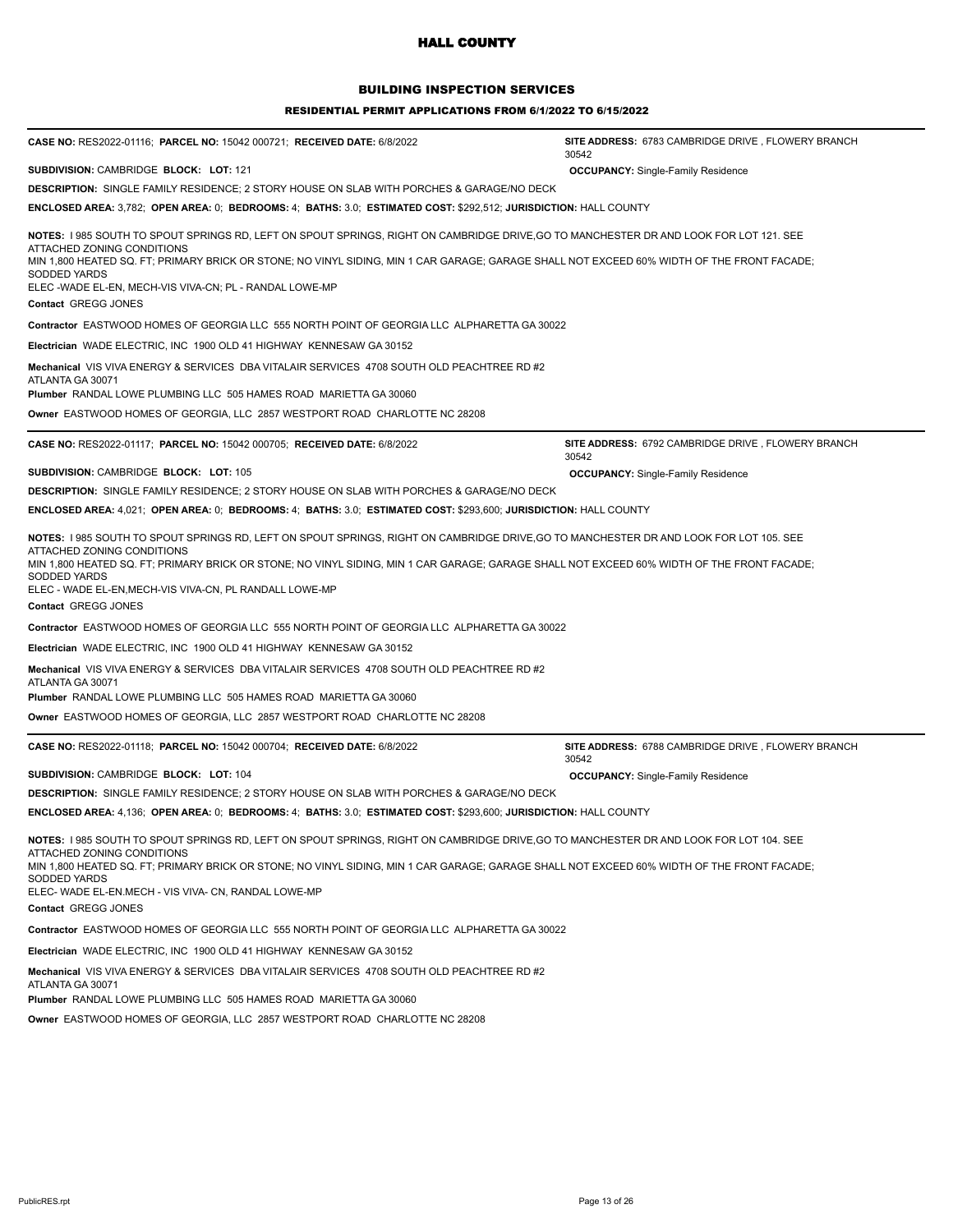## BUILDING INSPECTION SERVICES

#### RESIDENTIAL PERMIT APPLICATIONS FROM 6/1/2022 TO 6/15/2022

| CASE NO: RES2022-01116; PARCEL NO: 15042 000721; RECEIVED DATE: 6/8/2022                                                                                                                                                                                                                                                                                                                                                   | SITE ADDRESS: 6783 CAMBRIDGE DRIVE, FLOWERY BRANCH<br>30542 |
|----------------------------------------------------------------------------------------------------------------------------------------------------------------------------------------------------------------------------------------------------------------------------------------------------------------------------------------------------------------------------------------------------------------------------|-------------------------------------------------------------|
| SUBDIVISION: CAMBRIDGE BLOCK: LOT: 121                                                                                                                                                                                                                                                                                                                                                                                     | <b>OCCUPANCY: Single-Family Residence</b>                   |
| <b>DESCRIPTION:</b> SINGLE FAMILY RESIDENCE; 2 STORY HOUSE ON SLAB WITH PORCHES & GARAGE/NO DECK                                                                                                                                                                                                                                                                                                                           |                                                             |
| ENCLOSED AREA: 3,782; OPEN AREA: 0; BEDROOMS: 4; BATHS: 3.0; ESTIMATED COST: \$292,512; JURISDICTION: HALL COUNTY                                                                                                                                                                                                                                                                                                          |                                                             |
| NOTES: I 985 SOUTH TO SPOUT SPRINGS RD, LEFT ON SPOUT SPRINGS, RIGHT ON CAMBRIDGE DRIVE,GO TO MANCHESTER DR AND LOOK FOR LOT 121. SEE<br>ATTACHED ZONING CONDITIONS                                                                                                                                                                                                                                                        |                                                             |
| MIN 1,800 HEATED SQ. FT; PRIMARY BRICK OR STONE; NO VINYL SIDING, MIN 1 CAR GARAGE; GARAGE SHALL NOT EXCEED 60% WIDTH OF THE FRONT FACADE;<br>SODDED YARDS<br>ELEC -WADE EL-EN, MECH-VIS VIVA-CN; PL - RANDAL LOWE-MP                                                                                                                                                                                                      |                                                             |
| Contact GREGG JONES                                                                                                                                                                                                                                                                                                                                                                                                        |                                                             |
| <b>Contractor EASTWOOD HOMES OF GEORGIA LLC 555 NORTH POINT OF GEORGIA LLC ALPHARETTA GA 30022</b>                                                                                                                                                                                                                                                                                                                         |                                                             |
| Electrician WADE ELECTRIC, INC 1900 OLD 41 HIGHWAY KENNESAW GA 30152                                                                                                                                                                                                                                                                                                                                                       |                                                             |
| Mechanical VIS VIVA ENERGY & SERVICES DBA VITALAIR SERVICES 4708 SOUTH OLD PEACHTREE RD #2<br>ATLANTA GA 30071                                                                                                                                                                                                                                                                                                             |                                                             |
| Plumber RANDAL LOWE PLUMBING LLC 505 HAMES ROAD MARIETTA GA 30060                                                                                                                                                                                                                                                                                                                                                          |                                                             |
| Owner_EASTWOOD HOMES OF GEORGIA, LLC_2857 WESTPORT ROAD_CHARLOTTE NC 28208                                                                                                                                                                                                                                                                                                                                                 |                                                             |
| CASE NO: RES2022-01117; PARCEL NO: 15042 000705; RECEIVED DATE: 6/8/2022                                                                                                                                                                                                                                                                                                                                                   | SITE ADDRESS: 6792 CAMBRIDGE DRIVE, FLOWERY BRANCH<br>30542 |
| SUBDIVISION: CAMBRIDGE BLOCK: LOT: 105                                                                                                                                                                                                                                                                                                                                                                                     | <b>OCCUPANCY:</b> Single-Family Residence                   |
| <b>DESCRIPTION:</b> SINGLE FAMILY RESIDENCE; 2 STORY HOUSE ON SLAB WITH PORCHES & GARAGE/NO DECK                                                                                                                                                                                                                                                                                                                           |                                                             |
| ENCLOSED AREA: 4,021; OPEN AREA: 0; BEDROOMS: 4; BATHS: 3.0; ESTIMATED COST: \$293,600; JURISDICTION: HALL COUNTY                                                                                                                                                                                                                                                                                                          |                                                             |
| NOTES: I 985 SOUTH TO SPOUT SPRINGS RD, LEFT ON SPOUT SPRINGS, RIGHT ON CAMBRIDGE DRIVE,GO TO MANCHESTER DR AND LOOK FOR LOT 105. SEE<br>ATTACHED ZONING CONDITIONS<br>MIN 1,800 HEATED SQ. FT; PRIMARY BRICK OR STONE; NO VINYL SIDING, MIN 1 CAR GARAGE; GARAGE SHALL NOT EXCEED 60% WIDTH OF THE FRONT FACADE;<br><b>SODDED YARDS</b><br>ELEC - WADE EL-EN, MECH-VIS VIVA-CN, PL RANDALL LOWE-MP<br>Contact GREGG JONES |                                                             |
| <b>Contractor EASTWOOD HOMES OF GEORGIA LLC 555 NORTH POINT OF GEORGIA LLC ALPHARETTA GA 30022</b>                                                                                                                                                                                                                                                                                                                         |                                                             |
| Electrician WADE ELECTRIC, INC 1900 OLD 41 HIGHWAY KENNESAW GA 30152                                                                                                                                                                                                                                                                                                                                                       |                                                             |
| Mechanical VIS VIVA ENERGY & SERVICES DBA VITALAIR SERVICES 4708 SOUTH OLD PEACHTREE RD #2<br>ATLANTA GA 30071<br><b>Plumber RANDAL LOWE PLUMBING LLC 505 HAMES ROAD MARIETTA GA 30060</b>                                                                                                                                                                                                                                 |                                                             |
|                                                                                                                                                                                                                                                                                                                                                                                                                            |                                                             |
| Owner_EASTWOOD HOMES OF GEORGIA, LLC_2857 WESTPORT ROAD_CHARLOTTE NC 28208                                                                                                                                                                                                                                                                                                                                                 |                                                             |
| CASE NO: RES2022-01118; PARCEL NO: 15042 000704; RECEIVED DATE: 6/8/2022                                                                                                                                                                                                                                                                                                                                                   | SITE ADDRESS: 6788 CAMBRIDGE DRIVE, FLOWERY BRANCH<br>30542 |
| SUBDIVISION: CAMBRIDGE BLOCK: LOT: 104                                                                                                                                                                                                                                                                                                                                                                                     | <b>OCCUPANCY:</b> Single-Family Residence                   |
| <b>DESCRIPTION:</b> SINGLE FAMILY RESIDENCE; 2 STORY HOUSE ON SLAB WITH PORCHES & GARAGE/NO DECK                                                                                                                                                                                                                                                                                                                           |                                                             |
| ENCLOSED AREA: 4,136;  OPEN AREA: 0;  BEDROOMS: 4;  BATHS: 3.0;  ESTIMATED COST: \$293,600; JURISDICTION: HALL COUNTY                                                                                                                                                                                                                                                                                                      |                                                             |
| NOTES: I 985 SOUTH TO SPOUT SPRINGS RD, LEFT ON SPOUT SPRINGS, RIGHT ON CAMBRIDGE DRIVE,GO TO MANCHESTER DR AND LOOK FOR LOT 104. SEE<br>ATTACHED ZONING CONDITIONS<br>MIN 1,800 HEATED SQ. FT; PRIMARY BRICK OR STONE; NO VINYL SIDING, MIN 1 CAR GARAGE; GARAGE SHALL NOT EXCEED 60% WIDTH OF THE FRONT FACADE;<br>SODDED YARDS<br>ELEC- WADE EL-EN.MECH - VIS VIVA- CN, RANDAL LOWE-MP                                  |                                                             |
| Contact GREGG JONES                                                                                                                                                                                                                                                                                                                                                                                                        |                                                             |
| Contractor EASTWOOD HOMES OF GEORGIA LLC 555 NORTH POINT OF GEORGIA LLC ALPHARETTA GA 30022                                                                                                                                                                                                                                                                                                                                |                                                             |
| Electrician WADE ELECTRIC, INC 1900 OLD 41 HIGHWAY KENNESAW GA 30152                                                                                                                                                                                                                                                                                                                                                       |                                                             |
| Mechanical VIS VIVA ENERGY & SERVICES DBA VITALAIR SERVICES 4708 SOUTH OLD PEACHTREE RD #2<br>ATLANTA GA 30071                                                                                                                                                                                                                                                                                                             |                                                             |
| Plumber RANDAL LOWE PLUMBING LLC 505 HAMES ROAD MARIETTA GA 30060                                                                                                                                                                                                                                                                                                                                                          |                                                             |

**Owner** EASTWOOD HOMES OF GEORGIA, LLC 2857 WESTPORT ROAD CHARLOTTE NC 28208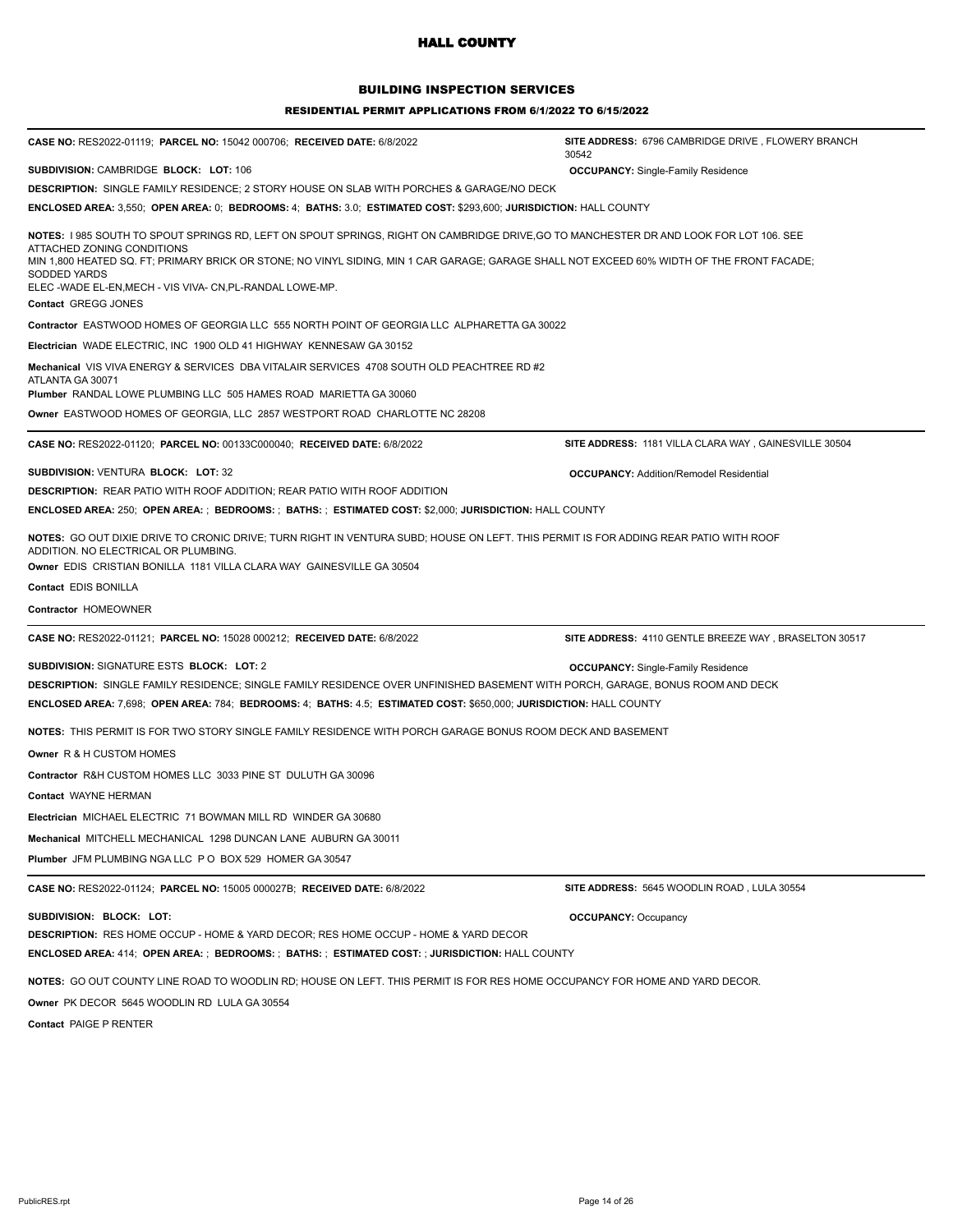## BUILDING INSPECTION SERVICES

| CASE NO: RES2022-01119; PARCEL NO: 15042 000706; RECEIVED DATE: 6/8/2022                                                                                                                                                                                                                                                                                                                                             | SITE ADDRESS: 6796 CAMBRIDGE DRIVE, FLOWERY BRANCH<br>30542 |
|----------------------------------------------------------------------------------------------------------------------------------------------------------------------------------------------------------------------------------------------------------------------------------------------------------------------------------------------------------------------------------------------------------------------|-------------------------------------------------------------|
| SUBDIVISION: CAMBRIDGE BLOCK: LOT: 106                                                                                                                                                                                                                                                                                                                                                                               | <b>OCCUPANCY: Single-Family Residence</b>                   |
| DESCRIPTION: SINGLE FAMILY RESIDENCE; 2 STORY HOUSE ON SLAB WITH PORCHES & GARAGE/NO DECK                                                                                                                                                                                                                                                                                                                            |                                                             |
| ENCLOSED AREA: 3,550; OPEN AREA: 0; BEDROOMS: 4; BATHS: 3.0; ESTIMATED COST: \$293,600; JURISDICTION: HALL COUNTY                                                                                                                                                                                                                                                                                                    |                                                             |
| NOTES: I 985 SOUTH TO SPOUT SPRINGS RD, LEFT ON SPOUT SPRINGS, RIGHT ON CAMBRIDGE DRIVE,GO TO MANCHESTER DR AND LOOK FOR LOT 106. SEE<br>ATTACHED ZONING CONDITIONS<br>MIN 1,800 HEATED SQ. FT; PRIMARY BRICK OR STONE; NO VINYL SIDING, MIN 1 CAR GARAGE; GARAGE SHALL NOT EXCEED 60% WIDTH OF THE FRONT FACADE;<br>SODDED YARDS<br>ELEC-WADE EL-EN, MECH - VIS VIVA- CN, PL-RANDAL LOWE-MP.<br>Contact GREGG JONES |                                                             |
| <b>Contractor EASTWOOD HOMES OF GEORGIA LLC 555 NORTH POINT OF GEORGIA LLC ALPHARETTA GA 30022</b>                                                                                                                                                                                                                                                                                                                   |                                                             |
| Electrician WADE ELECTRIC, INC 1900 OLD 41 HIGHWAY KENNESAW GA 30152                                                                                                                                                                                                                                                                                                                                                 |                                                             |
| Mechanical VIS VIVA ENERGY & SERVICES DBA VITALAIR SERVICES 4708 SOUTH OLD PEACHTREE RD #2<br>ATLANTA GA 30071<br>Plumber RANDAL LOWE PLUMBING LLC 505 HAMES ROAD MARIETTA GA 30060                                                                                                                                                                                                                                  |                                                             |
| <b>Owner</b> EASTWOOD HOMES OF GEORGIA, LLC  2857 WESTPORT ROAD  CHARLOTTE NC 28208                                                                                                                                                                                                                                                                                                                                  |                                                             |
| CASE NO: RES2022-01120; PARCEL NO: 00133C000040; RECEIVED DATE: 6/8/2022                                                                                                                                                                                                                                                                                                                                             | SITE ADDRESS: 1181 VILLA CLARA WAY, GAINESVILLE 30504       |
| SUBDIVISION: VENTURA BLOCK: LOT: 32<br><b>DESCRIPTION: REAR PATIO WITH ROOF ADDITION; REAR PATIO WITH ROOF ADDITION</b>                                                                                                                                                                                                                                                                                              | <b>OCCUPANCY: Addition/Remodel Residential</b>              |
| ENCLOSED AREA: 250; OPEN AREA: ; BEDROOMS: ; BATHS: ; ESTIMATED COST: \$2,000; JURISDICTION: HALL COUNTY                                                                                                                                                                                                                                                                                                             |                                                             |
| NOTES: GO OUT DIXIE DRIVE TO CRONIC DRIVE; TURN RIGHT IN VENTURA SUBD; HOUSE ON LEFT. THIS PERMIT IS FOR ADDING REAR PATIO WITH ROOF<br>ADDITION. NO ELECTRICAL OR PLUMBING.<br>Owner EDIS CRISTIAN BONILLA 1181 VILLA CLARA WAY GAINESVILLE GA 30504                                                                                                                                                                |                                                             |
| <b>Contact EDIS BONILLA</b>                                                                                                                                                                                                                                                                                                                                                                                          |                                                             |
| Contractor HOMEOWNER                                                                                                                                                                                                                                                                                                                                                                                                 |                                                             |
| CASE NO: RES2022-01121; PARCEL NO: 15028 000212; RECEIVED DATE: 6/8/2022                                                                                                                                                                                                                                                                                                                                             | SITE ADDRESS: 4110 GENTLE BREEZE WAY, BRASELTON 30517       |
| SUBDIVISION: SIGNATURE ESTS BLOCK: LOT: 2<br>DESCRIPTION: SINGLE FAMILY RESIDENCE; SINGLE FAMILY RESIDENCE OVER UNFINISHED BASEMENT WITH PORCH, GARAGE, BONUS ROOM AND DECK<br>ENCLOSED AREA: 7,698; OPEN AREA: 784; BEDROOMS: 4; BATHS: 4.5; ESTIMATED COST: \$650,000; JURISDICTION: HALL COUNTY                                                                                                                   | <b>OCCUPANCY:</b> Single-Family Residence                   |
| NOTES: THIS PERMIT IS FOR TWO STORY SINGLE FAMILY RESIDENCE WITH PORCH GARAGE BONUS ROOM DECK AND BASEMENT                                                                                                                                                                                                                                                                                                           |                                                             |
| <b>Owner R &amp; H CUSTOM HOMES</b>                                                                                                                                                                                                                                                                                                                                                                                  |                                                             |
| Contractor R&H CUSTOM HOMES LLC 3033 PINE ST DULUTH GA 30096                                                                                                                                                                                                                                                                                                                                                         |                                                             |
| Contact WAYNE HERMAN                                                                                                                                                                                                                                                                                                                                                                                                 |                                                             |
| Electrician MICHAEL ELECTRIC 71 BOWMAN MILL RD WINDER GA 30680                                                                                                                                                                                                                                                                                                                                                       |                                                             |
| Mechanical MITCHELL MECHANICAL 1298 DUNCAN LANE AUBURN GA 30011                                                                                                                                                                                                                                                                                                                                                      |                                                             |
| Plumber JFM PLUMBING NGA LLC P O BOX 529 HOMER GA 30547                                                                                                                                                                                                                                                                                                                                                              |                                                             |
| CASE NO: RES2022-01124; PARCEL NO: 15005 000027B; RECEIVED DATE: 6/8/2022                                                                                                                                                                                                                                                                                                                                            | SITE ADDRESS: 5645 WOODLIN ROAD, LULA 30554                 |
|                                                                                                                                                                                                                                                                                                                                                                                                                      |                                                             |
| SUBDIVISION: BLOCK: LOT:<br><b>DESCRIPTION: RES HOME OCCUP - HOME &amp; YARD DECOR; RES HOME OCCUP - HOME &amp; YARD DECOR</b><br><b>ENCLOSED AREA: 414; OPEN AREA: ; BEDROOMS: ; BATHS: ; ESTIMATED COST: ; JURISDICTION: HALL COUNTY</b>                                                                                                                                                                           | <b>OCCUPANCY: Occupancy</b>                                 |
| NOTES: GO OUT COUNTY LINE ROAD TO WOODLIN RD; HOUSE ON LEFT. THIS PERMIT IS FOR RES HOME OCCUPANCY FOR HOME AND YARD DECOR.<br>Owner PK DECOR 5645 WOODLIN RD LULA GA 30554<br>Contact PAIGE P RENTER                                                                                                                                                                                                                |                                                             |
|                                                                                                                                                                                                                                                                                                                                                                                                                      |                                                             |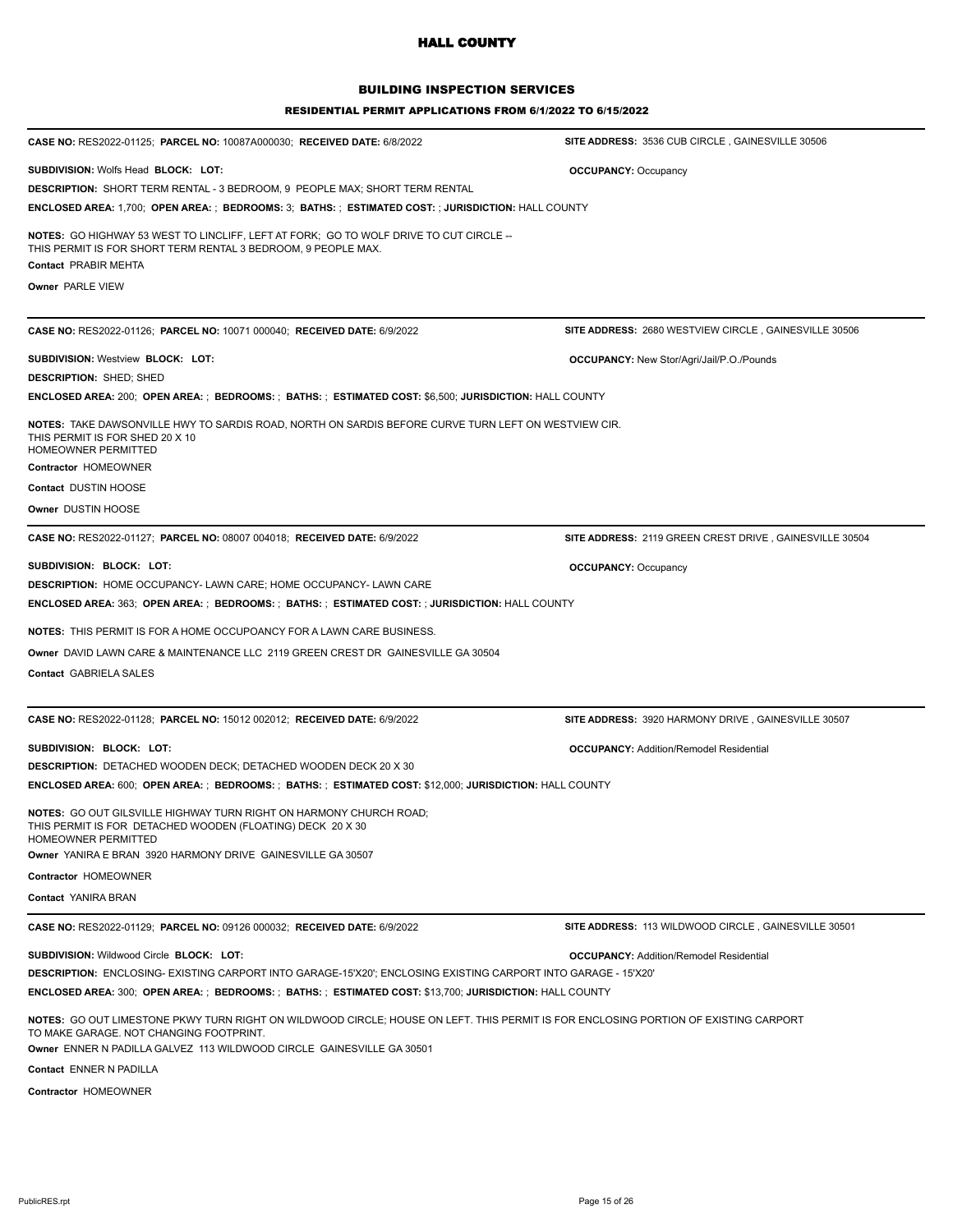## BUILDING INSPECTION SERVICES

| CASE NO: RES2022-01125; PARCEL NO: 10087A000030; RECEIVED DATE: 6/8/2022                                                                                                        | SITE ADDRESS: 3536 CUB CIRCLE, GAINESVILLE 30506             |
|---------------------------------------------------------------------------------------------------------------------------------------------------------------------------------|--------------------------------------------------------------|
| <b>SUBDIVISION: Wolfs Head BLOCK: LOT:</b>                                                                                                                                      | <b>OCCUPANCY: Occupancy</b>                                  |
| <b>DESCRIPTION: SHORT TERM RENTAL - 3 BEDROOM, 9 PEOPLE MAX; SHORT TERM RENTAL</b>                                                                                              |                                                              |
| <b>ENCLOSED AREA:</b> 1,700; OPEN AREA: ; BEDROOMS: 3; BATHS: ; ESTIMATED COST: ; JURISDICTION: HALL COUNTY                                                                     |                                                              |
| NOTES: GO HIGHWAY 53 WEST TO LINCLIFF, LEFT AT FORK; GO TO WOLF DRIVE TO CUT CIRCLE --<br>THIS PERMIT IS FOR SHORT TERM RENTAL 3 BEDROOM, 9 PEOPLE MAX.<br>Contact PRABIR MEHTA |                                                              |
|                                                                                                                                                                                 |                                                              |
| <b>Owner PARLE VIEW</b>                                                                                                                                                         |                                                              |
| CASE NO: RES2022-01126; PARCEL NO: 10071 000040; RECEIVED DATE: 6/9/2022                                                                                                        | <b>SITE ADDRESS: 2680 WESTVIEW CIRCLE, GAINESVILLE 30506</b> |
| <b>SUBDIVISION: Westview BLOCK: LOT:</b>                                                                                                                                        | <b>OCCUPANCY:</b> New Stor/Agri/Jail/P.O./Pounds             |
| <b>DESCRIPTION: SHED; SHED</b>                                                                                                                                                  |                                                              |
| ENCLOSED AREA: 200; OPEN AREA: ; BEDROOMS: ; BATHS: ; ESTIMATED COST: \$6,500; JURISDICTION: HALL COUNTY                                                                        |                                                              |
| NOTES: TAKE DAWSONVILLE HWY TO SARDIS ROAD, NORTH ON SARDIS BEFORE CURVE TURN LEFT ON WESTVIEW CIR.<br>THIS PERMIT IS FOR SHED 20 X 10<br><b>HOMEOWNER PERMITTED</b>            |                                                              |
| Contractor HOMEOWNER                                                                                                                                                            |                                                              |
| Contact DUSTIN HOOSE                                                                                                                                                            |                                                              |
| Owner DUSTIN HOOSE                                                                                                                                                              |                                                              |
| CASE NO: RES2022-01127; PARCEL NO: 08007 004018; RECEIVED DATE: 6/9/2022                                                                                                        | SITE ADDRESS: 2119 GREEN CREST DRIVE, GAINESVILLE 30504      |
| SUBDIVISION: BLOCK: LOT:                                                                                                                                                        | <b>OCCUPANCY: Occupancy</b>                                  |
| <b>DESCRIPTION: HOME OCCUPANCY- LAWN CARE; HOME OCCUPANCY- LAWN CARE</b>                                                                                                        |                                                              |
| <b>ENCLOSED AREA: 363; OPEN AREA: ; BEDROOMS: ; BATHS: ; ESTIMATED COST: ; JURISDICTION: HALL COUNTY</b>                                                                        |                                                              |
| <b>NOTES: THIS PERMIT IS FOR A HOME OCCUPOANCY FOR A LAWN CARE BUSINESS.</b>                                                                                                    |                                                              |
| Owner DAVID LAWN CARE & MAINTENANCE LLC 2119 GREEN CREST DR GAINESVILLE GA 30504                                                                                                |                                                              |
| Contact GABRIELA SALES                                                                                                                                                          |                                                              |
|                                                                                                                                                                                 |                                                              |
| CASE NO: RES2022-01128; PARCEL NO: 15012 002012; RECEIVED DATE: 6/9/2022                                                                                                        | SITE ADDRESS: 3920 HARMONY DRIVE, GAINESVILLE 30507          |
| SUBDIVISION: BLOCK: LOT:                                                                                                                                                        | <b>OCCUPANCY: Addition/Remodel Residential</b>               |
| <b>DESCRIPTION: DETACHED WOODEN DECK; DETACHED WOODEN DECK 20 X 30</b>                                                                                                          |                                                              |
| ENCLOSED AREA: 600; OPEN AREA: ; BEDROOMS: ; BATHS: ; ESTIMATED COST: \$12,000; JURISDICTION: HALL COUNTY                                                                       |                                                              |
| <b>NOTES:</b> GO OUT GILSVILLE HIGHWAY TURN RIGHT ON HARMONY CHURCH ROAD;<br>THIS PERMIT IS FOR DETACHED WOODEN (FLOATING) DECK 20 X 30<br>HOMEOWNER PERMITTED                  |                                                              |
|                                                                                                                                                                                 |                                                              |
| Owner YANIRA E BRAN 3920 HARMONY DRIVE GAINESVILLE GA 30507                                                                                                                     |                                                              |
| Contractor HOMEOWNER                                                                                                                                                            |                                                              |
| Contact YANIRA BRAN                                                                                                                                                             |                                                              |
| CASE NO: RES2022-01129; PARCEL NO: 09126 000032; RECEIVED DATE: 6/9/2022                                                                                                        | SITE ADDRESS: 113 WILDWOOD CIRCLE, GAINESVILLE 30501         |
| SUBDIVISION: Wildwood Circle BLOCK: LOT:                                                                                                                                        | <b>OCCUPANCY: Addition/Remodel Residential</b>               |
| DESCRIPTION: ENCLOSING- EXISTING CARPORT INTO GARAGE-15'X20'; ENCLOSING EXISTING CARPORT INTO GARAGE - 15'X20'                                                                  |                                                              |
| ENCLOSED AREA: 300; OPEN AREA: ; BEDROOMS: ; BATHS: ; ESTIMATED COST: \$13,700; JURISDICTION: HALL COUNTY                                                                       |                                                              |
| NOTES: GO OUT LIMESTONE PKWY TURN RIGHT ON WILDWOOD CIRCLE; HOUSE ON LEFT. THIS PERMIT IS FOR ENCLOSING PORTION OF EXISTING CARPORT<br>TO MAKE GARAGE. NOT CHANGING FOOTPRINT.  |                                                              |
| Owner ENNER N PADILLA GALVEZ 113 WILDWOOD CIRCLE GAINESVILLE GA 30501                                                                                                           |                                                              |
| Contact ENNER N PADILLA                                                                                                                                                         |                                                              |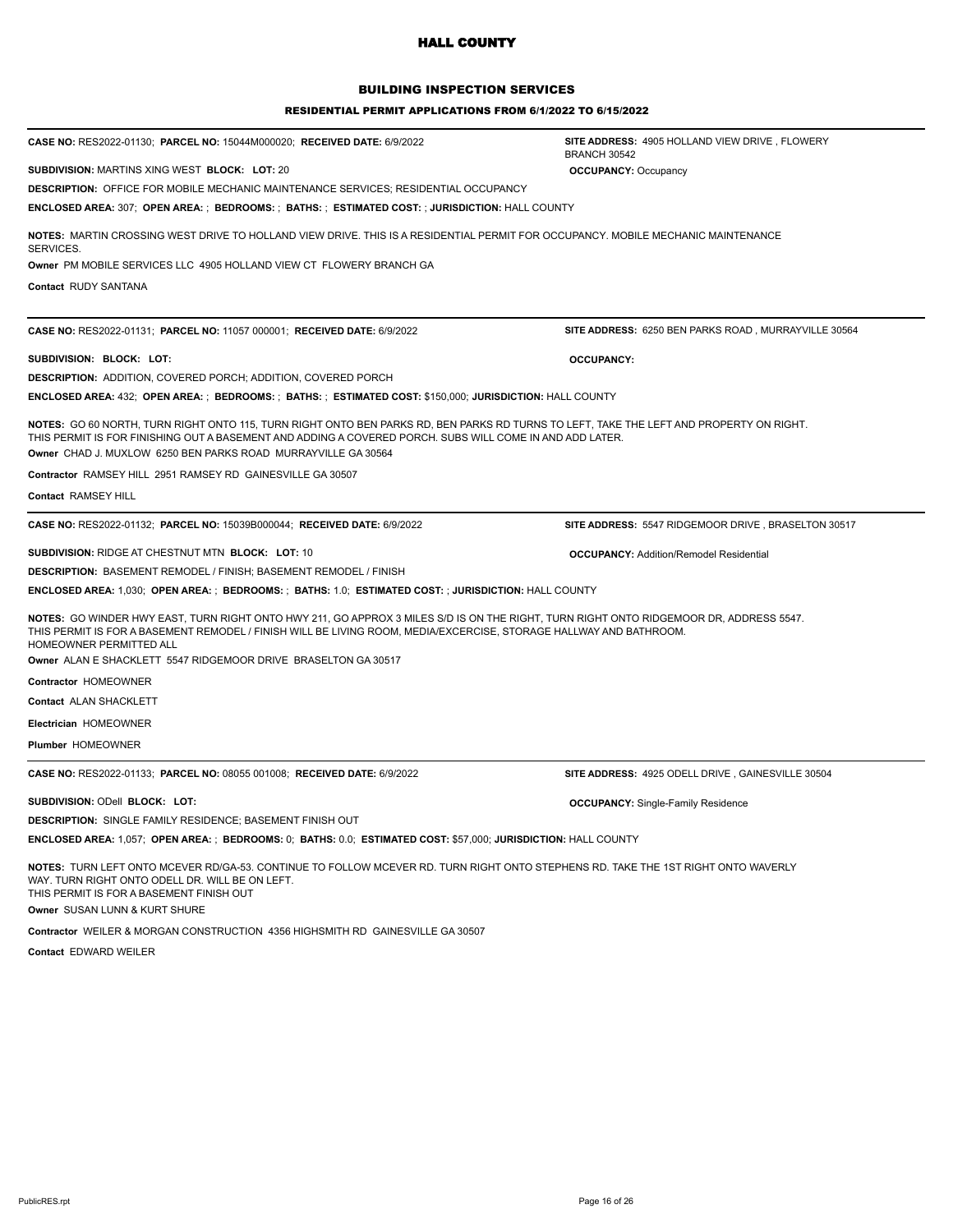## BUILDING INSPECTION SERVICES

#### RESIDENTIAL PERMIT APPLICATIONS FROM 6/1/2022 TO 6/15/2022

| CASE NO: RES2022-01130; PARCEL NO: 15044M000020; RECEIVED DATE: 6/9/2022                                                                                                                                                                                                                                             | SITE ADDRESS: 4905 HOLLAND VIEW DRIVE, FLOWERY<br><b>BRANCH 30542</b> |
|----------------------------------------------------------------------------------------------------------------------------------------------------------------------------------------------------------------------------------------------------------------------------------------------------------------------|-----------------------------------------------------------------------|
| <b>SUBDIVISION: MARTINS XING WEST BLOCK: LOT: 20</b>                                                                                                                                                                                                                                                                 | <b>OCCUPANCY: Occupancy</b>                                           |
| <b>DESCRIPTION: OFFICE FOR MOBILE MECHANIC MAINTENANCE SERVICES; RESIDENTIAL OCCUPANCY</b>                                                                                                                                                                                                                           |                                                                       |
| ENCLOSED AREA: 307; OPEN AREA: ; BEDROOMS: ; BATHS: ; ESTIMATED COST: ; JURISDICTION: HALL COUNTY                                                                                                                                                                                                                    |                                                                       |
| NOTES: MARTIN CROSSING WEST DRIVE TO HOLLAND VIEW DRIVE. THIS IS A RESIDENTIAL PERMIT FOR OCCUPANCY. MOBILE MECHANIC MAINTENANCE<br>SERVICES.                                                                                                                                                                        |                                                                       |
| Owner PM MOBILE SERVICES LLC 4905 HOLLAND VIEW CT FLOWERY BRANCH GA                                                                                                                                                                                                                                                  |                                                                       |
| Contact RUDY SANTANA                                                                                                                                                                                                                                                                                                 |                                                                       |
| CASE NO: RES2022-01131; PARCEL NO: 11057 000001; RECEIVED DATE: 6/9/2022                                                                                                                                                                                                                                             | SITE ADDRESS: 6250 BEN PARKS ROAD, MURRAYVILLE 30564                  |
| SUBDIVISION: BLOCK: LOT:                                                                                                                                                                                                                                                                                             | <b>OCCUPANCY:</b>                                                     |
| <b>DESCRIPTION: ADDITION, COVERED PORCH; ADDITION, COVERED PORCH</b>                                                                                                                                                                                                                                                 |                                                                       |
| ENCLOSED AREA: 432; OPEN AREA: ; BEDROOMS: ; BATHS: ; ESTIMATED COST: \$150,000; JURISDICTION: HALL COUNTY                                                                                                                                                                                                           |                                                                       |
| NOTES: GO 60 NORTH, TURN RIGHT ONTO 115, TURN RIGHT ONTO BEN PARKS RD, BEN PARKS RD TURNS TO LEFT, TAKE THE LEFT AND PROPERTY ON RIGHT.<br>THIS PERMIT IS FOR FINISHING OUT A BASEMENT AND ADDING A COVERED PORCH. SUBS WILL COME IN AND ADD LATER.<br>Owner CHAD J. MUXLOW 6250 BEN PARKS ROAD MURRAYVILLE GA 30564 |                                                                       |
| Contractor RAMSEY HILL 2951 RAMSEY RD GAINESVILLE GA 30507                                                                                                                                                                                                                                                           |                                                                       |
| Contact RAMSEY HILL                                                                                                                                                                                                                                                                                                  |                                                                       |
| CASE NO: RES2022-01132; PARCEL NO: 15039B000044; RECEIVED DATE: 6/9/2022                                                                                                                                                                                                                                             | SITE ADDRESS: 5547 RIDGEMOOR DRIVE, BRASELTON 30517                   |
| SUBDIVISION: RIDGE AT CHESTNUT MTN BLOCK: LOT: 10                                                                                                                                                                                                                                                                    | <b>OCCUPANCY: Addition/Remodel Residential</b>                        |
| <b>DESCRIPTION: BASEMENT REMODEL / FINISH; BASEMENT REMODEL / FINISH</b>                                                                                                                                                                                                                                             |                                                                       |
| ENCLOSED AREA: 1,030; OPEN AREA: ; BEDROOMS: ; BATHS: 1.0; ESTIMATED COST: ; JURISDICTION: HALL COUNTY                                                                                                                                                                                                               |                                                                       |
| NOTES: GO WINDER HWY EAST, TURN RIGHT ONTO HWY 211, GO APPROX 3 MILES S/D IS ON THE RIGHT, TURN RIGHT ONTO RIDGEMOOR DR, ADDRESS 5547.<br>THIS PERMIT IS FOR A BASEMENT REMODEL / FINISH WILL BE LIVING ROOM, MEDIA/EXCERCISE, STORAGE HALLWAY AND BATHROOM.<br>HOMEOWNER PERMITTED ALL                              |                                                                       |
| Owner ALAN E SHACKLETT 5547 RIDGEMOOR DRIVE BRASELTON GA 30517                                                                                                                                                                                                                                                       |                                                                       |
| Contractor HOMEOWNER                                                                                                                                                                                                                                                                                                 |                                                                       |
| Contact ALAN SHACKLETT                                                                                                                                                                                                                                                                                               |                                                                       |
| Electrician HOMEOWNER                                                                                                                                                                                                                                                                                                |                                                                       |
| <b>Plumber HOMEOWNER</b>                                                                                                                                                                                                                                                                                             |                                                                       |
| CASE NO: RES2022-01133; PARCEL NO: 08055 001008; RECEIVED DATE: 6/9/2022                                                                                                                                                                                                                                             | SITE ADDRESS: 4925 ODELL DRIVE, GAINESVILLE 30504                     |
| SUBDIVISION: ODell BLOCK: LOT:                                                                                                                                                                                                                                                                                       | <b>OCCUPANCY:</b> Single-Family Residence                             |
| <b>DESCRIPTION: SINGLE FAMILY RESIDENCE; BASEMENT FINISH OUT</b>                                                                                                                                                                                                                                                     |                                                                       |
| ENCLOSED AREA: 1,057; OPEN AREA: ; BEDROOMS: 0; BATHS: 0.0; ESTIMATED COST: \$57,000; JURISDICTION: HALL COUNTY                                                                                                                                                                                                      |                                                                       |
| NOTES: TURN LEFT ONTO MCEVER RD/GA-53. CONTINUE TO FOLLOW MCEVER RD. TURN RIGHT ONTO STEPHENS RD. TAKE THE 1ST RIGHT ONTO WAVERLY<br>WAY. TURN RIGHT ONTO ODELL DR. WILL BE ON LEFT.                                                                                                                                 |                                                                       |

THIS PERMIT IS FOR A BASEMENT FINISH OUT

**Owner** SUSAN LUNN & KURT SHURE

**Contractor** WEILER & MORGAN CONSTRUCTION 4356 HIGHSMITH RD GAINESVILLE GA 30507

**Contact** EDWARD WEILER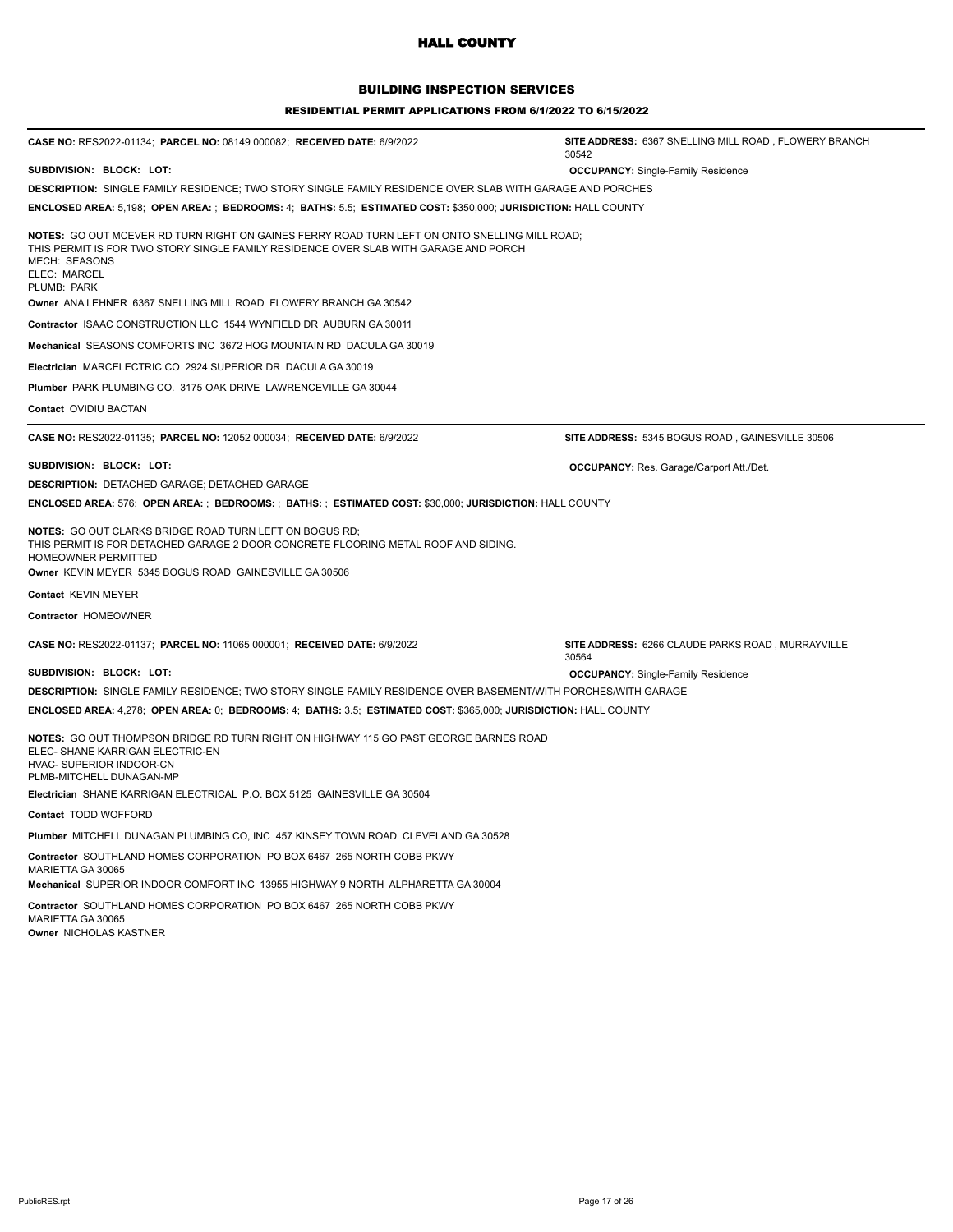## BUILDING INSPECTION SERVICES

#### RESIDENTIAL PERMIT APPLICATIONS FROM 6/1/2022 TO 6/15/2022

| CASE NO: RES2022-01134; PARCEL NO: 08149 000082; RECEIVED DATE: 6/9/2022                                                                                                                                                                     | SITE ADDRESS: 6367 SNELLING MILL ROAD, FLOWERY BRANCH<br>30542 |
|----------------------------------------------------------------------------------------------------------------------------------------------------------------------------------------------------------------------------------------------|----------------------------------------------------------------|
| SUBDIVISION: BLOCK: LOT:                                                                                                                                                                                                                     | <b>OCCUPANCY:</b> Single-Family Residence                      |
| DESCRIPTION: SINGLE FAMILY RESIDENCE; TWO STORY SINGLE FAMILY RESIDENCE OVER SLAB WITH GARAGE AND PORCHES                                                                                                                                    |                                                                |
| ENCLOSED AREA: 5,198; OPEN AREA: ; BEDROOMS: 4; BATHS: 5.5; ESTIMATED COST: \$350,000; JURISDICTION: HALL COUNTY                                                                                                                             |                                                                |
| NOTES: GO OUT MCEVER RD TURN RIGHT ON GAINES FERRY ROAD TURN LEFT ON ONTO SNELLING MILL ROAD;<br>THIS PERMIT IS FOR TWO STORY SINGLE FAMILY RESIDENCE OVER SLAB WITH GARAGE AND PORCH<br><b>MECH: SEASONS</b><br>ELEC: MARCEL<br>PLUMB: PARK |                                                                |
| Owner ANA LEHNER 6367 SNELLING MILL ROAD FLOWERY BRANCH GA 30542                                                                                                                                                                             |                                                                |
| Contractor ISAAC CONSTRUCTION LLC 1544 WYNFIELD DR AUBURN GA 30011                                                                                                                                                                           |                                                                |
| Mechanical SEASONS COMFORTS INC 3672 HOG MOUNTAIN RD DACULA GA 30019                                                                                                                                                                         |                                                                |
| Electrician MARCELECTRIC CO 2924 SUPERIOR DR DACULA GA 30019                                                                                                                                                                                 |                                                                |
| Plumber PARK PLUMBING CO. 3175 OAK DRIVE LAWRENCEVILLE GA 30044                                                                                                                                                                              |                                                                |
| Contact OVIDIU BACTAN                                                                                                                                                                                                                        |                                                                |
| CASE NO: RES2022-01135; PARCEL NO: 12052 000034; RECEIVED DATE: 6/9/2022                                                                                                                                                                     | SITE ADDRESS: 5345 BOGUS ROAD, GAINESVILLE 30506               |
| SUBDIVISION: BLOCK: LOT:                                                                                                                                                                                                                     | <b>OCCUPANCY:</b> Res. Garage/Carport Att./Det.                |
| <b>DESCRIPTION: DETACHED GARAGE; DETACHED GARAGE</b>                                                                                                                                                                                         |                                                                |
| ENCLOSED AREA: 576; OPEN AREA: ; BEDROOMS: ; BATHS: ; ESTIMATED COST: \$30,000; JURISDICTION: HALL COUNTY                                                                                                                                    |                                                                |
| NOTES: GO OUT CLARKS BRIDGE ROAD TURN LEFT ON BOGUS RD;<br>THIS PERMIT IS FOR DETACHED GARAGE 2 DOOR CONCRETE FLOORING METAL ROOF AND SIDING.<br><b>HOMEOWNER PERMITTED</b><br>Owner KEVIN MEYER 5345 BOGUS ROAD GAINESVILLE GA 30506        |                                                                |
| Contact KEVIN MEYER                                                                                                                                                                                                                          |                                                                |
| Contractor HOMEOWNER                                                                                                                                                                                                                         |                                                                |
| CASE NO: RES2022-01137; PARCEL NO: 11065 000001; RECEIVED DATE: 6/9/2022                                                                                                                                                                     | SITE ADDRESS: 6266 CLAUDE PARKS ROAD, MURRAYVILLE<br>30564     |
| SUBDIVISION: BLOCK: LOT:                                                                                                                                                                                                                     | <b>OCCUPANCY:</b> Single-Family Residence                      |
| DESCRIPTION: SINGLE FAMILY RESIDENCE; TWO STORY SINGLE FAMILY RESIDENCE OVER BASEMENT/WITH PORCHES/WITH GARAGE                                                                                                                               |                                                                |
| ENCLOSED AREA: 4,278; OPEN AREA: 0; BEDROOMS: 4; BATHS: 3.5; ESTIMATED COST: \$365,000; JURISDICTION: HALL COUNTY                                                                                                                            |                                                                |
| NOTES: GO OUT THOMPSON BRIDGE RD TURN RIGHT ON HIGHWAY 115 GO PAST GEORGE BARNES ROAD<br>ELEC- SHANE KARRIGAN ELECTRIC-EN<br>HVAC- SUPERIOR INDOOR-CN<br>PLMB-MITCHELL DUNAGAN-MP                                                            |                                                                |
| Electrician SHANE KARRIGAN ELECTRICAL P.O. BOX 5125 GAINESVILLE GA 30504                                                                                                                                                                     |                                                                |
| Contact TODD WOFFORD                                                                                                                                                                                                                         |                                                                |
| Plumber MITCHELL DUNAGAN PLUMBING CO, INC 457 KINSEY TOWN ROAD CLEVELAND GA 30528                                                                                                                                                            |                                                                |
| Contractor SOUTHLAND HOMES CORPORATION PO BOX 6467 265 NORTH COBB PKWY<br>MARIETTA GA 30065<br>Mechanical SUPERIOR INDOOR COMFORT INC 13955 HIGHWAY 9 NORTH ALPHARETTA GA 30004                                                              |                                                                |
| Contractor SOUTHLAND HOMES CORPORATION PO BOX 6467 265 NORTH COBB PKWY<br>MARIETTA GA 30065                                                                                                                                                  |                                                                |

**Owner** NICHOLAS KASTNER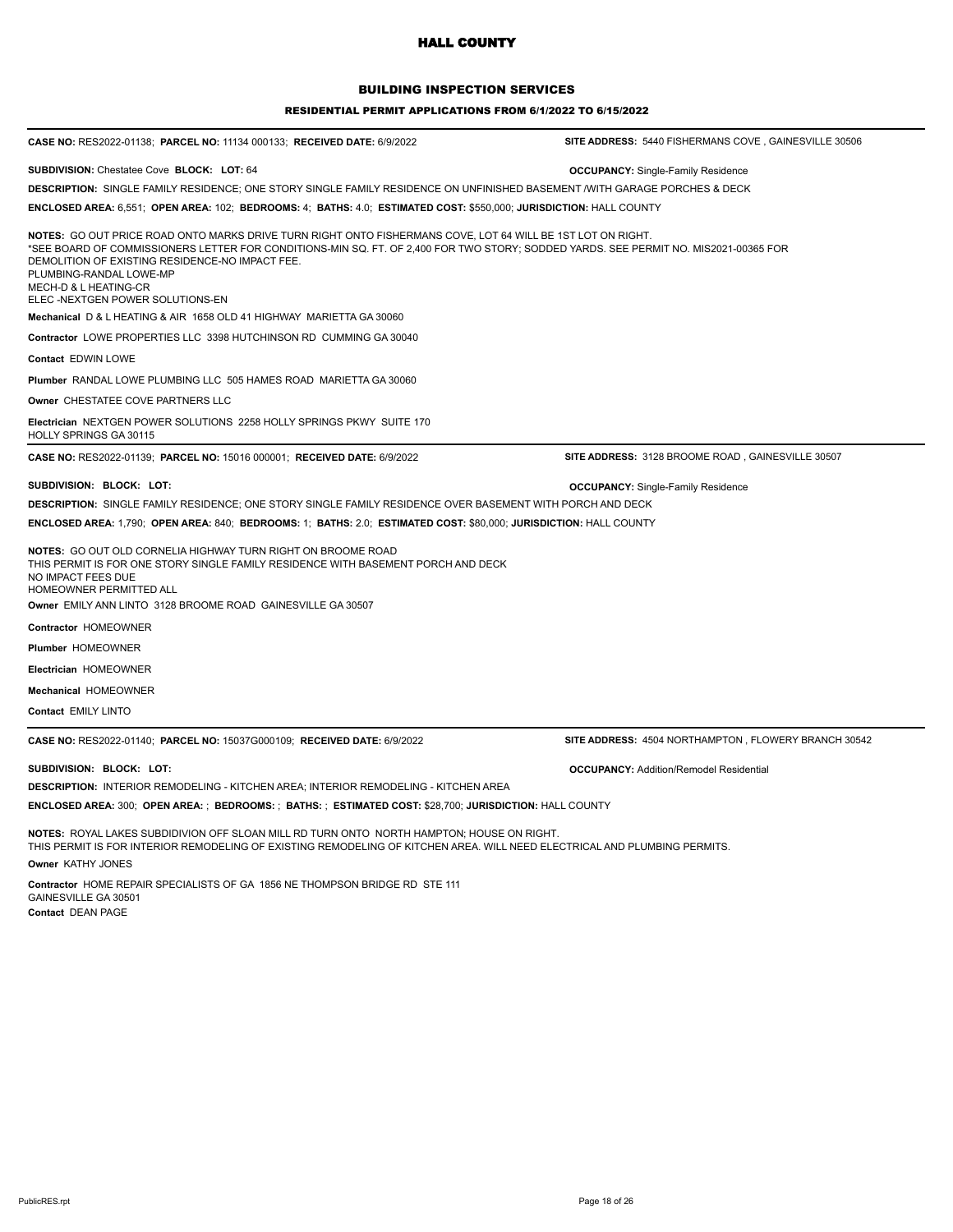#### BUILDING INSPECTION SERVICES

#### RESIDENTIAL PERMIT APPLICATIONS FROM 6/1/2022 TO 6/15/2022

| CASE NO: RES2022-01138; PARCEL NO: 11134 000133; RECEIVED DATE: 6/9/2022                                                                                                                                                                                                                                                                                                                                                                                                                                                                                                                                                                                                    | SITE ADDRESS: 5440 FISHERMANS COVE, GAINESVILLE 30506 |
|-----------------------------------------------------------------------------------------------------------------------------------------------------------------------------------------------------------------------------------------------------------------------------------------------------------------------------------------------------------------------------------------------------------------------------------------------------------------------------------------------------------------------------------------------------------------------------------------------------------------------------------------------------------------------------|-------------------------------------------------------|
| SUBDIVISION: Chestatee Cove BLOCK: LOT: 64<br>DESCRIPTION: SINGLE FAMILY RESIDENCE; ONE STORY SINGLE FAMILY RESIDENCE ON UNFINISHED BASEMENT /WITH GARAGE PORCHES & DECK<br>ENCLOSED AREA: 6,551;  OPEN AREA: 102;  BEDROOMS: 4;  BATHS: 4.0;  ESTIMATED COST: \$550,000; JURISDICTION: HALL COUNTY                                                                                                                                                                                                                                                                                                                                                                         | <b>OCCUPANCY: Single-Family Residence</b>             |
| NOTES: GO OUT PRICE ROAD ONTO MARKS DRIVE TURN RIGHT ONTO FISHERMANS COVE, LOT 64 WILL BE 1ST LOT ON RIGHT.<br>SEE BOARD OF COMMISSIONERS LETTER FOR CONDITIONS-MIN SQ. FT. OF 2,400 FOR TWO STORY; SODDED YARDS. SEE PERMIT NO. MIS2021-00365 FOR<br>DEMOLITION OF EXISTING RESIDENCE-NO IMPACT FEE.<br>PLUMBING-RANDAL LOWE-MP<br>MECH-D & L HEATING-CR<br>ELEC -NEXTGEN POWER SOLUTIONS-EN<br>Mechanical D & L HEATING & AIR 1658 OLD 41 HIGHWAY MARIETTA GA 30060<br>Contractor LOWE PROPERTIES LLC 3398 HUTCHINSON RD CUMMING GA 30040<br>Contact EDWIN LOWE<br>Plumber RANDAL LOWE PLUMBING LLC 505 HAMES ROAD MARIETTA GA 30060<br>Owner CHESTATEE COVE PARTNERS LLC |                                                       |
| Electrician NEXTGEN POWER SOLUTIONS 2258 HOLLY SPRINGS PKWY SUITE 170<br>HOLLY SPRINGS GA 30115                                                                                                                                                                                                                                                                                                                                                                                                                                                                                                                                                                             |                                                       |
| CASE NO: RES2022-01139; PARCEL NO: 15016 000001; RECEIVED DATE: 6/9/2022                                                                                                                                                                                                                                                                                                                                                                                                                                                                                                                                                                                                    | SITE ADDRESS: 3128 BROOME ROAD, GAINESVILLE 30507     |
| SUBDIVISION: BLOCK: LOT:<br>DESCRIPTION: SINGLE FAMILY RESIDENCE: ONE STORY SINGLE FAMILY RESIDENCE OVER BASEMENT WITH PORCH AND DECK<br>ENCLOSED AREA: 1,790;  OPEN AREA: 840;  BEDROOMS: 1;  BATHS: 2.0;  ESTIMATED COST: \$80,000; JURISDICTION: HALL COUNTY<br>NOTES: GO OUT OLD CORNELIA HIGHWAY TURN RIGHT ON BROOME ROAD<br>THIS PERMIT IS FOR ONE STORY SINGLE FAMILY RESIDENCE WITH BASEMENT PORCH AND DECK<br>NO IMPACT FEES DUE<br>HOMEOWNER PERMITTED ALL<br>Owner_EMILY ANN LINTO_3128 BROOME ROAD_GAINESVILLE GA 30507<br>Contractor HOMEOWNER<br>Plumber HOMEOWNER<br>Electrician HOMEOWNER                                                                  | <b>OCCUPANCY: Single-Family Residence</b>             |
| Mechanical HOMEOWNER                                                                                                                                                                                                                                                                                                                                                                                                                                                                                                                                                                                                                                                        |                                                       |
| Contact EMILY LINTO                                                                                                                                                                                                                                                                                                                                                                                                                                                                                                                                                                                                                                                         |                                                       |
| CASE NO: RES2022-01140; PARCEL NO: 15037G000109; RECEIVED DATE: 6/9/2022                                                                                                                                                                                                                                                                                                                                                                                                                                                                                                                                                                                                    | SITE ADDRESS: 4504 NORTHAMPTON, FLOWERY BRANCH 30542  |
| SUBDIVISION: BLOCK: LOT:<br><b>DESCRIPTION: INTERIOR REMODELING - KITCHEN AREA; INTERIOR REMODELING - KITCHEN AREA</b><br>ENCLOSED AREA: 300;  OPEN AREA: ;  BEDROOMS: ;  BATHS: ;  ESTIMATED COST: \$28,700; JURISDICTION: HALL COUNTY                                                                                                                                                                                                                                                                                                                                                                                                                                     | <b>OCCUPANCY: Addition/Remodel Residential</b>        |

**NOTES:** ROYAL LAKES SUBDIDIVION OFF SLOAN MILL RD TURN ONTO NORTH HAMPTON; HOUSE ON RIGHT. THIS PERMIT IS FOR INTERIOR REMODELING OF EXISTING REMODELING OF KITCHEN AREA. WILL NEED ELECTRICAL AND PLUMBING PERMITS. **Owner** KATHY JONES

**Contractor** HOME REPAIR SPECIALISTS OF GA 1856 NE THOMPSON BRIDGE RD STE 111 GAINESVILLE GA 30501 **Contact** DEAN PAGE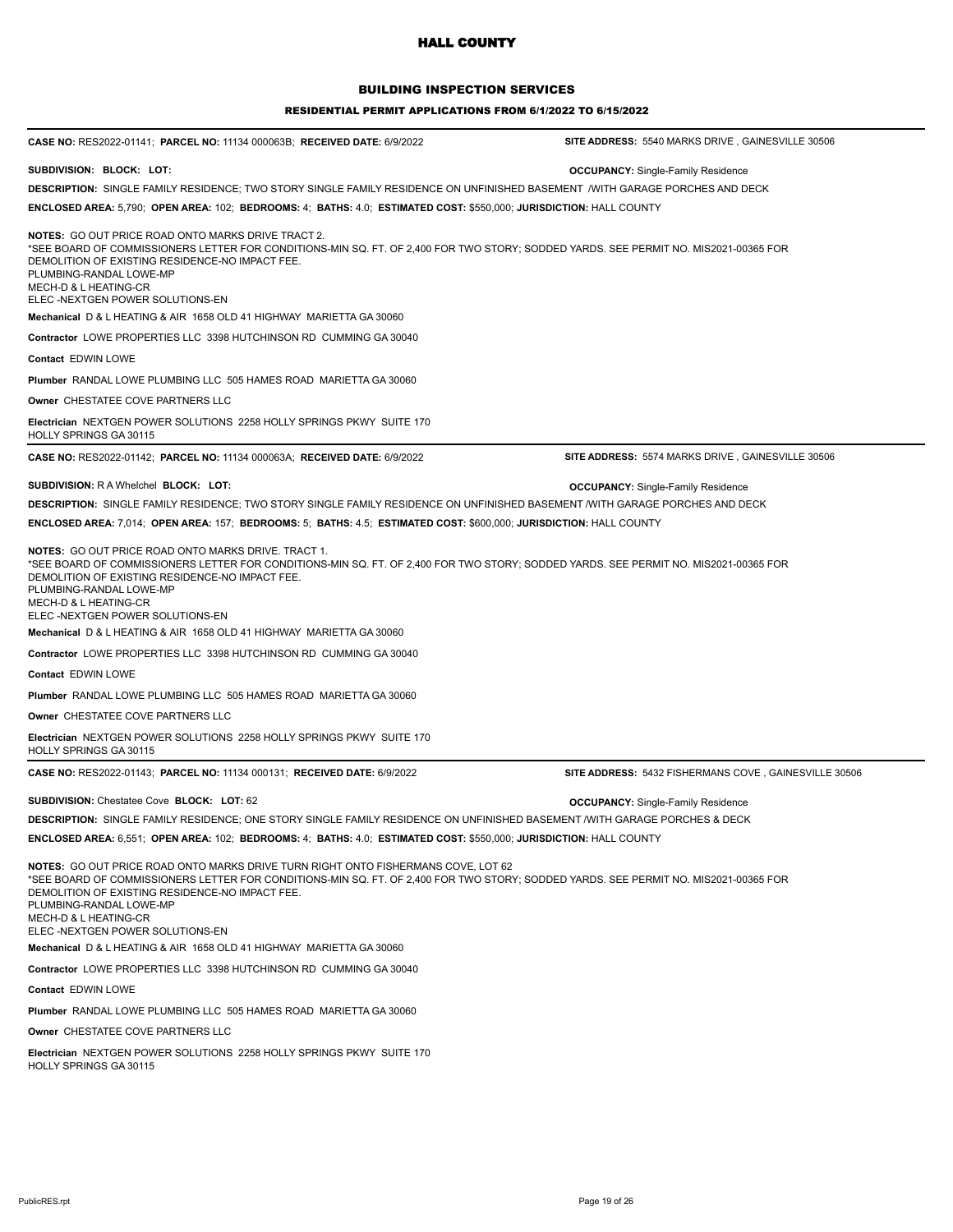## BUILDING INSPECTION SERVICES

| CASE NO: RES2022-01141; PARCEL NO: 11134 000063B; RECEIVED DATE: 6/9/2022                                                                                                                                                                                                                                                                                           | SITE ADDRESS: 5540 MARKS DRIVE, GAINESVILLE 30506     |
|---------------------------------------------------------------------------------------------------------------------------------------------------------------------------------------------------------------------------------------------------------------------------------------------------------------------------------------------------------------------|-------------------------------------------------------|
| SUBDIVISION: BLOCK: LOT:                                                                                                                                                                                                                                                                                                                                            | <b>OCCUPANCY:</b> Single-Family Residence             |
| DESCRIPTION: SINGLE FAMILY RESIDENCE; TWO STORY SINGLE FAMILY RESIDENCE ON UNFINISHED BASEMENT /WITH GARAGE PORCHES AND DECK                                                                                                                                                                                                                                        |                                                       |
| ENCLOSED AREA: 5,790; OPEN AREA: 102; BEDROOMS: 4; BATHS: 4.0; ESTIMATED COST: \$550,000; JURISDICTION: HALL COUNTY                                                                                                                                                                                                                                                 |                                                       |
| <b>NOTES: GO OUT PRICE ROAD ONTO MARKS DRIVE TRACT 2.</b><br>SEE BOARD OF COMMISSIONERS LETTER FOR CONDITIONS-MIN SQ. FT. OF 2,400 FOR TWO STORY; SODDED YARDS. SEE PERMIT NO. MIS2021-00365 FOR<br>DEMOLITION OF EXISTING RESIDENCE-NO IMPACT FEE.<br>PLUMBING-RANDAL LOWE-MP<br>MECH-D & L HEATING-CR<br>ELEC-NEXTGEN POWER SOLUTIONS-EN                          |                                                       |
| Mechanical D & L HEATING & AIR 1658 OLD 41 HIGHWAY MARIETTA GA 30060                                                                                                                                                                                                                                                                                                |                                                       |
| <b>Contractor LOWE PROPERTIES LLC 3398 HUTCHINSON RD CUMMING GA 30040</b>                                                                                                                                                                                                                                                                                           |                                                       |
| <b>Contact EDWIN LOWE</b>                                                                                                                                                                                                                                                                                                                                           |                                                       |
| Plumber RANDAL LOWE PLUMBING LLC 505 HAMES ROAD MARIETTA GA 30060                                                                                                                                                                                                                                                                                                   |                                                       |
| Owner CHESTATEE COVE PARTNERS LLC                                                                                                                                                                                                                                                                                                                                   |                                                       |
| <b>Electrician NEXTGEN POWER SOLUTIONS 2258 HOLLY SPRINGS PKWY SUITE 170</b><br>HOLLY SPRINGS GA 30115                                                                                                                                                                                                                                                              |                                                       |
| CASE NO: RES2022-01142; PARCEL NO: 11134 000063A; RECEIVED DATE: 6/9/2022                                                                                                                                                                                                                                                                                           | SITE ADDRESS: 5574 MARKS DRIVE, GAINESVILLE 30506     |
| <b>SUBDIVISION: RA Whelchel BLOCK: LOT:</b>                                                                                                                                                                                                                                                                                                                         | <b>OCCUPANCY:</b> Single-Family Residence             |
| DESCRIPTION: SINGLE FAMILY RESIDENCE; TWO STORY SINGLE FAMILY RESIDENCE ON UNFINISHED BASEMENT /WITH GARAGE PORCHES AND DECK                                                                                                                                                                                                                                        |                                                       |
| ENCLOSED AREA: 7,014; OPEN AREA: 157; BEDROOMS: 5; BATHS: 4.5; ESTIMATED COST: \$600,000; JURISDICTION: HALL COUNTY                                                                                                                                                                                                                                                 |                                                       |
| <b>NOTES:</b> GO OUT PRICE ROAD ONTO MARKS DRIVE. TRACT 1.<br>SEE BOARD OF COMMISSIONERS LETTER FOR CONDITIONS-MIN SQ. FT. OF 2,400 FOR TWO STORY; SODDED YARDS. SEE PERMIT NO. MIS2021-00365 FOR<br>DEMOLITION OF EXISTING RESIDENCE-NO IMPACT FEE.<br>PLUMBING-RANDAL LOWE-MP<br>MECH-D & L HEATING-CR<br>ELEC-NEXTGEN POWER SOLUTIONS-EN                         |                                                       |
| Mechanical D & L HEATING & AIR 1658 OLD 41 HIGHWAY MARIETTA GA 30060                                                                                                                                                                                                                                                                                                |                                                       |
| <b>Contractor LOWE PROPERTIES LLC 3398 HUTCHINSON RD CUMMING GA 30040</b>                                                                                                                                                                                                                                                                                           |                                                       |
| <b>Contact EDWIN LOWE</b>                                                                                                                                                                                                                                                                                                                                           |                                                       |
| <b>Plumber RANDAL LOWE PLUMBING LLC 505 HAMES ROAD MARIETTA GA 30060</b>                                                                                                                                                                                                                                                                                            |                                                       |
| Owner CHESTATEE COVE PARTNERS LLC                                                                                                                                                                                                                                                                                                                                   |                                                       |
| <b>Electrician NEXTGEN POWER SOLUTIONS 2258 HOLLY SPRINGS PKWY SUITE 170</b><br>HOLLY SPRINGS GA 30115                                                                                                                                                                                                                                                              |                                                       |
| CASE NO: RES2022-01143; PARCEL NO: 11134 000131; RECEIVED DATE: 6/9/2022                                                                                                                                                                                                                                                                                            | SITE ADDRESS: 5432 FISHERMANS COVE, GAINESVILLE 30506 |
| <b>SUBDIVISION: Chestatee Cove BLOCK: LOT: 62</b>                                                                                                                                                                                                                                                                                                                   | <b>OCCUPANCY: Single-Family Residence</b>             |
| DESCRIPTION: SINGLE FAMILY RESIDENCE; ONE STORY SINGLE FAMILY RESIDENCE ON UNFINISHED BASEMENT /WITH GARAGE PORCHES & DECK                                                                                                                                                                                                                                          |                                                       |
| ENCLOSED AREA: 6,551; OPEN AREA: 102; BEDROOMS: 4; BATHS: 4.0; ESTIMATED COST: \$550,000; JURISDICTION: HALL COUNTY                                                                                                                                                                                                                                                 |                                                       |
| NOTES: GO OUT PRICE ROAD ONTO MARKS DRIVE TURN RIGHT ONTO FISHERMANS COVE, LOT 62<br>*SEE BOARD OF COMMISSIONERS LETTER FOR CONDITIONS-MIN SQ. FT. OF 2,400 FOR TWO STORY; SODDED YARDS. SEE PERMIT NO. MIS2021-00365 FOR<br>DEMOLITION OF EXISTING RESIDENCE-NO IMPACT FEE.<br>PLUMBING-RANDAL LOWE-MP<br>MECH-D & L HEATING-CR<br>ELEC-NEXTGEN POWER SOLUTIONS-EN |                                                       |
| Mechanical D & L HEATING & AIR 1658 OLD 41 HIGHWAY MARIETTA GA 30060                                                                                                                                                                                                                                                                                                |                                                       |
| Contractor LOWE PROPERTIES LLC 3398 HUTCHINSON RD CUMMING GA 30040                                                                                                                                                                                                                                                                                                  |                                                       |
| <b>Contact EDWIN LOWE</b>                                                                                                                                                                                                                                                                                                                                           |                                                       |
| Plumber RANDAL LOWE PLUMBING LLC 505 HAMES ROAD MARIETTA GA 30060                                                                                                                                                                                                                                                                                                   |                                                       |
| Owner CHESTATEE COVE PARTNERS LLC                                                                                                                                                                                                                                                                                                                                   |                                                       |
| Electrician NEXTGEN POWER SOLUTIONS 2258 HOLLY SPRINGS PKWY SUITE 170<br>HOLLY SPRINGS GA 30115                                                                                                                                                                                                                                                                     |                                                       |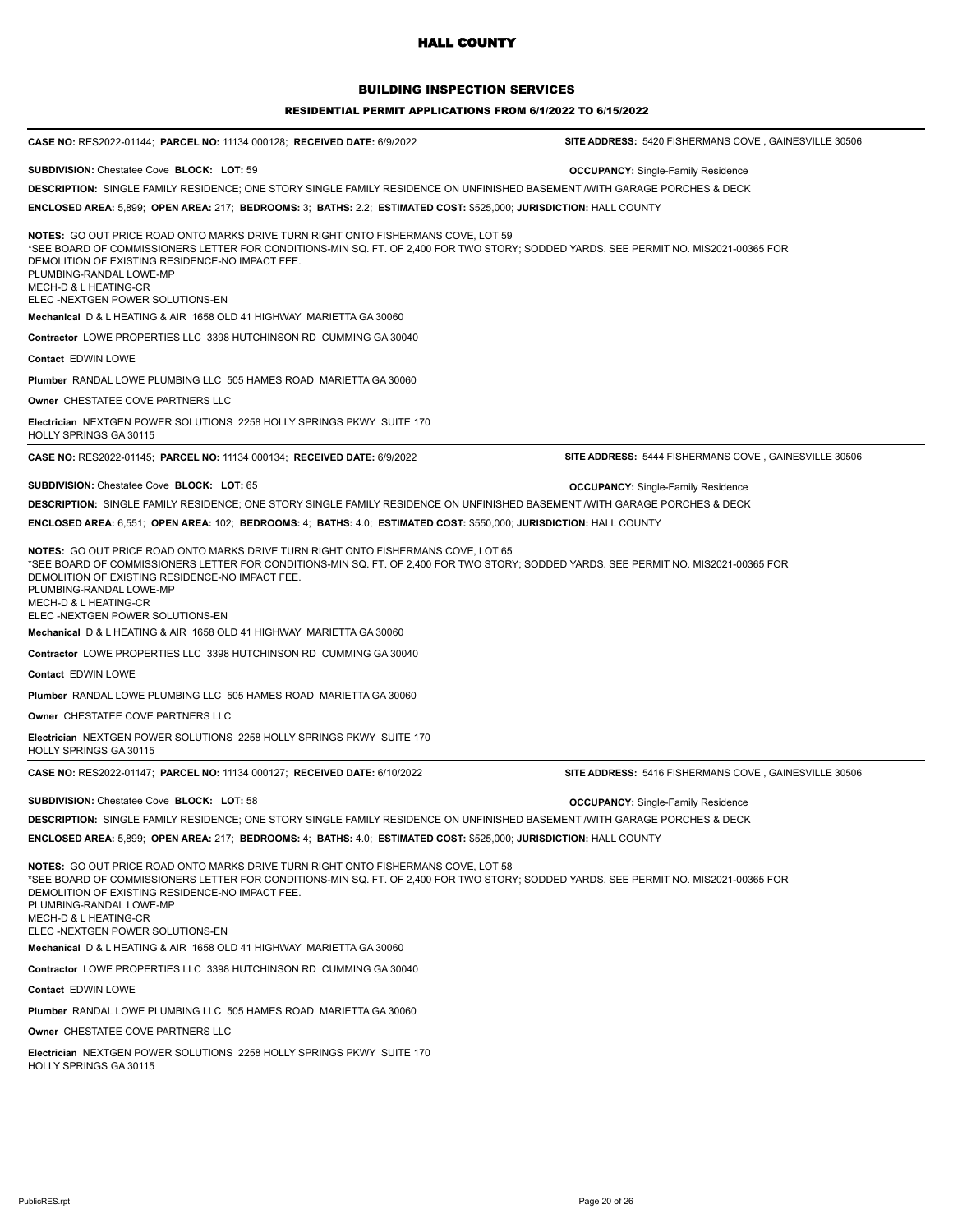### BUILDING INSPECTION SERVICES

| <b>CASE NO: RES2022-01144; PARCEL NO: 11134 000128; RECEIVED DATE: 6/9/2022</b>                                                                                                                                                                                                                                                                                      | SITE ADDRESS: 5420 FISHERMANS COVE, GAINESVILLE 30506 |
|----------------------------------------------------------------------------------------------------------------------------------------------------------------------------------------------------------------------------------------------------------------------------------------------------------------------------------------------------------------------|-------------------------------------------------------|
| SUBDIVISION: Chestatee Cove BLOCK: LOT: 59                                                                                                                                                                                                                                                                                                                           | <b>OCCUPANCY:</b> Single-Family Residence             |
| DESCRIPTION: SINGLE FAMILY RESIDENCE; ONE STORY SINGLE FAMILY RESIDENCE ON UNFINISHED BASEMENT /WITH GARAGE PORCHES & DECK                                                                                                                                                                                                                                           |                                                       |
| ENCLOSED AREA: 5,899; OPEN AREA: 217; BEDROOMS: 3; BATHS: 2.2; ESTIMATED COST: \$525,000; JURISDICTION: HALL COUNTY                                                                                                                                                                                                                                                  |                                                       |
| NOTES: GO OUT PRICE ROAD ONTO MARKS DRIVE TURN RIGHT ONTO FISHERMANS COVE, LOT 59<br>*SEE BOARD OF COMMISSIONERS LETTER FOR CONDITIONS-MIN SQ. FT. OF 2,400 FOR TWO STORY; SODDED YARDS. SEE PERMIT NO. MIS2021-00365 FOR<br>DEMOLITION OF EXISTING RESIDENCE-NO IMPACT FEE.<br>PLUMBING-RANDAL LOWE-MP<br>MECH-D & L HEATING-CR<br>ELEC -NEXTGEN POWER SOLUTIONS-EN |                                                       |
| Mechanical D & L HEATING & AIR 1658 OLD 41 HIGHWAY MARIETTA GA 30060                                                                                                                                                                                                                                                                                                 |                                                       |
| Contractor LOWE PROPERTIES LLC 3398 HUTCHINSON RD CUMMING GA 30040                                                                                                                                                                                                                                                                                                   |                                                       |
| Contact EDWIN LOWE                                                                                                                                                                                                                                                                                                                                                   |                                                       |
| Plumber RANDAL LOWE PLUMBING LLC 505 HAMES ROAD MARIETTA GA 30060                                                                                                                                                                                                                                                                                                    |                                                       |
| Owner CHESTATEE COVE PARTNERS LLC                                                                                                                                                                                                                                                                                                                                    |                                                       |
| Electrician NEXTGEN POWER SOLUTIONS 2258 HOLLY SPRINGS PKWY SUITE 170<br>HOLLY SPRINGS GA 30115                                                                                                                                                                                                                                                                      |                                                       |
| CASE NO: RES2022-01145; PARCEL NO: 11134 000134; RECEIVED DATE: 6/9/2022                                                                                                                                                                                                                                                                                             | SITE ADDRESS: 5444 FISHERMANS COVE, GAINESVILLE 30506 |
| SUBDIVISION: Chestatee Cove BLOCK: LOT: 65                                                                                                                                                                                                                                                                                                                           | <b>OCCUPANCY:</b> Single-Family Residence             |
| DESCRIPTION: SINGLE FAMILY RESIDENCE; ONE STORY SINGLE FAMILY RESIDENCE ON UNFINISHED BASEMENT /WITH GARAGE PORCHES & DECK                                                                                                                                                                                                                                           |                                                       |
| ENCLOSED AREA: 6,551; OPEN AREA: 102; BEDROOMS: 4; BATHS: 4.0; ESTIMATED COST: \$550,000; JURISDICTION: HALL COUNTY                                                                                                                                                                                                                                                  |                                                       |
| *SEE BOARD OF COMMISSIONERS LETTER FOR CONDITIONS-MIN SQ. FT. OF 2,400 FOR TWO STORY; SODDED YARDS. SEE PERMIT NO. MIS2021-00365 FOR<br>DEMOLITION OF EXISTING RESIDENCE-NO IMPACT FEE.<br>PLUMBING-RANDAL LOWE-MP<br>MECH-D & L HEATING-CR<br>ELEC -NEXTGEN POWER SOLUTIONS-EN                                                                                      |                                                       |
| Mechanical D & L HEATING & AIR 1658 OLD 41 HIGHWAY MARIETTA GA 30060                                                                                                                                                                                                                                                                                                 |                                                       |
| Contractor LOWE PROPERTIES LLC 3398 HUTCHINSON RD CUMMING GA 30040                                                                                                                                                                                                                                                                                                   |                                                       |
| Contact EDWIN LOWE                                                                                                                                                                                                                                                                                                                                                   |                                                       |
| Plumber RANDAL LOWE PLUMBING LLC 505 HAMES ROAD MARIETTA GA 30060                                                                                                                                                                                                                                                                                                    |                                                       |
| Owner CHESTATEE COVE PARTNERS LLC                                                                                                                                                                                                                                                                                                                                    |                                                       |
| Electrician NEXTGEN POWER SOLUTIONS 2258 HOLLY SPRINGS PKWY SUITE 170<br><b>HOLLY SPRINGS GA 30115</b>                                                                                                                                                                                                                                                               |                                                       |
| CASE NO: RES2022-01147; PARCEL NO: 11134 000127; RECEIVED DATE: 6/10/2022                                                                                                                                                                                                                                                                                            | SITE ADDRESS: 5416 FISHERMANS COVE, GAINESVILLE 30506 |
| <b>SUBDIVISION: Chestatee Cove BLOCK: LOT: 58</b>                                                                                                                                                                                                                                                                                                                    | <b>OCCUPANCY:</b> Single-Family Residence             |
| DESCRIPTION: SINGLE FAMILY RESIDENCE; ONE STORY SINGLE FAMILY RESIDENCE ON UNFINISHED BASEMENT WITH GARAGE PORCHES & DECK                                                                                                                                                                                                                                            |                                                       |
| ENCLOSED AREA: 5,899; OPEN AREA: 217; BEDROOMS: 4; BATHS: 4.0; ESTIMATED COST: \$525,000; JURISDICTION: HALL COUNTY                                                                                                                                                                                                                                                  |                                                       |
| NOTES: GO OUT PRICE ROAD ONTO MARKS DRIVE TURN RIGHT ONTO FISHERMANS COVE, LOT 58<br>*SEE BOARD OF COMMISSIONERS LETTER FOR CONDITIONS-MIN SQ. FT. OF 2,400 FOR TWO STORY; SODDED YARDS. SEE PERMIT NO. MIS2021-00365 FOR<br>DEMOLITION OF EXISTING RESIDENCE-NO IMPACT FEE.<br>PLUMBING-RANDAL LOWE-MP<br>MECH-D & L HEATING-CR<br>ELEC -NEXTGEN POWER SOLUTIONS-EN |                                                       |
| Mechanical D & L HEATING & AIR 1658 OLD 41 HIGHWAY MARIETTA GA 30060                                                                                                                                                                                                                                                                                                 |                                                       |
| Contractor LOWE PROPERTIES LLC 3398 HUTCHINSON RD CUMMING GA 30040                                                                                                                                                                                                                                                                                                   |                                                       |
| Contact EDWIN LOWE                                                                                                                                                                                                                                                                                                                                                   |                                                       |
| Plumber RANDAL LOWE PLUMBING LLC 505 HAMES ROAD MARIETTA GA 30060                                                                                                                                                                                                                                                                                                    |                                                       |
| Owner CHESTATEE COVE PARTNERS LLC                                                                                                                                                                                                                                                                                                                                    |                                                       |
| Electrician NEXTGEN POWER SOLUTIONS 2258 HOLLY SPRINGS PKWY SUITE 170<br>HOLLY SPRINGS GA 30115                                                                                                                                                                                                                                                                      |                                                       |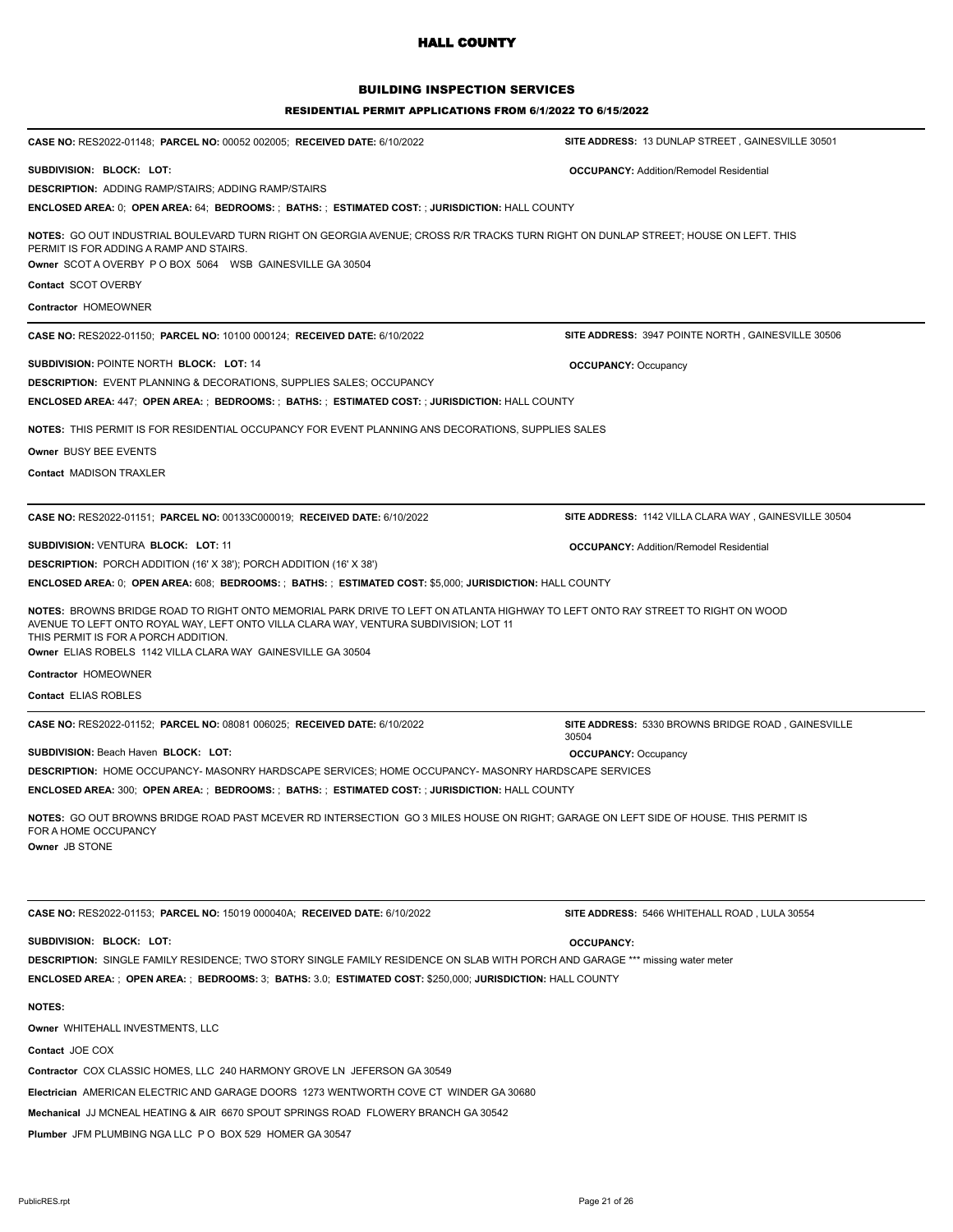## BUILDING INSPECTION SERVICES

| <b>CASE NO: RES2022-01148; PARCEL NO: 00052 002005; RECEIVED DATE: 6/10/2022</b>                                                                                                                                                                                                                                                 | SITE ADDRESS: 13 DUNLAP STREET, GAINESVILLE 30501           |
|----------------------------------------------------------------------------------------------------------------------------------------------------------------------------------------------------------------------------------------------------------------------------------------------------------------------------------|-------------------------------------------------------------|
| SUBDIVISION: BLOCK: LOT:                                                                                                                                                                                                                                                                                                         | <b>OCCUPANCY: Addition/Remodel Residential</b>              |
| <b>DESCRIPTION: ADDING RAMP/STAIRS; ADDING RAMP/STAIRS</b>                                                                                                                                                                                                                                                                       |                                                             |
| <b>ENCLOSED AREA: 0; OPEN AREA: 64; BEDROOMS: ; BATHS: ; ESTIMATED COST: ; JURISDICTION: HALL COUNTY</b>                                                                                                                                                                                                                         |                                                             |
| NOTES: GO OUT INDUSTRIAL BOULEVARD TURN RIGHT ON GEORGIA AVENUE; CROSS R/R TRACKS TURN RIGHT ON DUNLAP STREET; HOUSE ON LEFT. THIS<br>PERMIT IS FOR ADDING A RAMP AND STAIRS.<br>Owner SCOT A OVERBY P O BOX 5064 WSB GAINESVILLE GA 30504                                                                                       |                                                             |
| Contact SCOT OVERBY                                                                                                                                                                                                                                                                                                              |                                                             |
| Contractor HOMEOWNER                                                                                                                                                                                                                                                                                                             |                                                             |
| <b>CASE NO: RES2022-01150; PARCEL NO: 10100 000124; RECEIVED DATE: 6/10/2022</b>                                                                                                                                                                                                                                                 | SITE ADDRESS: 3947 POINTE NORTH, GAINESVILLE 30506          |
| SUBDIVISION: POINTE NORTH BLOCK: LOT: 14                                                                                                                                                                                                                                                                                         | <b>OCCUPANCY: Occupancy</b>                                 |
| <b>DESCRIPTION: EVENT PLANNING &amp; DECORATIONS, SUPPLIES SALES; OCCUPANCY</b>                                                                                                                                                                                                                                                  |                                                             |
| <b>ENCLOSED AREA: 447; OPEN AREA: ; BEDROOMS: ; BATHS: ; ESTIMATED COST: ; JURISDICTION: HALL COUNTY</b>                                                                                                                                                                                                                         |                                                             |
| NOTES: THIS PERMIT IS FOR RESIDENTIAL OCCUPANCY FOR EVENT PLANNING ANS DECORATIONS, SUPPLIES SALES                                                                                                                                                                                                                               |                                                             |
| Owner BUSY BEE EVENTS                                                                                                                                                                                                                                                                                                            |                                                             |
| <b>Contact MADISON TRAXLER</b>                                                                                                                                                                                                                                                                                                   |                                                             |
|                                                                                                                                                                                                                                                                                                                                  |                                                             |
| CASE NO: RES2022-01151; PARCEL NO: 00133C000019; RECEIVED DATE: 6/10/2022                                                                                                                                                                                                                                                        | SITE ADDRESS: 1142 VILLA CLARA WAY, GAINESVILLE 30504       |
| <b>SUBDIVISION: VENTURA BLOCK: LOT: 11</b>                                                                                                                                                                                                                                                                                       | <b>OCCUPANCY: Addition/Remodel Residential</b>              |
| <b>DESCRIPTION:</b> PORCH ADDITION (16' X 38'); PORCH ADDITION (16' X 38')                                                                                                                                                                                                                                                       |                                                             |
| ENCLOSED AREA: 0; OPEN AREA: 608; BEDROOMS: ; BATHS: ; ESTIMATED COST: \$5,000; JURISDICTION: HALL COUNTY                                                                                                                                                                                                                        |                                                             |
| NOTES: BROWNS BRIDGE ROAD TO RIGHT ONTO MEMORIAL PARK DRIVE TO LEFT ON ATLANTA HIGHWAY TO LEFT ONTO RAY STREET TO RIGHT ON WOOD<br>AVENUE TO LEFT ONTO ROYAL WAY, LEFT ONTO VILLA CLARA WAY, VENTURA SUBDIVISION; LOT 11<br>THIS PERMIT IS FOR A PORCH ADDITION.<br>Owner ELIAS ROBELS 1142 VILLA CLARA WAY GAINESVILLE GA 30504 |                                                             |
| Contractor HOMEOWNER                                                                                                                                                                                                                                                                                                             |                                                             |
| Contact ELIAS ROBLES                                                                                                                                                                                                                                                                                                             |                                                             |
| CASE NO: RES2022-01152; PARCEL NO: 08081 006025; RECEIVED DATE: 6/10/2022                                                                                                                                                                                                                                                        | SITE ADDRESS: 5330 BROWNS BRIDGE ROAD, GAINESVILLE<br>30504 |
| <b>SUBDIVISION: Beach Haven BLOCK: LOT:</b>                                                                                                                                                                                                                                                                                      | <b>OCCUPANCY: Occupancy</b>                                 |
| DESCRIPTION: HOME OCCUPANCY- MASONRY HARDSCAPE SERVICES; HOME OCCUPANCY- MASONRY HARDSCAPE SERVICES                                                                                                                                                                                                                              |                                                             |
| <b>ENCLOSED AREA: 300; OPEN AREA: ; BEDROOMS: ; BATHS: ; ESTIMATED COST: ; JURISDICTION:</b> HALL COUNTY                                                                                                                                                                                                                         |                                                             |
| NOTES: GO OUT BROWNS BRIDGE ROAD PAST MCEVER RD INTERSECTION GO 3 MILES HOUSE ON RIGHT; GARAGE ON LEFT SIDE OF HOUSE. THIS PERMIT IS<br>FOR A HOME OCCUPANCY<br>Owner JB STONE                                                                                                                                                   |                                                             |
| CASE NO: RES2022-01153; PARCEL NO: 15019 000040A; RECEIVED DATE: 6/10/2022                                                                                                                                                                                                                                                       | SITE ADDRESS: 5466 WHITEHALL ROAD, LULA 30554               |
| SUBDIVISION: BLOCK: LOT:                                                                                                                                                                                                                                                                                                         | <b>OCCUPANCY:</b>                                           |
| DESCRIPTION: SINGLE FAMILY RESIDENCE; TWO STORY SINGLE FAMILY RESIDENCE ON SLAB WITH PORCH AND GARAGE *** missing water meter<br>ENCLOSED AREA: ; OPEN AREA: ; BEDROOMS: 3; BATHS: 3.0; ESTIMATED COST: \$250,000; JURISDICTION: HALL COUNTY                                                                                     |                                                             |
| <b>NOTES:</b>                                                                                                                                                                                                                                                                                                                    |                                                             |
| Owner WHITEHALL INVESTMENTS, LLC                                                                                                                                                                                                                                                                                                 |                                                             |
| Contact JOE COX                                                                                                                                                                                                                                                                                                                  |                                                             |
| Contractor COX CLASSIC HOMES, LLC 240 HARMONY GROVE LN JEFERSON GA 30549                                                                                                                                                                                                                                                         |                                                             |
| Electrician AMERICAN ELECTRIC AND GARAGE DOORS 1273 WENTWORTH COVE CT WINDER GA 30680                                                                                                                                                                                                                                            |                                                             |
|                                                                                                                                                                                                                                                                                                                                  |                                                             |
| Mechanical JJ MCNEAL HEATING & AIR 6670 SPOUT SPRINGS ROAD FLOWERY BRANCH GA 30542                                                                                                                                                                                                                                               |                                                             |
| Plumber JFM PLUMBING NGA LLC P O BOX 529 HOMER GA 30547                                                                                                                                                                                                                                                                          |                                                             |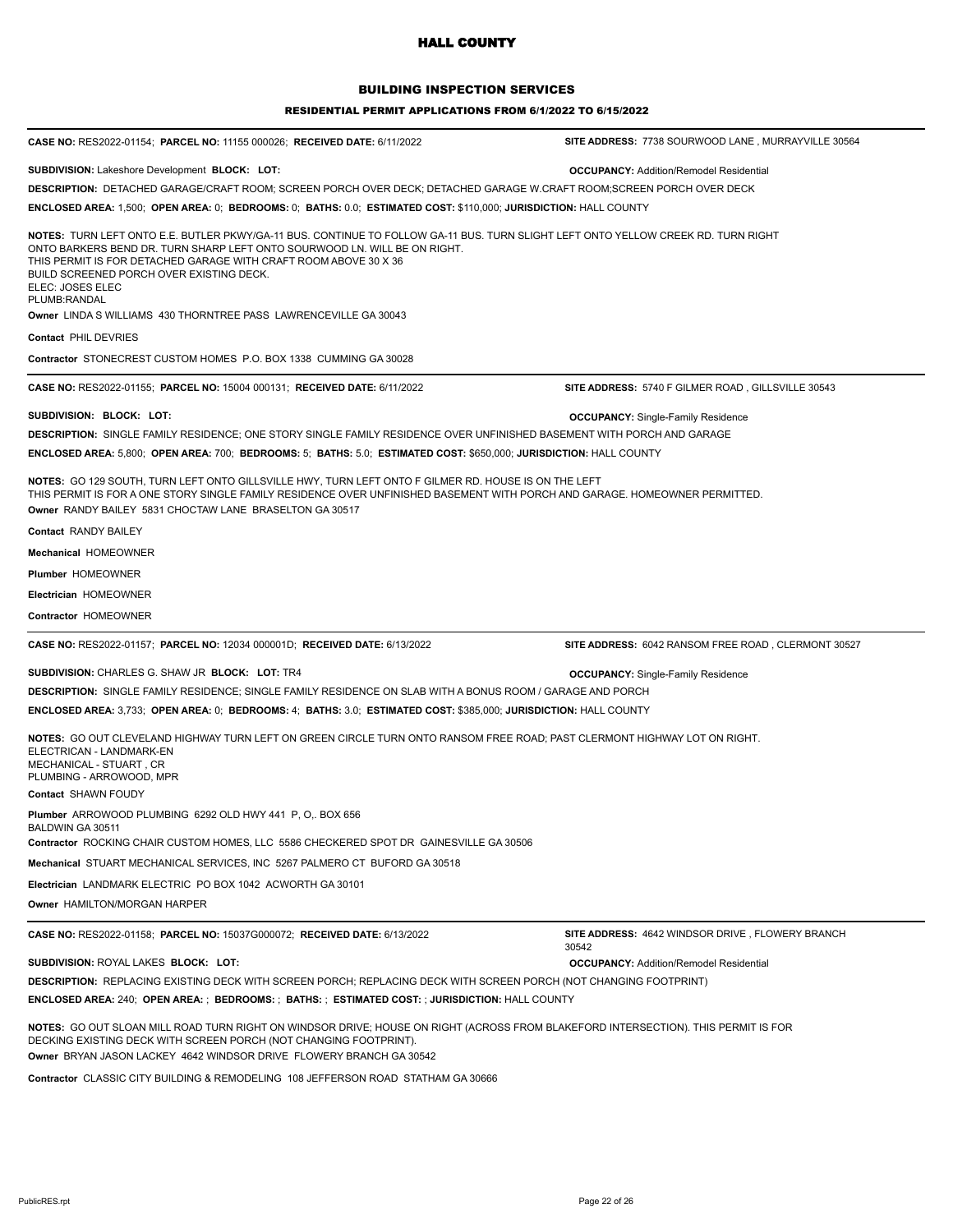### BUILDING INSPECTION SERVICES

| CASE NO: RES2022-01154; PARCEL NO: 11155 000026; RECEIVED DATE: 6/11/2022                                                                                                                                                                                                                                                                                          | SITE ADDRESS: 7738 SOURWOOD LANE, MURRAYVILLE 30564       |
|--------------------------------------------------------------------------------------------------------------------------------------------------------------------------------------------------------------------------------------------------------------------------------------------------------------------------------------------------------------------|-----------------------------------------------------------|
|                                                                                                                                                                                                                                                                                                                                                                    |                                                           |
| <b>SUBDIVISION: Lakeshore Development BLOCK: LOT:</b>                                                                                                                                                                                                                                                                                                              | <b>OCCUPANCY: Addition/Remodel Residential</b>            |
| DESCRIPTION: DETACHED GARAGE/CRAFT ROOM; SCREEN PORCH OVER DECK; DETACHED GARAGE W.CRAFT ROOM;SCREEN PORCH OVER DECK                                                                                                                                                                                                                                               |                                                           |
| ENCLOSED AREA: 1,500; OPEN AREA: 0; BEDROOMS: 0; BATHS: 0.0; ESTIMATED COST: \$110,000; JURISDICTION: HALL COUNTY                                                                                                                                                                                                                                                  |                                                           |
| NOTES: TURN LEFT ONTO E.E. BUTLER PKWY/GA-11 BUS. CONTINUE TO FOLLOW GA-11 BUS. TURN SLIGHT LEFT ONTO YELLOW CREEK RD. TURN RIGHT<br>ONTO BARKERS BEND DR. TURN SHARP LEFT ONTO SOURWOOD LN. WILL BE ON RIGHT.<br>THIS PERMIT IS FOR DETACHED GARAGE WITH CRAFT ROOM ABOVE 30 X 36<br>BUILD SCREENED PORCH OVER EXISTING DECK.<br>ELEC: JOSES ELEC<br>PLUMB:RANDAL |                                                           |
| <b>Owner LINDA S WILLIAMS 430 THORNTREE PASS LAWRENCEVILLE GA 30043</b>                                                                                                                                                                                                                                                                                            |                                                           |
| <b>Contact PHIL DEVRIES</b>                                                                                                                                                                                                                                                                                                                                        |                                                           |
| <b>Contractor STONECREST CUSTOM HOMES P.O. BOX 1338 CUMMING GA 30028</b>                                                                                                                                                                                                                                                                                           |                                                           |
| CASE NO: RES2022-01155; PARCEL NO: 15004 000131; RECEIVED DATE: 6/11/2022                                                                                                                                                                                                                                                                                          | SITE ADDRESS: 5740 F GILMER ROAD, GILLSVILLE 30543        |
| SUBDIVISION: BLOCK: LOT:                                                                                                                                                                                                                                                                                                                                           | <b>OCCUPANCY:</b> Single-Family Residence                 |
| DESCRIPTION: SINGLE FAMILY RESIDENCE; ONE STORY SINGLE FAMILY RESIDENCE OVER UNFINISHED BASEMENT WITH PORCH AND GARAGE                                                                                                                                                                                                                                             |                                                           |
| ENCLOSED AREA: 5,800; OPEN AREA: 700; BEDROOMS: 5; BATHS: 5.0; ESTIMATED COST: \$650,000; JURISDICTION: HALL COUNTY                                                                                                                                                                                                                                                |                                                           |
| NOTES: GO 129 SOUTH, TURN LEFT ONTO GILLSVILLE HWY, TURN LEFT ONTO F GILMER RD. HOUSE IS ON THE LEFT<br>THIS PERMIT IS FOR A ONE STORY SINGLE FAMILY RESIDENCE OVER UNFINISHED BASEMENT WITH PORCH AND GARAGE. HOMEOWNER PERMITTED.<br>Owner RANDY BAILEY 5831 CHOCTAW LANE BRASELTON GA 30517                                                                     |                                                           |
| <b>Contact RANDY BAILEY</b>                                                                                                                                                                                                                                                                                                                                        |                                                           |
| <b>Mechanical HOMEOWNER</b>                                                                                                                                                                                                                                                                                                                                        |                                                           |
| Plumber HOMEOWNER                                                                                                                                                                                                                                                                                                                                                  |                                                           |
| <b>Electrician HOMEOWNER</b>                                                                                                                                                                                                                                                                                                                                       |                                                           |
| Contractor HOMEOWNER                                                                                                                                                                                                                                                                                                                                               |                                                           |
| <b>CASE NO: RES2022-01157; PARCEL NO: 12034 000001D; RECEIVED DATE: 6/13/2022</b>                                                                                                                                                                                                                                                                                  | SITE ADDRESS: 6042 RANSOM FREE ROAD, CLERMONT 30527       |
| SUBDIVISION: CHARLES G. SHAW JR BLOCK: LOT: TR4                                                                                                                                                                                                                                                                                                                    | <b>OCCUPANCY:</b> Single-Family Residence                 |
| DESCRIPTION: SINGLE FAMILY RESIDENCE; SINGLE FAMILY RESIDENCE ON SLAB WITH A BONUS ROOM / GARAGE AND PORCH                                                                                                                                                                                                                                                         |                                                           |
| ENCLOSED AREA: 3,733; OPEN AREA: 0; BEDROOMS: 4; BATHS: 3.0; ESTIMATED COST: \$385,000; JURISDICTION: HALL COUNTY                                                                                                                                                                                                                                                  |                                                           |
| NOTES: GO OUT CLEVELAND HIGHWAY TURN LEFT ON GREEN CIRCLE TURN ONTO RANSOM FREE ROAD; PAST CLERMONT HIGHWAY LOT ON RIGHT.<br>ELECTRICAN - LANDMARK-EN<br>MECHANICAL - STUART, CR<br>PLUMBING - ARROWOOD, MPR                                                                                                                                                       |                                                           |
| Contact SHAWN FOUDY                                                                                                                                                                                                                                                                                                                                                |                                                           |
| Plumber ARROWOOD PLUMBING 6292 OLD HWY 441 P, O,. BOX 656<br>BALDWIN GA 30511                                                                                                                                                                                                                                                                                      |                                                           |
| Contractor ROCKING CHAIR CUSTOM HOMES, LLC 5586 CHECKERED SPOT DR GAINESVILLE GA 30506                                                                                                                                                                                                                                                                             |                                                           |
| Mechanical STUART MECHANICAL SERVICES, INC 5267 PALMERO CT BUFORD GA 30518                                                                                                                                                                                                                                                                                         |                                                           |
| Electrician LANDMARK ELECTRIC PO BOX 1042 ACWORTH GA 30101                                                                                                                                                                                                                                                                                                         |                                                           |
| Owner HAMILTON/MORGAN HARPER                                                                                                                                                                                                                                                                                                                                       |                                                           |
| CASE NO: RES2022-01158; PARCEL NO: 15037G000072; RECEIVED DATE: 6/13/2022                                                                                                                                                                                                                                                                                          | SITE ADDRESS: 4642 WINDSOR DRIVE, FLOWERY BRANCH<br>30542 |
| SUBDIVISION: ROYAL LAKES BLOCK: LOT:                                                                                                                                                                                                                                                                                                                               | <b>OCCUPANCY: Addition/Remodel Residential</b>            |
| DESCRIPTION: REPLACING EXISTING DECK WITH SCREEN PORCH; REPLACING DECK WITH SCREEN PORCH (NOT CHANGING FOOTPRINT)                                                                                                                                                                                                                                                  |                                                           |
| ENCLOSED AREA: 240; OPEN AREA: ; BEDROOMS: ; BATHS: ; ESTIMATED COST: ; JURISDICTION: HALL COUNTY                                                                                                                                                                                                                                                                  |                                                           |
| <b>NOTES:</b> GO OUT SLOAN MILL ROAD TURN RIGHT ON WINDSOR DRIVE; HOUSE ON RIGHT (ACROSS FROM BLAKEFORD INTERSECTION). THIS PERMIT IS FOR<br>DECKING EXISTING DECK WITH SCREEN PORCH (NOT CHANGING FOOTPRINT).<br>Owner BRYAN JASON LACKEY 4642 WINDSOR DRIVE FLOWERY BRANCH GA 30542                                                                              |                                                           |
| Contractor CLASSIC CITY BUILDING & REMODELING 108 JEFFERSON ROAD STATHAM GA 30666                                                                                                                                                                                                                                                                                  |                                                           |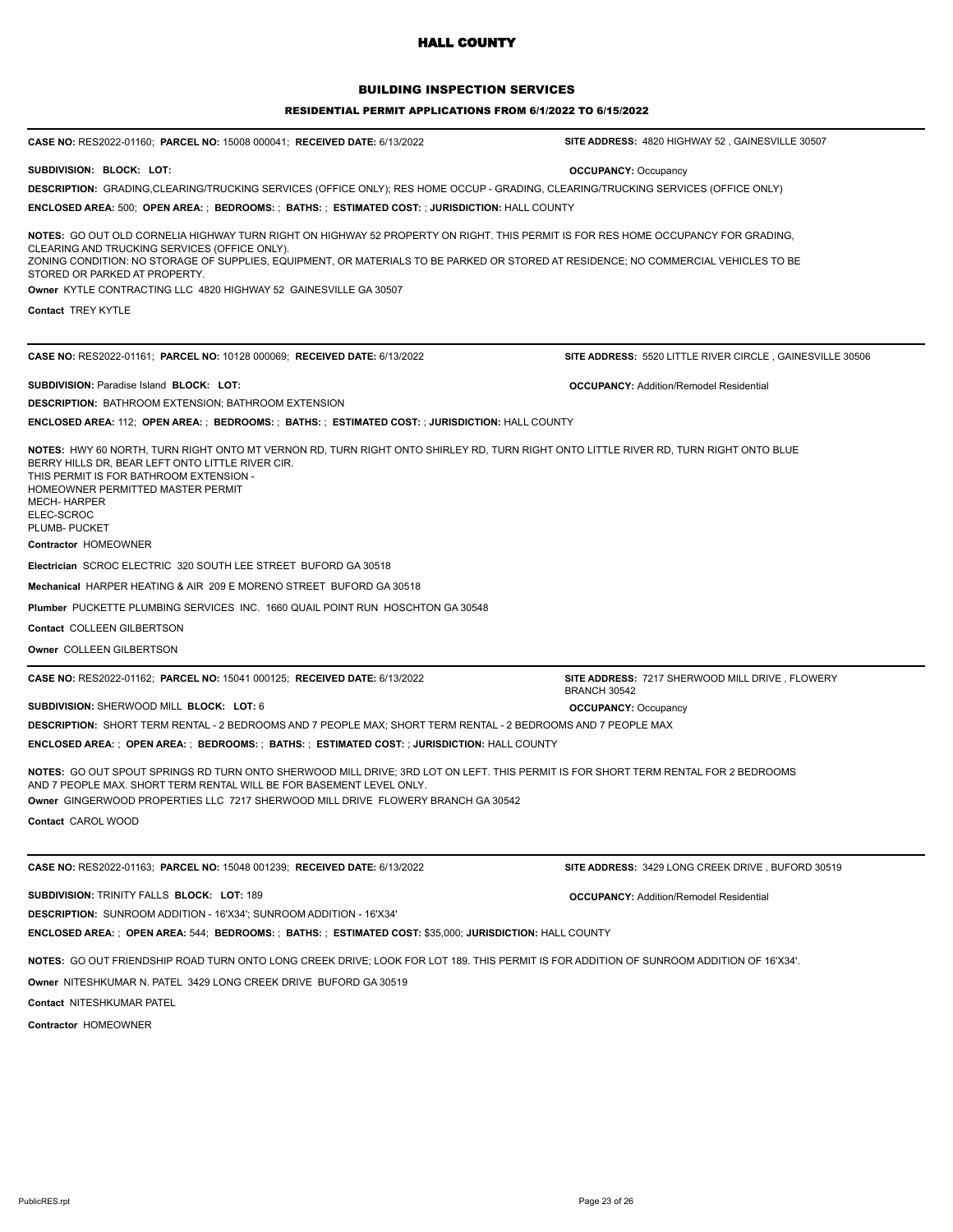## BUILDING INSPECTION SERVICES

#### RESIDENTIAL PERMIT APPLICATIONS FROM 6/1/2022 TO 6/15/2022

| <b>CASE NO: RES2022-01160; PARCEL NO: 15008 000041; RECEIVED DATE: 6/13/2022</b>                                                                                                                                                                                                                                                                           | SITE ADDRESS: 4820 HIGHWAY 52, GAINESVILLE 30507                       |
|------------------------------------------------------------------------------------------------------------------------------------------------------------------------------------------------------------------------------------------------------------------------------------------------------------------------------------------------------------|------------------------------------------------------------------------|
| SUBDIVISION: BLOCK: LOT:                                                                                                                                                                                                                                                                                                                                   | <b>OCCUPANCY: Occupancy</b>                                            |
| DESCRIPTION: GRADING,CLEARING/TRUCKING SERVICES (OFFICE ONLY); RES HOME OCCUP - GRADING, CLEARING/TRUCKING SERVICES (OFFICE ONLY)                                                                                                                                                                                                                          |                                                                        |
| ENCLOSED AREA: 500; OPEN AREA: ; BEDROOMS: ; BATHS: ; ESTIMATED COST: ; JURISDICTION: HALL COUNTY                                                                                                                                                                                                                                                          |                                                                        |
| NOTES: GO OUT OLD CORNELIA HIGHWAY TURN RIGHT ON HIGHWAY 52 PROPERTY ON RIGHT. THIS PERMIT IS FOR RES HOME OCCUPANCY FOR GRADING,<br>CLEARING AND TRUCKING SERVICES (OFFICE ONLY).<br>ZONING CONDITION: NO STORAGE OF SUPPLIES, EQUIPMENT, OR MATERIALS TO BE PARKED OR STORED AT RESIDENCE; NO COMMERCIAL VEHICLES TO BE<br>STORED OR PARKED AT PROPERTY. |                                                                        |
| Owner KYTLE CONTRACTING LLC 4820 HIGHWAY 52 GAINESVILLE GA 30507                                                                                                                                                                                                                                                                                           |                                                                        |
| <b>Contact TREY KYTLE</b>                                                                                                                                                                                                                                                                                                                                  |                                                                        |
|                                                                                                                                                                                                                                                                                                                                                            |                                                                        |
| CASE NO: RES2022-01161; PARCEL NO: 10128 000069; RECEIVED DATE: 6/13/2022                                                                                                                                                                                                                                                                                  | SITE ADDRESS: 5520 LITTLE RIVER CIRCLE, GAINESVILLE 30506              |
| <b>SUBDIVISION: Paradise Island BLOCK: LOT:</b>                                                                                                                                                                                                                                                                                                            | <b>OCCUPANCY: Addition/Remodel Residential</b>                         |
| <b>DESCRIPTION: BATHROOM EXTENSION; BATHROOM EXTENSION</b>                                                                                                                                                                                                                                                                                                 |                                                                        |
| <b>ENCLOSED AREA: 112; OPEN AREA: ; BEDROOMS: ; BATHS: ; ESTIMATED COST: ; JURISDICTION: HALL COUNTY</b>                                                                                                                                                                                                                                                   |                                                                        |
| NOTES: HWY 60 NORTH, TURN RIGHT ONTO MT VERNON RD, TURN RIGHT ONTO SHIRLEY RD, TURN RIGHT ONTO LITTLE RIVER RD, TURN RIGHT ONTO BLUE<br>BERRY HILLS DR. BEAR LEFT ONTO LITTLE RIVER CIR.<br>THIS PERMIT IS FOR BATHROOM EXTENSION -<br>HOMEOWNER PERMITTED MASTER PERMIT<br><b>MECH- HARPER</b><br>ELEC-SCROC<br>PLUMB- PUCKET                             |                                                                        |
| Contractor HOMEOWNER                                                                                                                                                                                                                                                                                                                                       |                                                                        |
| Electrician SCROC ELECTRIC 320 SOUTH LEE STREET BUFORD GA 30518                                                                                                                                                                                                                                                                                            |                                                                        |
| Mechanical HARPER HEATING & AIR 209 E MORENO STREET BUFORD GA 30518                                                                                                                                                                                                                                                                                        |                                                                        |
| Plumber PUCKETTE PLUMBING SERVICES INC. 1660 QUAIL POINT RUN HOSCHTON GA 30548                                                                                                                                                                                                                                                                             |                                                                        |
| Contact COLLEEN GILBERTSON                                                                                                                                                                                                                                                                                                                                 |                                                                        |
| Owner COLLEEN GILBERTSON                                                                                                                                                                                                                                                                                                                                   |                                                                        |
| <b>CASE NO: RES2022-01162; PARCEL NO: 15041 000125; RECEIVED DATE: 6/13/2022</b>                                                                                                                                                                                                                                                                           | SITE ADDRESS: 7217 SHERWOOD MILL DRIVE, FLOWERY<br><b>BRANCH 30542</b> |
| SUBDIVISION: SHERWOOD MILL BLOCK: LOT: 6                                                                                                                                                                                                                                                                                                                   | <b>OCCUPANCY: Occupancy</b>                                            |
| DESCRIPTION: SHORT TERM RENTAL - 2 BEDROOMS AND 7 PEOPLE MAX; SHORT TERM RENTAL - 2 BEDROOMS AND 7 PEOPLE MAX                                                                                                                                                                                                                                              |                                                                        |
| ENCLOSED AREA:;OPEN AREA:;BEDROOMS:;BATHS:;ESTIMATED COST:;JURISDICTION: HALL COUNTY                                                                                                                                                                                                                                                                       |                                                                        |
| NOTES: GO OUT SPOUT SPRINGS RD TURN ONTO SHERWOOD MILL DRIVE; 3RD LOT ON LEFT. THIS PERMIT IS FOR SHORT TERM RENTAL FOR 2 BEDROOMS<br>AND 7 PEOPLE MAX. SHORT TERM RENTAL WILL BE FOR BASEMENT LEVEL ONLY.<br>Owner GINGERWOOD PROPERTIES LLC 7217 SHERWOOD MILL DRIVE FLOWERY BRANCH GA 30542                                                             |                                                                        |
| Contact CAROL WOOD                                                                                                                                                                                                                                                                                                                                         |                                                                        |
|                                                                                                                                                                                                                                                                                                                                                            |                                                                        |
| CASE NO: RES2022-01163; PARCEL NO: 15048 001239; RECEIVED DATE: 6/13/2022                                                                                                                                                                                                                                                                                  | <b>SITE ADDRESS: 3429 LONG CREEK DRIVE, BUFORD 30519</b>               |
| SUBDIVISION: TRINITY FALLS BLOCK: LOT: 189                                                                                                                                                                                                                                                                                                                 | <b>OCCUPANCY: Addition/Remodel Residential</b>                         |
| <b>DESCRIPTION: SUNROOM ADDITION - 16'X34'; SUNROOM ADDITION - 16'X34'</b>                                                                                                                                                                                                                                                                                 |                                                                        |
| <b>ENCLOSED AREA: : OPEN AREA: 544; BEDROOMS: : BATHS: : ESTIMATED COST: \$35,000; JURISDICTION: HALL COUNTY</b>                                                                                                                                                                                                                                           |                                                                        |
| NOTES: GO OUT FRIENDSHIP ROAD TURN ONTO LONG CREEK DRIVE; LOOK FOR LOT 189. THIS PERMIT IS FOR ADDITION OF SUNROOM ADDITION OF 16'X34'.                                                                                                                                                                                                                    |                                                                        |
| <b>Owner NITESHKUMAR N. PATEL 3429 LONG CREEK DRIVE BUFORD GA 30519</b>                                                                                                                                                                                                                                                                                    |                                                                        |
| <b>Contact NITESHKUMAR PATEL</b>                                                                                                                                                                                                                                                                                                                           |                                                                        |
|                                                                                                                                                                                                                                                                                                                                                            |                                                                        |

**Contractor** HOMEOWNER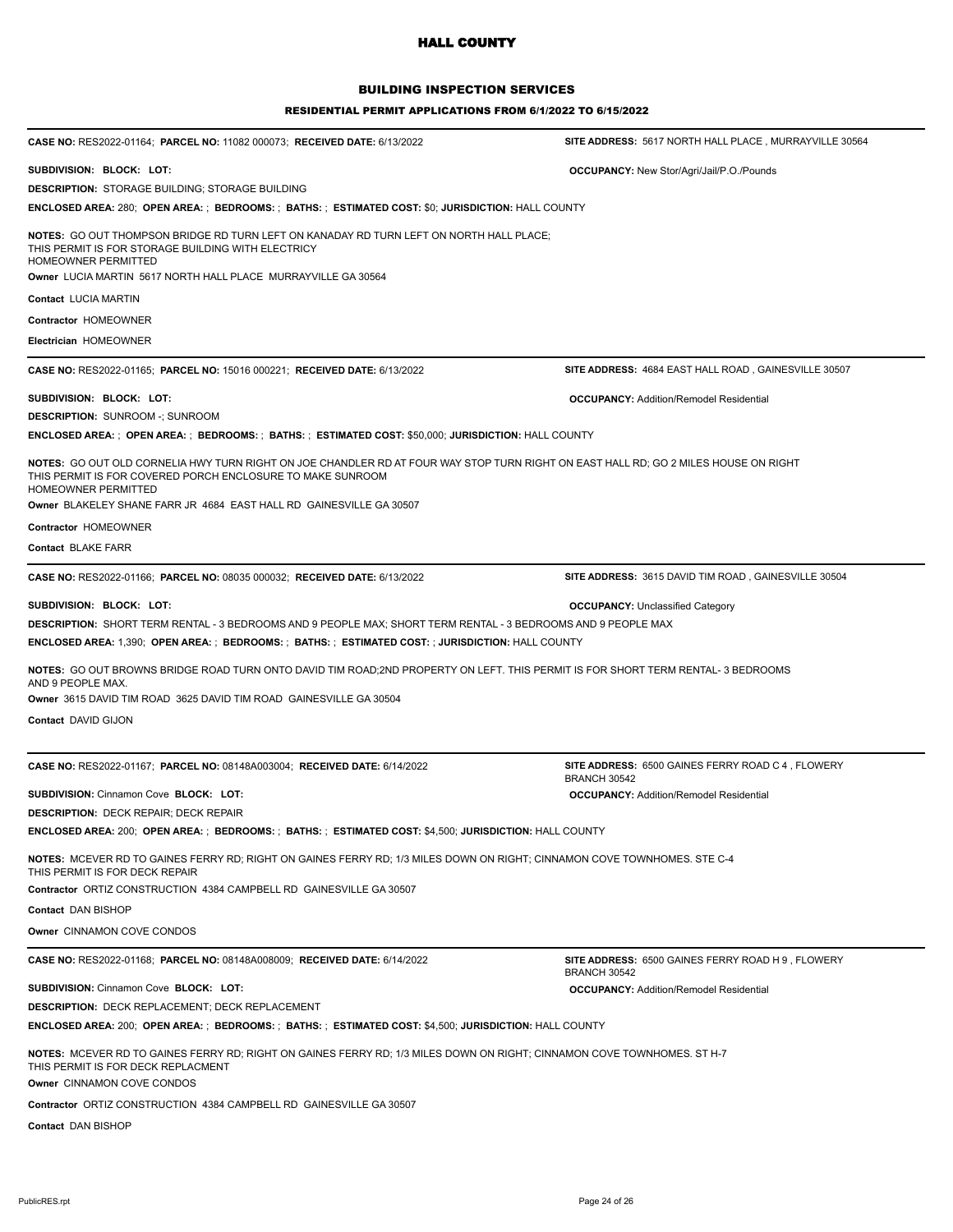## BUILDING INSPECTION SERVICES

| <b>CASE NO: RES2022-01164;  PARCEL NO: 11082 000073;  RECEIVED DATE: 6/13/2022</b>                                                                                                                                       | SITE ADDRESS: 5617 NORTH HALL PLACE, MURRAYVILLE 30564            |
|--------------------------------------------------------------------------------------------------------------------------------------------------------------------------------------------------------------------------|-------------------------------------------------------------------|
| SUBDIVISION: BLOCK: LOT:                                                                                                                                                                                                 | <b>OCCUPANCY:</b> New Stor/Agri/Jail/P.O./Pounds                  |
| DESCRIPTION: STORAGE BUILDING; STORAGE BUILDING                                                                                                                                                                          |                                                                   |
| ENCLOSED AREA: 280;  OPEN AREA: ;  BEDROOMS: ;  BATHS: ;  ESTIMATED COST: \$0; JURISDICTION: HALL COUNTY                                                                                                                 |                                                                   |
| NOTES: GO OUT THOMPSON BRIDGE RD TURN LEFT ON KANADAY RD TURN LEFT ON NORTH HALL PLACE;<br>THIS PERMIT IS FOR STORAGE BUILDING WITH ELECTRICY<br>HOMEOWNER PERMITTED                                                     |                                                                   |
| Owner LUCIA MARTIN 5617 NORTH HALL PLACE MURRAYVILLE GA 30564                                                                                                                                                            |                                                                   |
| Contact LUCIA MARTIN                                                                                                                                                                                                     |                                                                   |
| Contractor HOMEOWNER                                                                                                                                                                                                     |                                                                   |
| Electrician HOMEOWNER                                                                                                                                                                                                    |                                                                   |
| <b>CASE NO: RES2022-01165;  PARCEL NO: 15016 000221;  RECEIVED DATE: 6/13/2022</b>                                                                                                                                       | SITE ADDRESS: 4684 EAST HALL ROAD, GAINESVILLE 30507              |
| SUBDIVISION: BLOCK: LOT:                                                                                                                                                                                                 | <b>OCCUPANCY: Addition/Remodel Residential</b>                    |
| DESCRIPTION: SUNROOM -; SUNROOM                                                                                                                                                                                          |                                                                   |
| ENCLOSED AREA:;OPEN AREA:;BEDROOMS:;BATHS:;ESTIMATED COST: \$50,000; JURISDICTION: HALL COUNTY                                                                                                                           |                                                                   |
| NOTES: GO OUT OLD CORNELIA HWY TURN RIGHT ON JOE CHANDLER RD AT FOUR WAY STOP TURN RIGHT ON EAST HALL RD; GO 2 MILES HOUSE ON RIGHT<br>THIS PERMIT IS FOR COVERED PORCH ENCLOSURE TO MAKE SUNROOM<br>HOMEOWNER PERMITTED |                                                                   |
| Owner BLAKELEY SHANE FARR JR 4684 EAST HALL RD GAINESVILLE GA 30507                                                                                                                                                      |                                                                   |
| Contractor HOMEOWNER                                                                                                                                                                                                     |                                                                   |
| Contact BLAKE FARR                                                                                                                                                                                                       |                                                                   |
| CASE NO: RES2022-01166; PARCEL NO: 08035 000032; RECEIVED DATE: 6/13/2022                                                                                                                                                | SITE ADDRESS: 3615 DAVID TIM ROAD, GAINESVILLE 30504              |
| SUBDIVISION: BLOCK: LOT:                                                                                                                                                                                                 | <b>OCCUPANCY: Unclassified Category</b>                           |
| <b>DESCRIPTION:</b> SHORT TERM RENTAL - 3 BEDROOMS AND 9 PEOPLE MAX; SHORT TERM RENTAL - 3 BEDROOMS AND 9 PEOPLE MAX                                                                                                     |                                                                   |
| ENCLOSED AREA: 1,390;  OPEN AREA: ;  BEDROOMS: ;  BATHS: ;  ESTIMATED COST: ; JURISDICTION: HALL COUNTY                                                                                                                  |                                                                   |
| <b>NOTES:</b> GO OUT BROWNS BRIDGE ROAD TURN ONTO DAVID TIM ROAD;2ND PROPERTY ON LEFT. THIS PERMIT IS FOR SHORT TERM RENTAL- 3 BEDROOMS<br>AND 9 PEOPLE MAX.                                                             |                                                                   |
| Owner 3615 DAVID TIM ROAD 3625 DAVID TIM ROAD GAINESVILLE GA 30504                                                                                                                                                       |                                                                   |
| Contact DAVID GIJON                                                                                                                                                                                                      |                                                                   |
| CASE NO: RES2022-01167; PARCEL NO: 08148A003004; RECEIVED DATE: 6/14/2022                                                                                                                                                | SITE ADDRESS: 6500 GAINES FERRY ROAD C 4, FLOWERY                 |
|                                                                                                                                                                                                                          | <b>BRANCH 30542</b>                                               |
| SUBDIVISION: Cinnamon Cove BLOCK: LOT:                                                                                                                                                                                   | <b>OCCUPANCY: Addition/Remodel Residential</b>                    |
| DESCRIPTION: DECK REPAIR; DECK REPAIR                                                                                                                                                                                    |                                                                   |
| ENCLOSED AREA: 200;  OPEN AREA: ;  BEDROOMS: ;  BATHS: ;  ESTIMATED COST: \$4,500; JURISDICTION: HALL COUNTY                                                                                                             |                                                                   |
| <b>NOTES:</b> MCEVER RD TO GAINES FERRY RD; RIGHT ON GAINES FERRY RD; 1/3 MILES DOWN ON RIGHT; CINNAMON COVE TOWNHOMES. STE C-4<br>THIS PERMIT IS FOR DECK REPAIR                                                        |                                                                   |
| Contractor ORTIZ CONSTRUCTION 4384 CAMPBELL RD GAINESVILLE GA 30507                                                                                                                                                      |                                                                   |
| Contact DAN BISHOP                                                                                                                                                                                                       |                                                                   |
| Owner CINNAMON COVE CONDOS                                                                                                                                                                                               |                                                                   |
| CASE NO: RES2022-01168; PARCEL NO: 08148A008009; RECEIVED DATE: 6/14/2022                                                                                                                                                | SITE ADDRESS: 6500 GAINES FERRY ROAD H 9, FLOWERY<br>BRANCH 30542 |
| SUBDIVISION: Cinnamon Cove BLOCK: LOT:                                                                                                                                                                                   | <b>OCCUPANCY: Addition/Remodel Residential</b>                    |
| DESCRIPTION: DECK REPLACEMENT: DECK REPLACEMENT                                                                                                                                                                          |                                                                   |
| ENCLOSED AREA: 200;  OPEN AREA: ;  BEDROOMS: ;  BATHS: ;  ESTIMATED COST: \$4,500; JURISDICTION: HALL COUNTY                                                                                                             |                                                                   |
| <b>NOTES:</b> MCEVER RD TO GAINES FERRY RD; RIGHT ON GAINES FERRY RD; 1/3 MILES DOWN ON RIGHT; CINNAMON COVE TOWNHOMES. ST H-7<br>THIS PERMIT IS FOR DECK REPLACMENT<br>Owner CINNAMON COVE CONDOS                       |                                                                   |
| Contractor ORTIZ CONSTRUCTION 4384 CAMPBELL RD GAINESVILLE GA 30507                                                                                                                                                      |                                                                   |
| Contact DAN BISHOP                                                                                                                                                                                                       |                                                                   |
|                                                                                                                                                                                                                          |                                                                   |
|                                                                                                                                                                                                                          |                                                                   |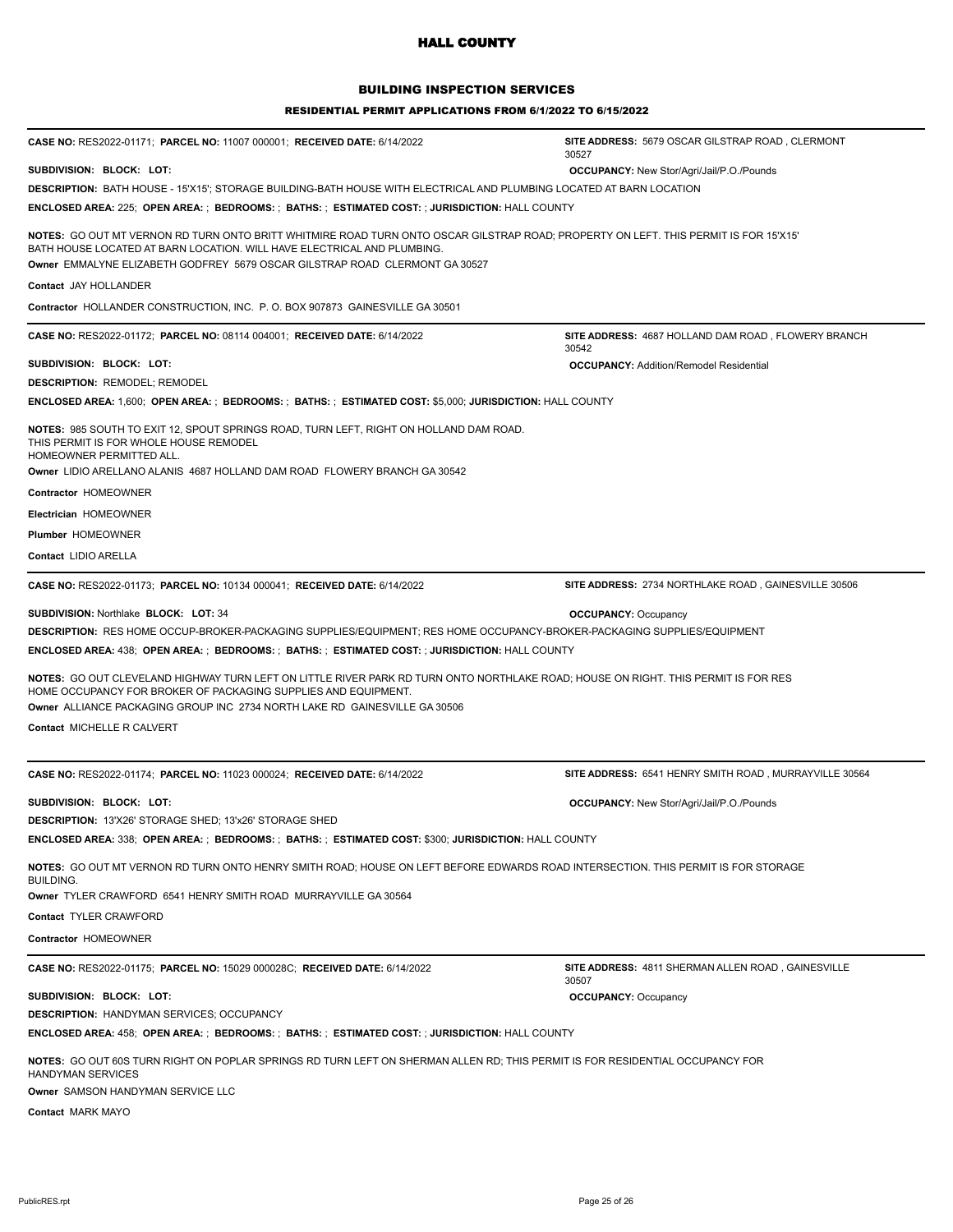### BUILDING INSPECTION SERVICES

| <b>CASE NO: RES2022-01171; PARCEL NO: 11007 000001; RECEIVED DATE: 6/14/2022</b>                                                                                                                                                                                                               | SITE ADDRESS: 5679 OSCAR GILSTRAP ROAD, CLERMONT<br>30527    |
|------------------------------------------------------------------------------------------------------------------------------------------------------------------------------------------------------------------------------------------------------------------------------------------------|--------------------------------------------------------------|
| SUBDIVISION: BLOCK: LOT:                                                                                                                                                                                                                                                                       | <b>OCCUPANCY:</b> New Stor/Agri/Jail/P.O./Pounds             |
| <b>DESCRIPTION:</b> BATH HOUSE - 15'X15'; STORAGE BUILDING-BATH HOUSE WITH ELECTRICAL AND PLUMBING LOCATED AT BARN LOCATION                                                                                                                                                                    |                                                              |
| ENCLOSED AREA: 225; OPEN AREA: ; BEDROOMS: ; BATHS: ; ESTIMATED COST: ; JURISDICTION: HALL COUNTY                                                                                                                                                                                              |                                                              |
| NOTES: GO OUT MT VERNON RD TURN ONTO BRITT WHITMIRE ROAD TURN ONTO OSCAR GILSTRAP ROAD; PROPERTY ON LEFT. THIS PERMIT IS FOR 15'X15'<br>BATH HOUSE LOCATED AT BARN LOCATION. WILL HAVE ELECTRICAL AND PLUMBING.<br>Owner EMMALYNE ELIZABETH GODFREY 5679 OSCAR GILSTRAP ROAD CLERMONT GA 30527 |                                                              |
| Contact JAY HOLLANDER                                                                                                                                                                                                                                                                          |                                                              |
| Contractor HOLLANDER CONSTRUCTION, INC. P. O. BOX 907873 GAINESVILLE GA 30501                                                                                                                                                                                                                  |                                                              |
| CASE NO: RES2022-01172; PARCEL NO: 08114 004001; RECEIVED DATE: 6/14/2022                                                                                                                                                                                                                      | SITE ADDRESS: 4687 HOLLAND DAM ROAD, FLOWERY BRANCH<br>30542 |
| SUBDIVISION: BLOCK: LOT:                                                                                                                                                                                                                                                                       | <b>OCCUPANCY: Addition/Remodel Residential</b>               |
| <b>DESCRIPTION: REMODEL; REMODEL</b>                                                                                                                                                                                                                                                           |                                                              |
| ENCLOSED AREA: 1,600; OPEN AREA: ; BEDROOMS: ; BATHS: ; ESTIMATED COST: \$5,000; JURISDICTION: HALL COUNTY                                                                                                                                                                                     |                                                              |
| NOTES: 985 SOUTH TO EXIT 12, SPOUT SPRINGS ROAD, TURN LEFT, RIGHT ON HOLLAND DAM ROAD.<br>THIS PERMIT IS FOR WHOLE HOUSE REMODEL<br>HOMEOWNER PERMITTED ALL.<br><b>Owner LIDIO ARELLANO ALANIS 4687 HOLLAND DAM ROAD FLOWERY BRANCH GA 30542</b>                                               |                                                              |
| Contractor HOMEOWNER                                                                                                                                                                                                                                                                           |                                                              |
| Electrician HOMEOWNER                                                                                                                                                                                                                                                                          |                                                              |
| Plumber HOMEOWNER                                                                                                                                                                                                                                                                              |                                                              |
| Contact LIDIO ARELLA                                                                                                                                                                                                                                                                           |                                                              |
| <b>CASE NO: RES2022-01173; PARCEL NO: 10134 000041; RECEIVED DATE: 6/14/2022</b>                                                                                                                                                                                                               | SITE ADDRESS: 2734 NORTHLAKE ROAD, GAINESVILLE 30506         |
| <b>SUBDIVISION: Northlake BLOCK: LOT: 34</b>                                                                                                                                                                                                                                                   | <b>OCCUPANCY: Occupancy</b>                                  |
| DESCRIPTION: RES HOME OCCUP-BROKER-PACKAGING SUPPLIES/EQUIPMENT; RES HOME OCCUPANCY-BROKER-PACKAGING SUPPLIES/EQUIPMENT                                                                                                                                                                        |                                                              |
| <b>ENCLOSED AREA: 438; OPEN AREA: ; BEDROOMS: ; BATHS: ; ESTIMATED COST: ; JURISDICTION: HALL COUNTY</b>                                                                                                                                                                                       |                                                              |
| NOTES: GO OUT CLEVELAND HIGHWAY TURN LEFT ON LITTLE RIVER PARK RD TURN ONTO NORTHLAKE ROAD; HOUSE ON RIGHT. THIS PERMIT IS FOR RES<br>HOME OCCUPANCY FOR BROKER OF PACKAGING SUPPLIES AND EQUIPMENT.<br>Owner ALLIANCE PACKAGING GROUP INC 2734 NORTH LAKE RD GAINESVILLE GA 30506             |                                                              |
| Contact MICHELLE R CALVERT                                                                                                                                                                                                                                                                     |                                                              |
| CASE NO: RES2022-01174; PARCEL NO: 11023 000024; RECEIVED DATE: 6/14/2022                                                                                                                                                                                                                      | SITE ADDRESS: 6541 HENRY SMITH ROAD, MURRAYVILLE 30564       |
| SUBDIVISION: BLOCK: LOT:                                                                                                                                                                                                                                                                       | <b>OCCUPANCY:</b> New Stor/Agri/Jail/P.O./Pounds             |
| DESCRIPTION: 13'X26' STORAGE SHED; 13'x26' STORAGE SHED                                                                                                                                                                                                                                        |                                                              |
| ENCLOSED AREA: 338; OPEN AREA: ; BEDROOMS: ; BATHS: ; ESTIMATED COST: \$300; JURISDICTION: HALL COUNTY                                                                                                                                                                                         |                                                              |
| NOTES: GO OUT MT VERNON RD TURN ONTO HENRY SMITH ROAD; HOUSE ON LEFT BEFORE EDWARDS ROAD INTERSECTION. THIS PERMIT IS FOR STORAGE<br><b>BUILDING.</b><br>Owner TYLER CRAWFORD 6541 HENRY SMITH ROAD MURRAYVILLE GA 30564                                                                       |                                                              |
|                                                                                                                                                                                                                                                                                                |                                                              |
| Contact TYLER CRAWFORD                                                                                                                                                                                                                                                                         |                                                              |
|                                                                                                                                                                                                                                                                                                |                                                              |
| Contractor HOMEOWNER                                                                                                                                                                                                                                                                           |                                                              |
| <b>CASE NO: RES2022-01175; PARCEL NO: 15029 000028C; RECEIVED DATE: 6/14/2022</b>                                                                                                                                                                                                              | SITE ADDRESS: 4811 SHERMAN ALLEN ROAD, GAINESVILLE<br>30507  |
| SUBDIVISION: BLOCK: LOT:                                                                                                                                                                                                                                                                       | <b>OCCUPANCY: Occupancy</b>                                  |
| <b>DESCRIPTION: HANDYMAN SERVICES; OCCUPANCY</b>                                                                                                                                                                                                                                               |                                                              |
| <b>ENCLOSED AREA: 458; OPEN AREA: ; BEDROOMS: ; BATHS: ; ESTIMATED COST: ; JURISDICTION: HALL COUNTY</b><br>NOTES: GO OUT 60S TURN RIGHT ON POPLAR SPRINGS RD TURN LEFT ON SHERMAN ALLEN RD; THIS PERMIT IS FOR RESIDENTIAL OCCUPANCY FOR                                                      |                                                              |
| HANDYMAN SERVICES<br>Owner SAMSON HANDYMAN SERVICE LLC                                                                                                                                                                                                                                         |                                                              |